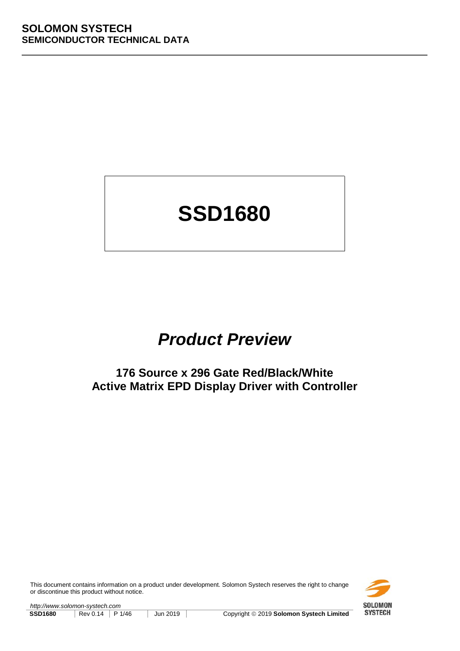# **SSD1680**

## **Product Preview**

## **176 Source x 296 Gate Red/Black/White Active Matrix EPD Display Driver with Controller**

This document contains information on a product under development. Solomon Systech reserves the right to change or discontinue this product without notice.



http://www.solomon-systech.com **SSD1680** Rev 0.14 P 1/46 Jun 2019 Copyright **Copyright 
Convertigat Convertigat Convertigat CONVIGO CONVIGO CONVIGO POSTAGE Limited**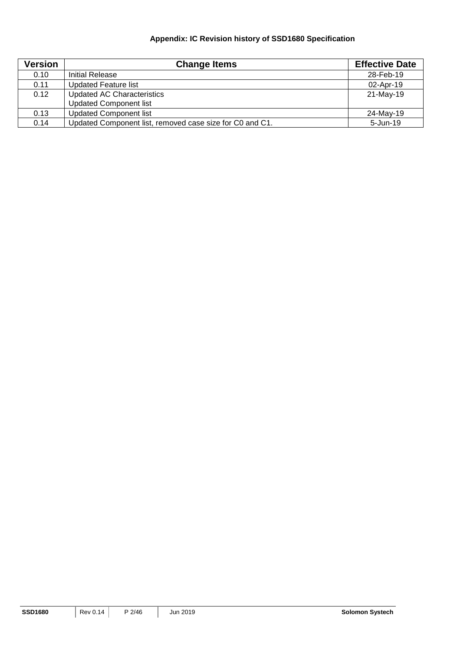## **Appendix: IC Revision history of SSD1680 Specification**

| <b>Version</b> | <b>Change Items</b>                                      | <b>Effective Date</b> |
|----------------|----------------------------------------------------------|-----------------------|
| 0.10           | Initial Release                                          | 28-Feb-19             |
| 0.11           | <b>Updated Feature list</b>                              | 02-Apr-19             |
| 0.12           | <b>Updated AC Characteristics</b>                        | 21-May-19             |
|                | <b>Updated Component list</b>                            |                       |
| 0.13           | <b>Updated Component list</b>                            | 24-May-19             |
| 0.14           | Updated Component list, removed case size for C0 and C1. | 5-Jun-19              |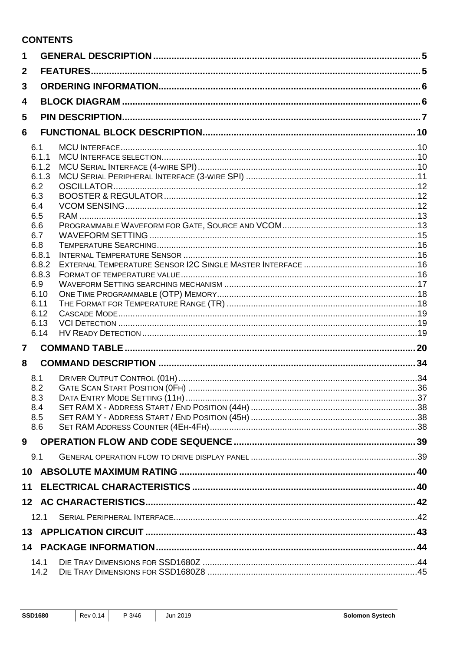## **CONTENTS**

| 1              |             |  |
|----------------|-------------|--|
| $\mathbf{2}$   |             |  |
| 3              |             |  |
| 4              |             |  |
| 5              |             |  |
| 6              |             |  |
|                | 6.1         |  |
|                | 6.1.1       |  |
|                | 6.1.2       |  |
|                | 6.1.3       |  |
|                | 6.2         |  |
|                | 6.3<br>6.4  |  |
|                | 6.5         |  |
|                | 6.6         |  |
|                | 6.7         |  |
|                | 6.8         |  |
|                | 6.8.1       |  |
|                | 6.8.2       |  |
|                | 6.8.3       |  |
|                | 6.9<br>6.10 |  |
|                | 6.11        |  |
|                | 6.12        |  |
|                | 6.13        |  |
|                | 6.14        |  |
| $\overline{7}$ |             |  |
| 8              |             |  |
|                | 8.1         |  |
|                | 8.2         |  |
|                | 8.3         |  |
|                | 8.4         |  |
|                | 8.5         |  |
|                | 8.6         |  |
| 9              |             |  |
|                | 9.1         |  |
| 10             |             |  |
| 11             |             |  |
|                |             |  |
|                | 12.1        |  |
|                |             |  |
|                |             |  |
|                | 14.1        |  |
|                | 14.2        |  |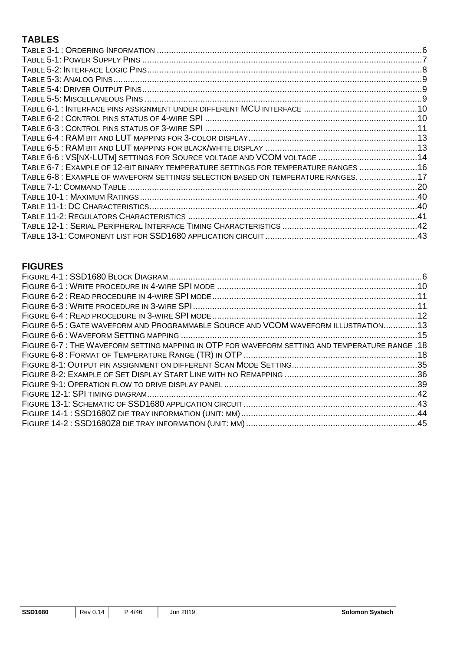## **TABLES**

| TABLE 6-7: EXAMPLE OF 12-BIT BINARY TEMPERATURE SETTINGS FOR TEMPERATURE RANGES 16 |  |
|------------------------------------------------------------------------------------|--|
| TABLE 6-8 : EXAMPLE OF WAVEFORM SETTINGS SELECTION BASED ON TEMPERATURE RANGES. 17 |  |
|                                                                                    |  |
|                                                                                    |  |
|                                                                                    |  |
|                                                                                    |  |
|                                                                                    |  |
|                                                                                    |  |

## **FIGURES**

| FIGURE 6-5: GATE WAVEFORM AND PROGRAMMABLE SOURCE AND VCOM WAVEFORM ILLUSTRATION13             |  |
|------------------------------------------------------------------------------------------------|--|
|                                                                                                |  |
| 18. FIGURE 6-7: THE WAVEFORM SETTING MAPPING IN OTP FOR WAVEFORM SETTING AND TEMPERATURE RANGE |  |
|                                                                                                |  |
|                                                                                                |  |
|                                                                                                |  |
|                                                                                                |  |
|                                                                                                |  |
|                                                                                                |  |
|                                                                                                |  |
|                                                                                                |  |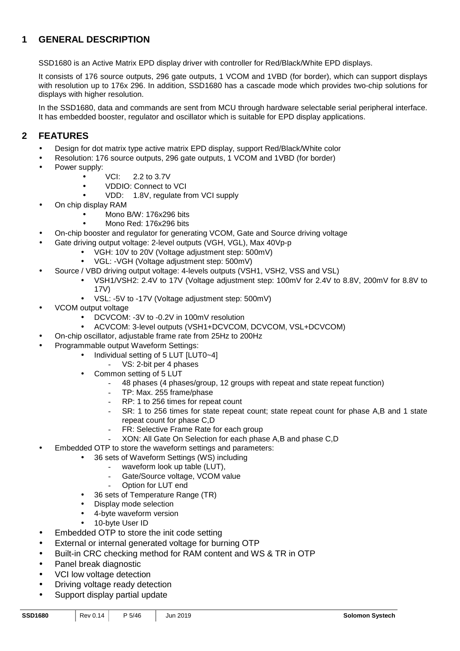## **1 GENERAL DESCRIPTION**

SSD1680 is an Active Matrix EPD display driver with controller for Red/Black/White EPD displays.

It consists of 176 source outputs, 296 gate outputs, 1 VCOM and 1VBD (for border), which can support displays with resolution up to 176x 296. In addition, SSD1680 has a cascade mode which provides two-chip solutions for displays with higher resolution.

In the SSD1680, data and commands are sent from MCU through hardware selectable serial peripheral interface. It has embedded booster, regulator and oscillator which is suitable for EPD display applications.

## **2 FEATURES**

- Design for dot matrix type active matrix EPD display, support Red/Black/White color
- Resolution: 176 source outputs, 296 gate outputs, 1 VCOM and 1VBD (for border)
- Power supply:
	- VCI: 2.2 to 3.7V
	- VDDIO: Connect to VCI
	- VDD: 1.8V, regulate from VCI supply
- On chip display RAM
	- Mono B/W: 176x296 bits
		- Mono Red: 176x296 bits
- On-chip booster and regulator for generating VCOM, Gate and Source driving voltage
	- Gate driving output voltage: 2-level outputs (VGH, VGL), Max 40Vp-p
		- VGH: 10V to 20V (Voltage adjustment step: 500mV)
		- VGL: -VGH (Voltage adjustment step: 500mV)
	- Source / VBD driving output voltage: 4-levels outputs (VSH1, VSH2, VSS and VSL)
		- VSH1/VSH2: 2.4V to 17V (Voltage adjustment step: 100mV for 2.4V to 8.8V, 200mV for 8.8V to 17V)
		- VSL: -5V to -17V (Voltage adjustment step: 500mV)
- VCOM output voltage
	- DCVCOM: -3V to -0.2V in 100mV resolution
	- ACVCOM: 3-level outputs (VSH1+DCVCOM, DCVCOM, VSL+DCVCOM)
	- On-chip oscillator, adjustable frame rate from 25Hz to 200Hz
- Programmable output Waveform Settings:
	- Individual setting of 5 LUT [LUT0~4]
		- VS: 2-bit per 4 phases
		- Common setting of 5 LUT
			- 48 phases (4 phases/group, 12 groups with repeat and state repeat function)
			- TP: Max. 255 frame/phase
			- RP: 1 to 256 times for repeat count
			- SR: 1 to 256 times for state repeat count; state repeat count for phase A,B and 1 state repeat count for phase C,D
			- FR: Selective Frame Rate for each group
			- XON: All Gate On Selection for each phase A,B and phase C,D
	- Embedded OTP to store the waveform settings and parameters:
		- 36 sets of Waveform Settings (WS) including
			- waveform look up table (LUT),
				- Gate/Source voltage, VCOM value
				- Option for LUT end
			- 36 sets of Temperature Range (TR)
			- Display mode selection
			- 4-byte waveform version
			- 10-byte User ID
- Embedded OTP to store the init code setting
- External or internal generated voltage for burning OTP
- Built-in CRC checking method for RAM content and WS & TR in OTP
- Panel break diagnostic
- VCI low voltage detection
- Driving voltage ready detection
- Support display partial update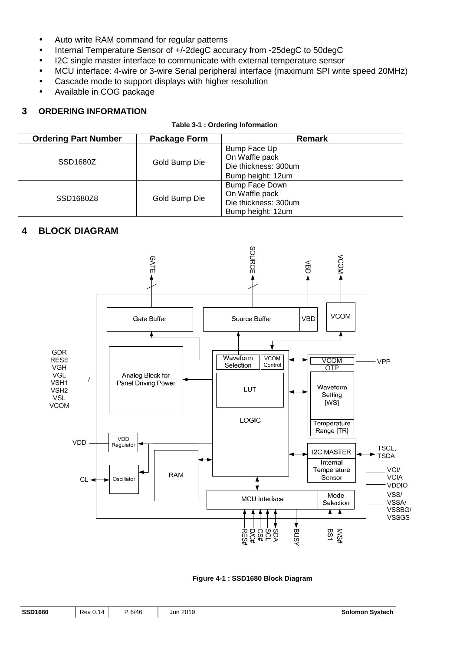- Auto write RAM command for regular patterns
- Internal Temperature Sensor of +/-2degC accuracy from -25degC to 50degC
- I2C single master interface to communicate with external temperature sensor
- MCU interface: 4-wire or 3-wire Serial peripheral interface (maximum SPI write speed 20MHz)
- Cascade mode to support displays with higher resolution
- Available in COG package

#### **3 ORDERING INFORMATION**

#### **Table 3-1 : Ordering Information**

| <b>Ordering Part Number</b> | Package Form  | Remark                                                                        |
|-----------------------------|---------------|-------------------------------------------------------------------------------|
| SSD <sub>1680</sub> Z       | Gold Bump Die | Bump Face Up<br>On Waffle pack<br>Die thickness: 300um<br>Bump height: 12um   |
| SSD1680Z8                   | Gold Bump Die | Bump Face Down<br>On Waffle pack<br>Die thickness: 300um<br>Bump height: 12um |

## **4 BLOCK DIAGRAM**



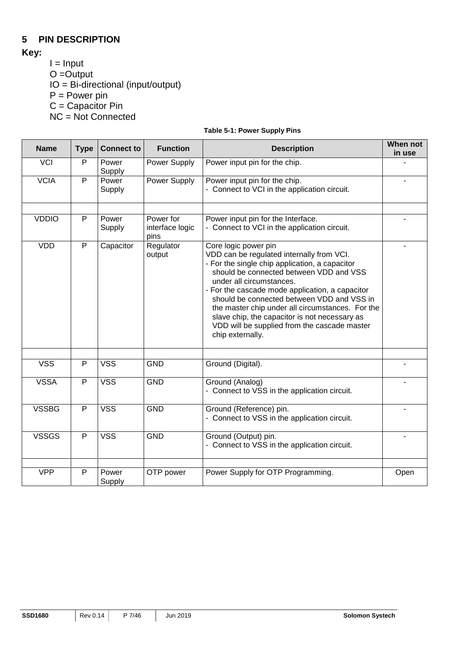## **5 PIN DESCRIPTION**

**Key:** 

- $I = Input$
- $O =$ Output

IO = Bi-directional (input/output)

P = Power pin

 $C =$  Capacitor Pin

NC = Not Connected

|  | Table 5-1: Power Supply Pins |  |
|--|------------------------------|--|
|  |                              |  |

| <b>Name</b>  | <b>Type</b>    | <b>Connect to</b> | <b>Function</b>                      | <b>Description</b>                                                                                                                                                                                                                                                                                                                                                                                                                                                   | When not<br>in use |
|--------------|----------------|-------------------|--------------------------------------|----------------------------------------------------------------------------------------------------------------------------------------------------------------------------------------------------------------------------------------------------------------------------------------------------------------------------------------------------------------------------------------------------------------------------------------------------------------------|--------------------|
| <b>VCI</b>   | P              | Power<br>Supply   | Power Supply                         | Power input pin for the chip.                                                                                                                                                                                                                                                                                                                                                                                                                                        |                    |
| <b>VCIA</b>  | $\overline{P}$ | Power<br>Supply   | <b>Power Supply</b>                  | Power input pin for the chip.<br>- Connect to VCI in the application circuit.                                                                                                                                                                                                                                                                                                                                                                                        |                    |
| <b>VDDIO</b> | P              | Power<br>Supply   | Power for<br>interface logic<br>pins | Power input pin for the Interface.<br>- Connect to VCI in the application circuit.                                                                                                                                                                                                                                                                                                                                                                                   |                    |
| <b>VDD</b>   | $\overline{P}$ | Capacitor         | Regulator<br>output                  | Core logic power pin<br>VDD can be regulated internally from VCI.<br>- For the single chip application, a capacitor<br>should be connected between VDD and VSS<br>under all circumstances.<br>- For the cascade mode application, a capacitor<br>should be connected between VDD and VSS in<br>the master chip under all circumstances. For the<br>slave chip, the capacitor is not necessary as<br>VDD will be supplied from the cascade master<br>chip externally. |                    |
| <b>VSS</b>   | P              | <b>VSS</b>        | <b>GND</b>                           | Ground (Digital).                                                                                                                                                                                                                                                                                                                                                                                                                                                    |                    |
| <b>VSSA</b>  | P              | <b>VSS</b>        | <b>GND</b>                           | Ground (Analog)<br>- Connect to VSS in the application circuit.                                                                                                                                                                                                                                                                                                                                                                                                      |                    |
| <b>VSSBG</b> | $\mathsf{P}$   | <b>VSS</b>        | <b>GND</b>                           | Ground (Reference) pin.<br>- Connect to VSS in the application circuit.                                                                                                                                                                                                                                                                                                                                                                                              |                    |
| <b>VSSGS</b> | $\mathsf{P}$   | <b>VSS</b>        | <b>GND</b>                           | Ground (Output) pin.<br>- Connect to VSS in the application circuit.                                                                                                                                                                                                                                                                                                                                                                                                 |                    |
| <b>VPP</b>   | P              | Power<br>Supply   | OTP power                            | Power Supply for OTP Programming.                                                                                                                                                                                                                                                                                                                                                                                                                                    | Open               |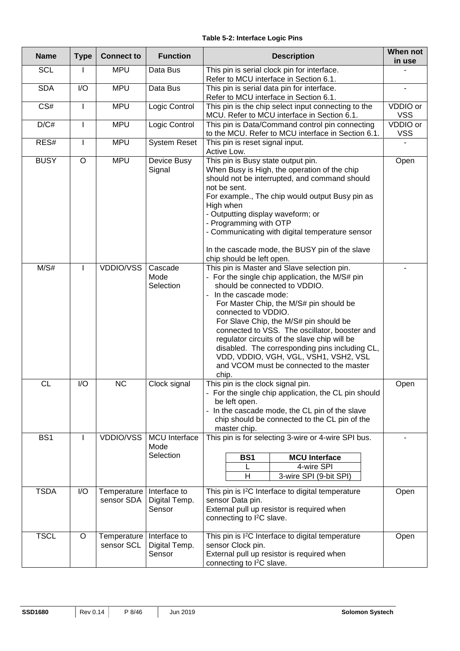#### **Table 5-2: Interface Logic Pins**

| <b>Name</b> | <b>Type</b>  | <b>Connect to</b>                | <b>Function</b>                           | <b>Description</b>                                                                                                                                                                                                                                                                                                                                                                                                                                                                                                   | When not<br>in use     |
|-------------|--------------|----------------------------------|-------------------------------------------|----------------------------------------------------------------------------------------------------------------------------------------------------------------------------------------------------------------------------------------------------------------------------------------------------------------------------------------------------------------------------------------------------------------------------------------------------------------------------------------------------------------------|------------------------|
| <b>SCL</b>  |              | <b>MPU</b>                       | Data Bus                                  | This pin is serial clock pin for interface.<br>Refer to MCU interface in Section 6.1.                                                                                                                                                                                                                                                                                                                                                                                                                                |                        |
| <b>SDA</b>  | I/O          | <b>MPU</b>                       | Data Bus                                  | This pin is serial data pin for interface.<br>Refer to MCU interface in Section 6.1.                                                                                                                                                                                                                                                                                                                                                                                                                                 |                        |
| CS#         |              | <b>MPU</b>                       | Logic Control                             | This pin is the chip select input connecting to the<br>MCU. Refer to MCU interface in Section 6.1.                                                                                                                                                                                                                                                                                                                                                                                                                   | VDDIO or<br><b>VSS</b> |
| D/C#        | ı            | <b>MPU</b>                       | Logic Control                             | This pin is Data/Command control pin connecting<br>to the MCU. Refer to MCU interface in Section 6.1.                                                                                                                                                                                                                                                                                                                                                                                                                | VDDIO or<br><b>VSS</b> |
| RES#        | $\mathsf{I}$ | <b>MPU</b>                       | <b>System Reset</b>                       | This pin is reset signal input.<br>Active Low.                                                                                                                                                                                                                                                                                                                                                                                                                                                                       |                        |
| <b>BUSY</b> | $\circ$      | <b>MPU</b>                       | Device Busy<br>Signal                     | This pin is Busy state output pin.<br>When Busy is High, the operation of the chip<br>should not be interrupted, and command should<br>not be sent.<br>For example., The chip would output Busy pin as<br>High when<br>- Outputting display waveform; or<br>- Programming with OTP<br>- Communicating with digital temperature sensor<br>In the cascade mode, the BUSY pin of the slave<br>chip should be left open.                                                                                                 | Open                   |
| M/S#        | I            | VDDIO/VSS                        | Cascade<br>Mode<br>Selection              | This pin is Master and Slave selection pin.<br>- For the single chip application, the M/S# pin<br>should be connected to VDDIO.<br>In the cascade mode:<br>For Master Chip, the M/S# pin should be<br>connected to VDDIO.<br>For Slave Chip, the M/S# pin should be<br>connected to VSS. The oscillator, booster and<br>regulator circuits of the slave chip will be<br>disabled. The corresponding pins including CL,<br>VDD, VDDIO, VGH, VGL, VSH1, VSH2, VSL<br>and VCOM must be connected to the master<br>chip. |                        |
| <b>CL</b>   | I/O          | NC                               | Clock signal                              | This pin is the clock signal pin.<br>- For the single chip application, the CL pin should<br>be left open.<br>- In the cascade mode, the CL pin of the slave<br>chip should be connected to the CL pin of the<br>master chip.                                                                                                                                                                                                                                                                                        | Open                   |
| BS1         | L            | <b>VDDIO/VSS</b>                 | <b>MCU</b> Interface<br>Mode<br>Selection | This pin is for selecting 3-wire or 4-wire SPI bus.<br><b>MCU</b> Interface<br><b>BS1</b><br>4-wire SPI<br>H<br>3-wire SPI (9-bit SPI)                                                                                                                                                                                                                                                                                                                                                                               |                        |
| <b>TSDA</b> | I/O          | Temperature<br>sensor SDA        | Interface to<br>Digital Temp.<br>Sensor   | This pin is I <sup>2</sup> C Interface to digital temperature<br>sensor Data pin.<br>External pull up resistor is required when<br>connecting to I <sup>2</sup> C slave.                                                                                                                                                                                                                                                                                                                                             | Open                   |
| <b>TSCL</b> | $\circ$      | <b>Temperature</b><br>sensor SCL | Interface to<br>Digital Temp.<br>Sensor   | This pin is I <sup>2</sup> C Interface to digital temperature<br>sensor Clock pin.<br>External pull up resistor is required when<br>connecting to I <sup>2</sup> C slave.                                                                                                                                                                                                                                                                                                                                            | Open                   |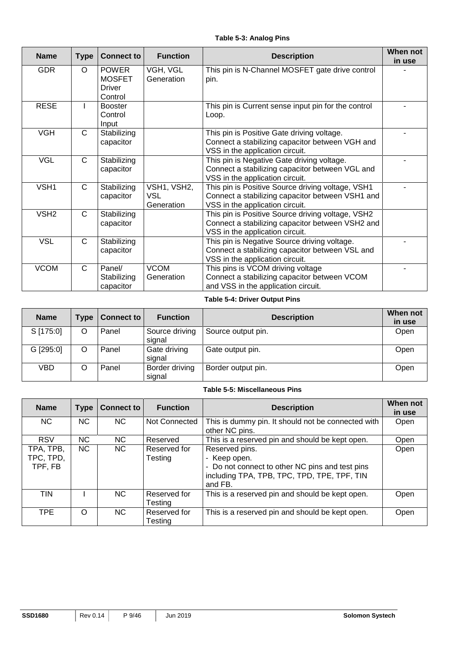| <b>Name</b>      | <b>Type</b>  | <b>Connect to</b>                                         | <b>Function</b>                         | <b>Description</b>                                                                                                                       | When not<br>in use |
|------------------|--------------|-----------------------------------------------------------|-----------------------------------------|------------------------------------------------------------------------------------------------------------------------------------------|--------------------|
| <b>GDR</b>       | O            | <b>POWER</b><br><b>MOSFET</b><br><b>Driver</b><br>Control | VGH, VGL<br>Generation                  | This pin is N-Channel MOSFET gate drive control<br>pin.                                                                                  |                    |
| <b>RESE</b>      |              | <b>Booster</b><br>Control<br>Input                        |                                         | This pin is Current sense input pin for the control<br>Loop.                                                                             |                    |
| <b>VGH</b>       | C            | Stabilizing<br>capacitor                                  |                                         | This pin is Positive Gate driving voltage.<br>Connect a stabilizing capacitor between VGH and<br>VSS in the application circuit.         |                    |
| <b>VGL</b>       | $\mathsf C$  | Stabilizing<br>capacitor                                  |                                         | This pin is Negative Gate driving voltage.<br>Connect a stabilizing capacitor between VGL and<br>VSS in the application circuit.         |                    |
| VSH1             | $\mathsf{C}$ | Stabilizing<br>capacitor                                  | VSH1, VSH2,<br><b>VSL</b><br>Generation | This pin is Positive Source driving voltage, VSH1<br>Connect a stabilizing capacitor between VSH1 and<br>VSS in the application circuit. |                    |
| VSH <sub>2</sub> | C            | Stabilizing<br>capacitor                                  |                                         | This pin is Positive Source driving voltage, VSH2<br>Connect a stabilizing capacitor between VSH2 and<br>VSS in the application circuit. |                    |
| <b>VSL</b>       | C            | Stabilizing<br>capacitor                                  |                                         | This pin is Negative Source driving voltage.<br>Connect a stabilizing capacitor between VSL and<br>VSS in the application circuit.       |                    |
| <b>VCOM</b>      | $\mathsf{C}$ | Panel/<br>Stabilizing<br>capacitor                        | <b>VCOM</b><br>Generation               | This pins is VCOM driving voltage<br>Connect a stabilizing capacitor between VCOM<br>and VSS in the application circuit.                 |                    |

#### **Table 5-4: Driver Output Pins**

| <b>Name</b> | Type <sub>1</sub> | <b>Connect to</b> | <b>Function</b>          | <b>Description</b> | When not<br>in use |
|-------------|-------------------|-------------------|--------------------------|--------------------|--------------------|
| S [175:0]   | O                 | Panel             | Source driving<br>signal | Source output pin. | Open               |
| G [295:0]   | O                 | Panel             | Gate driving<br>signal   | Gate output pin.   | Open               |
| VBD         |                   | Panel             | Border driving<br>signal | Border output pin. | Open               |

#### **Table 5-5: Miscellaneous Pins**

| <b>Name</b>                       | <b>Type</b> | <b>Connect to</b> | <b>Function</b>         | <b>Description</b>                                                                                                                          | When not<br>in use |
|-----------------------------------|-------------|-------------------|-------------------------|---------------------------------------------------------------------------------------------------------------------------------------------|--------------------|
| NC.                               | <b>NC</b>   | NC.               | Not Connected           | This is dummy pin. It should not be connected with<br>other NC pins.                                                                        | Open               |
| <b>RSV</b>                        | NC.         | NC.               | Reserved                | This is a reserved pin and should be kept open.                                                                                             | Open               |
| TPA, TPB,<br>TPC, TPD,<br>TPF, FB | <b>NC</b>   | NC.               | Reserved for<br>Testing | Reserved pins.<br>- Keep open.<br>- Do not connect to other NC pins and test pins<br>including TPA, TPB, TPC, TPD, TPE, TPF, TIN<br>and FB. | Open               |
| <b>TIN</b>                        |             | NC.               | Reserved for<br>Testing | This is a reserved pin and should be kept open.                                                                                             | Open               |
| <b>TPE</b>                        | $\Omega$    | NC.               | Reserved for<br>Testing | This is a reserved pin and should be kept open.                                                                                             | Open               |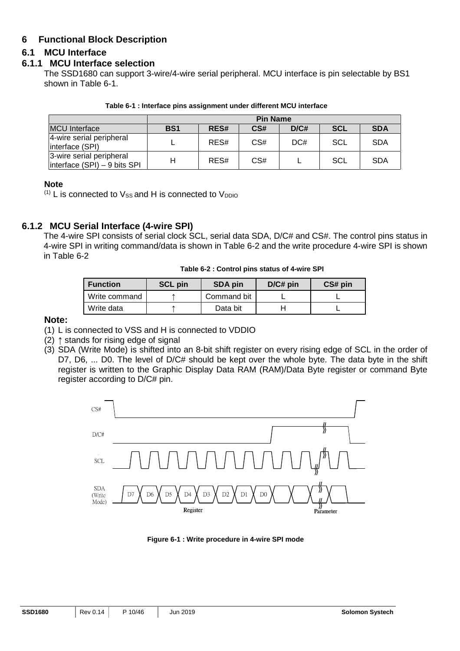## **6 Functional Block Description**

## **6.1 MCU Interface**

#### **6.1.1 MCU Interface selection**

The SSD1680 can support 3-wire/4-wire serial peripheral. MCU interface is pin selectable by BS1 shown in Table 6-1.

| Table 6-1 : Interface pins assignment under different MCU interface |  |
|---------------------------------------------------------------------|--|
|---------------------------------------------------------------------|--|

|                                                          | <b>Pin Name</b> |      |     |      |     |            |  |  |
|----------------------------------------------------------|-----------------|------|-----|------|-----|------------|--|--|
| <b>MCU</b> Interface                                     | <b>BS1</b>      | RES# | CS# | D/C# | SCL | <b>SDA</b> |  |  |
| 4-wire serial peripheral<br>interface (SPI)              |                 | RES# | CS# | DC#  | SCL | <b>SDA</b> |  |  |
| 3-wire serial peripheral<br>Interface (SPI) - 9 bits SPI | Н               | RES# | CS# |      | SCL | <b>SDA</b> |  |  |

#### **Note**

 $(1)$  L is connected to  $V_{SS}$  and H is connected to  $V_{DDIO}$ 

## **6.1.2 MCU Serial Interface (4-wire SPI)**

The 4-wire SPI consists of serial clock SCL, serial data SDA, D/C# and CS#. The control pins status in 4-wire SPI in writing command/data is shown in Table 6-2 and the write procedure 4-wire SPI is shown in Table 6-2

|  |  |  |  | Table 6-2 : Control pins status of 4-wire SPI |
|--|--|--|--|-----------------------------------------------|
|--|--|--|--|-----------------------------------------------|

| <b>Function</b> | <b>SCL pin</b> | SDA pin     | $D/C#$ pin | CS# pin |
|-----------------|----------------|-------------|------------|---------|
| Write command   |                | Command bit |            |         |
| Write data      |                | Data bit    |            |         |

#### **Note:**

- (1) L is connected to VSS and H is connected to VDDIO
- (2)  $\uparrow$  stands for rising edge of signal
- (3) SDA (Write Mode) is shifted into an 8-bit shift register on every rising edge of SCL in the order of D7, D6, ... D0. The level of D/C# should be kept over the whole byte. The data byte in the shift register is written to the Graphic Display Data RAM (RAM)/Data Byte register or command Byte register according to D/C# pin.



**Figure 6-1 : Write procedure in 4-wire SPI mode**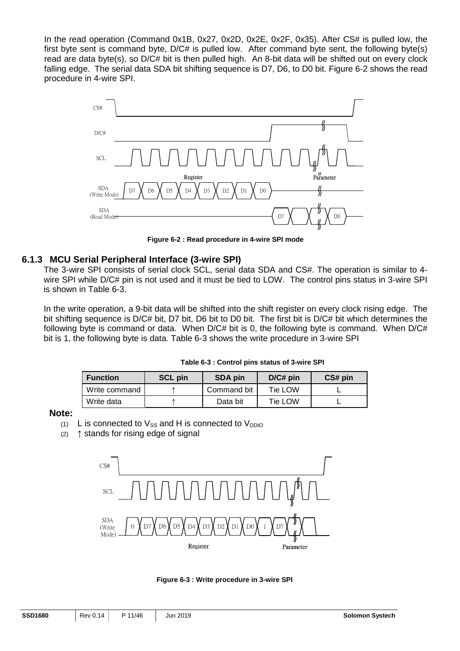In the read operation (Command 0x1B, 0x27, 0x2D, 0x2E, 0x2F, 0x35). After CS# is pulled low, the first byte sent is command byte, D/C# is pulled low. After command byte sent, the following byte(s) read are data byte(s), so D/C# bit is then pulled high. An 8-bit data will be shifted out on every clock falling edge. The serial data SDA bit shifting sequence is D7, D6, to D0 bit. Figure 6-2 shows the read procedure in 4-wire SPI.



**Figure 6-2 : Read procedure in 4-wire SPI mode** 

## **6.1.3 MCU Serial Peripheral Interface (3-wire SPI)**

The 3-wire SPI consists of serial clock SCL, serial data SDA and CS#. The operation is similar to 4 wire SPI while D/C# pin is not used and it must be tied to LOW. The control pins status in 3-wire SPI is shown in Table 6-3.

In the write operation, a 9-bit data will be shifted into the shift register on every clock rising edge. The bit shifting sequence is D/C# bit, D7 bit, D6 bit to D0 bit. The first bit is D/C# bit which determines the following byte is command or data. When D/C# bit is 0, the following byte is command. When D/C# bit is 1, the following byte is data. Table 6-3 shows the write procedure in 3-wire SPI

| Table 6-3 : Control pins status of 3-wire SPI |
|-----------------------------------------------|
|-----------------------------------------------|

| <b>Function</b> | <b>SCL pin</b> | <b>SDA pin</b> | $D/C#$ pin | CS# pin |
|-----------------|----------------|----------------|------------|---------|
| Write command   |                | Command bit    | Tie LOW    |         |
| Write data      |                | Data bit       | Tie LOW    |         |

#### **Note:**

- $(1)$  L is connected to  $V_{SS}$  and H is connected to  $V_{DDIO}$
- (2) ↑ stands for rising edge of signal



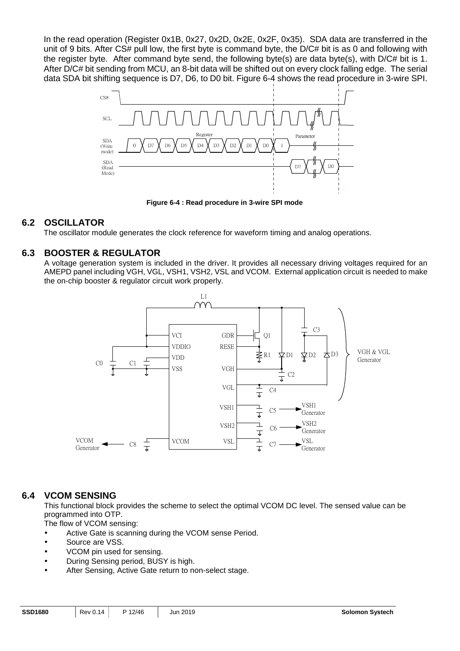In the read operation (Register 0x1B, 0x27, 0x2D, 0x2E, 0x2F, 0x35). SDA data are transferred in the unit of 9 bits. After CS# pull low, the first byte is command byte, the D/C# bit is as 0 and following with the register byte. After command byte send, the following byte(s) are data byte(s), with D/C# bit is 1. After D/C# bit sending from MCU, an 8-bit data will be shifted out on every clock falling edge. The serial data SDA bit shifting sequence is D7, D6, to D0 bit. Figure 6-4 shows the read procedure in 3-wire SPI.



**Figure 6-4 : Read procedure in 3-wire SPI mode** 

## **6.2 OSCILLATOR**

The oscillator module generates the clock reference for waveform timing and analog operations.

## **6.3 BOOSTER & REGULATOR**

A voltage generation system is included in the driver. It provides all necessary driving voltages required for an AMEPD panel including VGH, VGL, VSH1, VSH2, VSL and VCOM. External application circuit is needed to make the on-chip booster & regulator circuit work properly.



## **6.4 VCOM SENSING**

This functional block provides the scheme to select the optimal VCOM DC level. The sensed value can be programmed into OTP.

The flow of VCOM sensing:

- Active Gate is scanning during the VCOM sense Period.
- Source are VSS.
- VCOM pin used for sensing.
- During Sensing period, BUSY is high.
- After Sensing, Active Gate return to non-select stage.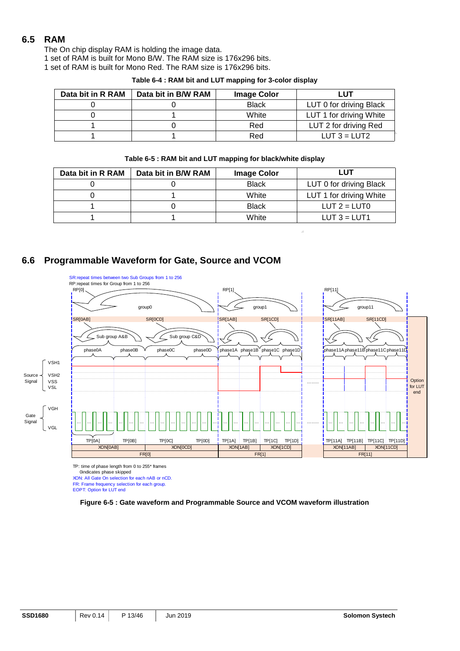## **6.5 RAM**

The On chip display RAM is holding the image data.

1 set of RAM is built for Mono B/W. The RAM size is 176x296 bits.

1 set of RAM is built for Mono Red. The RAM size is 176x296 bits.

| Data bit in R RAM | Data bit in B/W RAM | <b>Image Color</b> | LUT                     |
|-------------------|---------------------|--------------------|-------------------------|
|                   |                     | <b>Black</b>       | LUT 0 for driving Black |
|                   |                     | White              | LUT 1 for driving White |
|                   |                     | Red                | LUT 2 for driving Red   |
|                   |                     | Red                | LUT $3 = LUT2$          |

**Table 6-4 : RAM bit and LUT mapping for 3-color display** 

#### **Table 6-5 : RAM bit and LUT mapping for black/white display**

| Data bit in R RAM | Data bit in B/W RAM | <b>Image Color</b> | ∟UT                     |
|-------------------|---------------------|--------------------|-------------------------|
|                   |                     | <b>Black</b>       | LUT 0 for driving Black |
|                   |                     | White              | LUT 1 for driving White |
|                   |                     | <b>Black</b>       | LUT $2 = LUT0$          |
|                   |                     | White              | LUT $3 = LUT1$          |

## **6.6 Programmable Waveform for Gate, Source and VCOM**



TP: time of phase length from 0 to 255\* frames

0indicates phase skipped

XON: All Gate On selection for each nAB or nCD. FR: Frame frequency selection for each group.

EOPT: Option for LUT end

**Figure 6-5 : Gate waveform and Programmable Source and VCOM waveform illustration**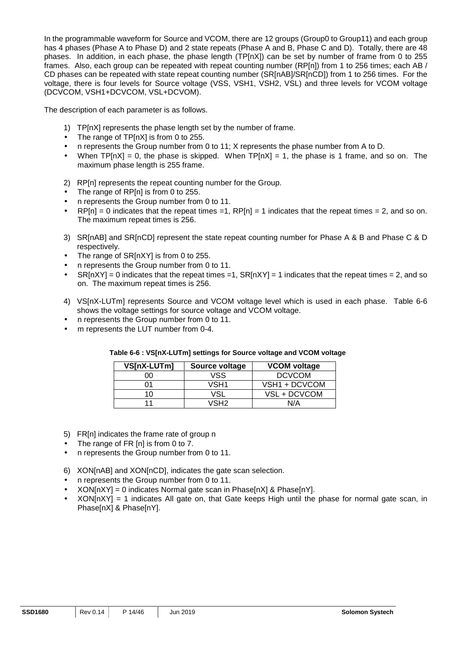In the programmable waveform for Source and VCOM, there are 12 groups (Group0 to Group11) and each group has 4 phases (Phase A to Phase D) and 2 state repeats (Phase A and B, Phase C and D). Totally, there are 48 phases. In addition, in each phase, the phase length (TP[nX]) can be set by number of frame from 0 to 255 frames. Also, each group can be repeated with repeat counting number (RP[n]) from 1 to 256 times; each AB / CD phases can be repeated with state repeat counting number (SR[nAB]/SR[nCD]) from 1 to 256 times. For the voltage, there is four levels for Source voltage (VSS, VSH1, VSH2, VSL) and three levels for VCOM voltage (DCVCOM, VSH1+DCVCOM, VSL+DCVOM).

The description of each parameter is as follows.

- 1) TP[nX] represents the phase length set by the number of frame.
- The range of TP[nX] is from 0 to 255.
- n represents the Group number from 0 to 11; X represents the phase number from A to D.
- When  $TP[nX] = 0$ , the phase is skipped. When  $TP[nX] = 1$ , the phase is 1 frame, and so on. The maximum phase length is 255 frame.
- 2) RP[n] represents the repeat counting number for the Group.
- The range of RP[n] is from 0 to 255.
- n represents the Group number from 0 to 11.
- $RP[n] = 0$  indicates that the repeat times =1,  $RP[n] = 1$  indicates that the repeat times = 2, and so on. The maximum repeat times is 256.
- 3) SR[nAB] and SR[nCD] represent the state repeat counting number for Phase A & B and Phase C & D respectively.
- The range of SR[nXY] is from 0 to 255.
- n represents the Group number from 0 to 11.
- $S\{N[NY] = 0\}$  indicates that the repeat times = 1,  $S\{N[NX] = 1\}$  indicates that the repeat times = 2, and so on. The maximum repeat times is 256.
- 4) VS[nX-LUTm] represents Source and VCOM voltage level which is used in each phase. Table 6-6 shows the voltage settings for source voltage and VCOM voltage.
- n represents the Group number from 0 to 11.
- m represents the LUT number from 0-4.

| VS[nX-LUTm] | Source voltage | <b>VCOM voltage</b> |  |  |
|-------------|----------------|---------------------|--|--|
| ገበ          | VSS            | <b>DCVCOM</b>       |  |  |
|             | VSH1           | VSH1 + DCVCOM       |  |  |
| 10          | VSI            | VSL + DCVCOM        |  |  |
|             | VSH2           | N/A                 |  |  |

#### **Table 6-6 : VS[nX-LUTm] settings for Source voltage and VCOM voltage**

- 5) FR[n] indicates the frame rate of group n
- The range of FR [n] is from 0 to 7.
- n represents the Group number from 0 to 11.
- 6) XON[nAB] and XON[nCD], indicates the gate scan selection.
- n represents the Group number from 0 to 11.
- $XON[nXY] = 0$  indicates Normal gate scan in Phase $[nX]$  & Phase $[nY]$ .
- $XON[nXY] = 1$  indicates All gate on, that Gate keeps High until the phase for normal gate scan, in Phase[nX] & Phase[nY].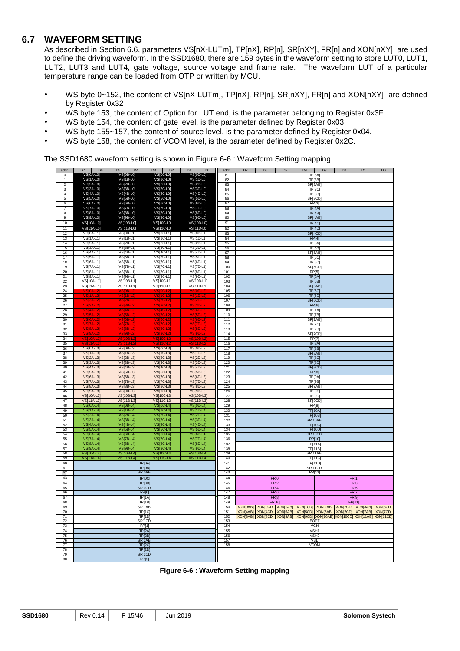## **6.7 WAVEFORM SETTING**

As described in Section 6.6, parameters VS[nX-LUTm], TP[nX], RP[n], SR[nXY], FR[n] and XON[nXY] are used to define the driving waveform. In the SSD1680, there are 159 bytes in the waveform setting to store LUT0, LUT1, LUT2, LUT3 and LUT4, gate voltage, source voltage and frame rate. The waveform LUT of a particular temperature range can be loaded from OTP or written by MCU.

- WS byte 0~152, the content of VS[nX-LUTm], TP[nX], RP[n], SR[nXY], FR[n] and XON[nXY] are defined by Register 0x32
- WS byte 153, the content of Option for LUT end, is the parameter belonging to Register 0x3F.
- WS byte 154, the content of gate level, is the parameter defined by Register 0x03.
- WS byte 155~157, the content of source level, is the parameter defined by Register 0x04.
- WS byte 158, the content of VCOM level, is the parameter defined by Register 0x2C.

The SSD1680 waveform setting is shown in Figure 6-6 : Waveform Setting mapping

| addr.           | D7<br>D <sub>6</sub>            | D <sub>5</sub><br>D <sub>4</sub>   | D <sub>3</sub><br>D <sub>2</sub> | D <sub>1</sub><br>D <sub>0</sub> | addr.      | D7                | D <sub>6</sub> | D <sub>5</sub> | D <sub>4</sub>                    | D <sub>3</sub>     | D <sub>2</sub>                                                             | D1           | D <sub>0</sub> |
|-----------------|---------------------------------|------------------------------------|----------------------------------|----------------------------------|------------|-------------------|----------------|----------------|-----------------------------------|--------------------|----------------------------------------------------------------------------|--------------|----------------|
| $\Omega$        | VS[0A-L0]                       | $VSTOB$ -L0]                       | VS[0C-L0]                        | VS[0D-L0]                        | 81         |                   |                |                |                                   | TP[3A]             |                                                                            |              |                |
| 1               | VS[1A-L0]                       | VS[1B-L0]                          | VS[1C-L0]                        | VS[1D-L0]                        | 82         |                   |                |                |                                   | TF[3B]             |                                                                            |              |                |
| $\overline{2}$  | <b>VS[2A-L0]</b>                | VS[2B-L0]                          | VS[2C-L0]                        | VS[2D-L0]                        | 83         |                   |                |                | SRI3AB                            |                    |                                                                            |              |                |
| 3               | VS[3A-L0]                       | VS[3B-L0]                          | VS[3C-L0]                        | VS[3D-L0]                        | 84         |                   |                |                |                                   | TPI3C              |                                                                            |              |                |
| $\overline{4}$  | VS[4A-L0]                       | VS[4B-L0]                          | VS[4C-L0]                        | VS[4D-L0]                        | 85         |                   |                |                |                                   | TP[3D]             |                                                                            |              |                |
| 5               | <b>VS[5A-L0]</b>                | <b>VS[5B-L0]</b>                   | <b>VS[5C-L0]</b>                 | <b>VS[5D-L0]</b>                 | 86         |                   |                |                | SR[3CD]                           |                    |                                                                            |              |                |
| 6               | <b>VS[6A-L0]</b>                | <b>VS[6B-L0]</b>                   | VS[6C-L0]                        | <b>VS[6D-L0]</b>                 | 87         |                   |                |                | RP[3]                             |                    |                                                                            |              |                |
| $\overline{7}$  | VS[7A-L0]                       | VS[7B-L0]                          | <b>VS[7C-L0]</b>                 | <b>VS[7D-L0]</b>                 | 88         |                   |                |                |                                   | TF[4A]             |                                                                            |              |                |
| 8               | <b>VS[8A-L0]</b>                | VS[8B-L0]                          | VS[8C-L0]                        | VS[8D-L0]                        | 89         |                   |                |                | TF[4B]                            |                    |                                                                            |              |                |
| 9               | VS[9A-L0]                       | <b>VS[9B-L0]</b>                   | VS[9C-L0]                        | VS[9D-L0]                        | 90         |                   |                |                | SR[4AB]                           |                    |                                                                            |              |                |
| 10              | VS[10A-L0]                      | VS[10B-L0]                         | VS[10C-L0]                       | VS[10D-L0]                       | 91         |                   |                |                | <b>TP[4C]</b>                     |                    |                                                                            |              |                |
| 11              | VS[11A-L0]                      | VS[11B-L0]                         | VS[11C-L0]                       | VS[11D-L0]                       | 92         |                   |                |                | <b>TP[4D]</b>                     |                    |                                                                            |              |                |
| 12              | <b>VS[0A-L1]</b>                | <b>VS[0B-L1]</b>                   | <b>VS[0C-L1]</b>                 | <b>VS[0D-L1]</b>                 | 93         |                   |                |                | SR[4CD]                           |                    |                                                                            |              |                |
| 13              | <b>VS[1A-L1]</b>                | <b>VS[1B-L1]</b>                   | VS[1C-L1]                        | VS[1D-L1]                        | 94         |                   |                |                |                                   | RP[4]              |                                                                            |              |                |
| 14              | VS[2A-L1]                       | <b>VS[2B-L1]</b>                   | VS[2C-L1]                        | VS[2D-L1]                        | 95         |                   |                |                |                                   | TF[5A]             |                                                                            |              |                |
| 15              | $VS[3A-L1]$                     | <b>VS[3B-L1]</b>                   | VS[3C-L1]                        | $VS[3D-L1]$                      | 96         |                   |                |                |                                   | TF[5B]             |                                                                            |              |                |
| 16              | VS[4A-L1]                       | VS[4B-L1]                          | VS[4C-L1]                        | VS[4D-L1]                        | 97         |                   |                |                | SR[5AB]                           |                    |                                                                            |              |                |
| 17              | <b>VSI5A-L11</b>                | $VS[5B-L1]$                        | $VS[5C-L1]$                      | $VS[5D-L1]$                      | 98         |                   |                |                |                                   | TF[5C]             |                                                                            |              |                |
| 18              | <b>VS[6A-L1]</b>                | <b>VS[6B-L1]</b>                   | <b>VS[6C-L1]</b>                 | <b>VS[6D-L1]</b>                 | 99         |                   |                |                |                                   | TF[5D]             |                                                                            |              |                |
| 19              | <b>VS[7A-L1]</b>                | <b>VS[7B-L1]</b>                   | VS[7C-L1]                        | VS[7D-L1]                        | 100        |                   |                |                | SR[5CD]                           |                    |                                                                            |              |                |
| 20              | <b>VS[8A-L1]</b>                | VS[8B-L1]                          | <b>VSI8C-L1</b>                  | <b>VS[8D-L1]</b>                 | 101        |                   |                |                | RP <sub>[5]</sub>                 |                    |                                                                            |              |                |
| $\overline{21}$ | <b>VS[9A-L1]</b>                | <b>VS[9B-L1]</b>                   | <b>VS[9C-L1]</b>                 | <b>VS[9D-L1]</b>                 | 102        |                   |                |                |                                   | TP <sub>[6A]</sub> |                                                                            |              |                |
| 22              | VS[10A-L1]                      | VS[10B-L1]                         | VS[10C-L1]                       | VS[10D-L1]                       | 103        |                   |                |                |                                   | TF[6B]             |                                                                            |              |                |
| 23              | VS[11A-L1]                      | VS[11B-L1]                         | VS[11C-L1]                       | VS[11D-L1]                       | 104        |                   |                |                | SR[6AB]                           |                    |                                                                            |              |                |
| 24              |                                 |                                    |                                  |                                  | 105        |                   |                |                | TP[6C]                            |                    |                                                                            |              |                |
| 25              |                                 |                                    |                                  |                                  | 106        |                   |                |                | TP[6D]                            |                    |                                                                            |              |                |
| 26              |                                 |                                    |                                  |                                  | 107        |                   |                |                | SR[6CD]                           |                    |                                                                            |              |                |
| 27              |                                 |                                    |                                  |                                  | 108        |                   |                |                | <b>RP[6]</b>                      |                    |                                                                            |              |                |
| 28<br>29        |                                 |                                    |                                  |                                  | 109<br>110 |                   |                |                |                                   | TF[7A]<br>TP[7B]   |                                                                            |              |                |
| 30              |                                 |                                    |                                  |                                  | 111        |                   |                |                | SR[7AB]                           |                    |                                                                            |              |                |
| 31              |                                 |                                    |                                  |                                  | 112        |                   |                |                |                                   | <b>TP[7C]</b>      |                                                                            |              |                |
| 32              |                                 |                                    |                                  |                                  | 113        |                   |                |                |                                   | TF[7D]             |                                                                            |              |                |
| 33              |                                 | $\overline{\mathsf{VS}}$<br>$9B -$ |                                  | VS[9D-L]                         | 114        |                   |                |                | SR[7CD]                           |                    |                                                                            |              |                |
| 34              | 10A                             | <b>VSI10B-</b>                     |                                  | VSM0D                            | 115        |                   |                |                | RP[7]                             |                    |                                                                            |              |                |
| 35              |                                 |                                    |                                  |                                  | 116        |                   |                |                | TP[8A]                            |                    |                                                                            |              |                |
| 36              | <b>VS[0A-L3]</b>                | <b>VS[0B-L3]</b>                   | <b>VS[0C-L3]</b>                 | <b>VS[0D-L3]</b>                 | 117        |                   |                |                | TP[8B]                            |                    |                                                                            |              |                |
| 37              | <b>VS[1A-L3]</b>                | $\overline{\text{VS}}$ [1B-L3]     | VS[1C-L3]                        | <b>VS[1D-L3]</b>                 | 118        |                   |                |                | SR[8AB]                           |                    |                                                                            |              |                |
| 38              | <b>VS[2A-L3]</b>                | $VS[2B-L3]$                        | <b>VS[2C-L3]</b>                 | <b>VS[2D-L3]</b>                 | 119        |                   |                |                | TP[8C]                            |                    |                                                                            |              |                |
| 39              | VS[3A-L3]                       | $VS[3B-L3]$                        | VS[3C-L3]                        | <b>VS[3D-L3]</b>                 | 120        |                   |                |                |                                   | TP[8D]             |                                                                            |              |                |
| 40              | <b>VS[4A-L3]</b>                | $VS[4B-L3]$                        | <b>VS[4C-L3]</b>                 | $VS[4D-L3]$                      | 121        |                   |                |                | SR[8CD]                           |                    |                                                                            |              |                |
| 41              | <b>VS[5A-L3]</b>                | <b>VS[5B-L3]</b>                   | <b>VS[5C-L3]</b>                 | <b>VS[5D-L3]</b>                 | 122        |                   |                |                | <b>RP[8]</b>                      |                    |                                                                            |              |                |
| 42              | <b>VS[6A-L3]</b>                | <b>VS[6B-L3]</b>                   | <b>VS[6C-L3]</b>                 | <b>VS[6D-L3]</b>                 | 123        |                   |                |                | TP[9A]                            |                    |                                                                            |              |                |
| 43              | <b>VS[7A-L3]</b>                | <b>VS[7B-L3]</b>                   | <b>VS[7C-L3]</b>                 | $VS$ [7D-L3]                     | 124        |                   |                |                |                                   | TP[9B]             |                                                                            |              |                |
| 44              | <b>VS[8A-L3]</b>                | <b>VS[8B-L3]</b>                   | <b>VS[8C-L3]</b>                 | <b>VS[8D-L3]</b>                 | 125        |                   |                |                | SR[9AB]                           |                    |                                                                            |              |                |
| 45              | <b>VS[9A-L3]</b>                | $VS[9B-L3]$                        | <b>VS[9C-L3]</b>                 | <b>VS[9D-L3]</b>                 | 126        |                   |                |                | TP[9C]                            |                    |                                                                            |              |                |
| 46              | VS[10A-L3]                      | VS[10B-L3]                         | VS[10C-L3]                       | VS[10D-L3]                       | 127        |                   |                |                | TP[9D]                            |                    |                                                                            |              |                |
| 47              | VS[11A-L3]                      | <b>VS[11B-L3]</b>                  | <b>VS[11C-L3]</b>                | VS[11D-L3]                       | 128        |                   |                |                | SR[9CD]                           |                    |                                                                            |              |                |
| 48              | <b>VS[0A-L4]</b>                | VS[0B-L4]                          | <b>VS[0C-L4]</b>                 | VS[0D-L4]                        | 129        |                   |                |                | RP[9]                             |                    |                                                                            |              |                |
| 49              | $VS[1A-L4]$                     | $VS[1B-L4]$                        | $\overline{VS[1C\text{-}L4]}$    | <b>VS[1D-L4]</b>                 | 130        |                   |                |                | <b>TP[10A]</b>                    |                    |                                                                            |              |                |
| 50<br>51        | <b>VS[2A-L4]</b><br>$VS[3A-L4]$ | <b>VS[2B-L4]</b><br>$VS[3B-L4]$    | VS[2C-L4]<br>$VS[3C-L4]$         | <b>VS[2D-L4]</b><br>$VS[3D-L4]$  | 131<br>132 |                   |                |                | <b>TP[10B]</b><br><b>SR[10AB]</b> |                    |                                                                            |              |                |
|                 | $VS[4A-L4]$                     | $VS[4B-L4]$                        | <b>VS[4C-L4]</b>                 | $VS[4D-L4]$                      | 133        |                   |                |                | <b>TP[10C]</b>                    |                    |                                                                            |              |                |
| 52<br>53        | $VST5A-L4$                      | $VST5B-L41$                        | $\overline{\text{VSi5C-L41}}$    | $VST5D-L41$                      | 134        |                   |                |                | TP[10D]                           |                    |                                                                            |              |                |
| 54              | <b>VS[6A-L4]</b>                | <b>VS[6B-L4]</b>                   | VS[6C-L4]                        | VS[6D-L4]                        | 135        |                   |                |                | <b>SR[10CD]</b>                   |                    |                                                                            |              |                |
| 55              | <b>VS[7A-L4]</b>                | <b>VS[7B-L4]</b>                   | <b>VS[7C-L4]</b>                 | <b>VS[7D-L4]</b>                 | 136        |                   |                |                | RP[10]                            |                    |                                                                            |              |                |
| 56              | <b>VS[8A-L4</b>                 | <b>VS[8B-L4]</b>                   | $VS[8C-L4]$                      | VS[8D-L4]                        | 137        |                   |                |                |                                   | TP[11A]            |                                                                            |              |                |
| 57              | VS[9A-L4]                       | <b>VS[9B-L4]</b>                   | <b>VS[9C-L4]</b>                 | <b>VS[9D-L4]</b>                 | 138        |                   |                |                | TP[11B]                           |                    |                                                                            |              |                |
| 58              | <b>VS[10A-L4]</b>               | <b>VS[10B-L4]</b>                  | <b>VS[10C-L4]</b>                | VS[10D-L4]                       | 139        |                   |                |                | SR[11AB]                          |                    |                                                                            |              |                |
| 59              | <b>VS[11A-L4]</b>               | <b>VS[11B-L4]</b>                  | <b>VS[11C-L4]</b>                | <b>VS[11D-L4]</b>                | 140        |                   |                |                |                                   | <b>TP[11C]</b>     |                                                                            |              |                |
| 60              |                                 | TP[0A]                             |                                  |                                  | 141        |                   |                |                |                                   | <b>TP[11D]</b>     |                                                                            |              |                |
| 61              |                                 | TP[0B]                             |                                  |                                  | 142        |                   |                |                | SR[11CD]                          |                    |                                                                            |              |                |
| 62              |                                 | SR[0AB]                            |                                  |                                  | 143        |                   |                |                | <b>RP[11]</b>                     |                    |                                                                            |              |                |
| 63              |                                 | TP[0C]                             |                                  |                                  | 144        |                   |                | FR[0]          |                                   |                    |                                                                            | <b>FR[1]</b> |                |
| 64              |                                 | <b>TP[0D]</b>                      |                                  |                                  | 145        |                   |                | FR[2]          |                                   |                    |                                                                            | FR[3]        |                |
| 65              |                                 | SR[0CD]                            |                                  |                                  | 146        |                   |                | FR[4]          |                                   |                    |                                                                            | FR[5]        |                |
| 66              |                                 | <b>RP[0]</b>                       |                                  |                                  | 147        |                   | FR[6]          |                |                                   |                    | FR[7]                                                                      |              |                |
| 67              |                                 | TF[1A]                             |                                  |                                  | 148        |                   | FR[8]          |                |                                   |                    |                                                                            | FR[9]        |                |
| 68              |                                 | $\overline{TP}$ [1B]               |                                  |                                  | 149        |                   |                | <b>FR[10]</b>  |                                   |                    |                                                                            | FR[11]       |                |
| 69              |                                 | SR[1AB                             |                                  |                                  | 150        | XON[0AB] XON[0CD] |                |                | XON[1AB] XON[1CD]                 | XON[2AB]           | XON[2CD] XON[3AB]                                                          |              | XON[3CD]       |
| 70              |                                 | TF[1C]                             |                                  |                                  | 151        | XON[4AB] XON[4CD] |                | XON[5AB]       | XON[5CD]                          | XON[6AB]           | XON[6CD] XON[7AB]                                                          |              | XON[7CD]       |
| $\overline{71}$ |                                 | TF[1D]                             |                                  |                                  | 152        |                   |                |                |                                   |                    | XON 8AB] XON 8CD] XON 9AB] XON 9CD] XON 10AB] XON 10CD] XON 11AB] XON 11CD |              |                |
| 72              |                                 | SR[1CD]                            |                                  |                                  | 153        |                   |                |                | EOPT                              |                    |                                                                            |              |                |
| 73              |                                 | RP[1]                              |                                  |                                  | 154        |                   |                |                |                                   | VGH                |                                                                            |              |                |
| 74              |                                 | TP[2A]                             |                                  |                                  | 155        |                   |                |                |                                   | VSH <sub>1</sub>   |                                                                            |              |                |
| 75              |                                 | TP[2B]                             |                                  |                                  | 156        |                   |                |                |                                   | VSH <sub>2</sub>   |                                                                            |              |                |
| 76<br>77        |                                 | SR[2AB]<br>TP[2C]                  |                                  |                                  | 157<br>158 |                   |                |                | <b>VSL</b>                        | <b>VCOM</b>        |                                                                            |              |                |
| 78              |                                 | <b>TP[2D]</b>                      |                                  |                                  |            |                   |                |                |                                   |                    |                                                                            |              |                |
| 79              |                                 | SR[2CD                             |                                  |                                  |            |                   |                |                |                                   |                    |                                                                            |              |                |
| 80              |                                 | <b>RP[2]</b>                       |                                  |                                  |            |                   |                |                |                                   |                    |                                                                            |              |                |

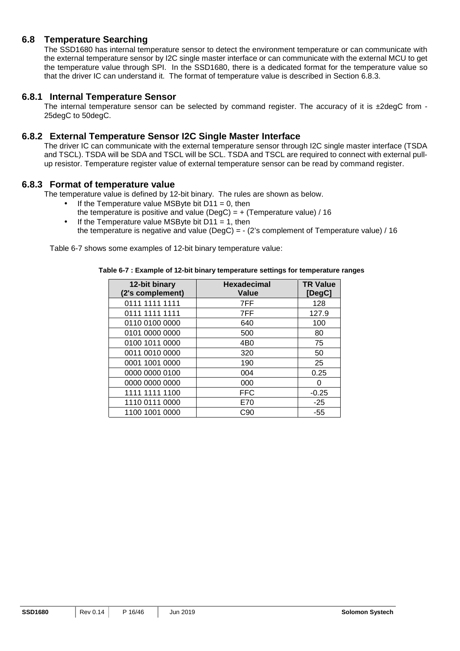#### **6.8 Temperature Searching**

The SSD1680 has internal temperature sensor to detect the environment temperature or can communicate with the external temperature sensor by I2C single master interface or can communicate with the external MCU to get the temperature value through SPI. In the SSD1680, there is a dedicated format for the temperature value so that the driver IC can understand it. The format of temperature value is described in Section 6.8.3.

#### **6.8.1 Internal Temperature Sensor**

The internal temperature sensor can be selected by command register. The accuracy of it is  $\pm 2$ degC from -25degC to 50degC.

#### **6.8.2 External Temperature Sensor I2C Single Master Interface**

The driver IC can communicate with the external temperature sensor through I2C single master interface (TSDA and TSCL). TSDA will be SDA and TSCL will be SCL. TSDA and TSCL are required to connect with external pullup resistor. Temperature register value of external temperature sensor can be read by command register.

#### **6.8.3 Format of temperature value**

The temperature value is defined by 12-bit binary. The rules are shown as below.

- If the Temperature value MSByte bit  $D11 = 0$ , then the temperature is positive and value (DegC) =  $+$  (Temperature value) / 16
- If the Temperature value MSByte bit  $D11 = 1$ , then the temperature is negative and value (DegC) = - (2's complement of Temperature value) / 16

Table 6-7 shows some examples of 12-bit binary temperature value:

#### **Table 6-7 : Example of 12-bit binary temperature settings for temperature ranges**

| 12-bit binary<br>(2's complement) | <b>Hexadecimal</b><br>Value | <b>TR Value</b><br>[DegC] |
|-----------------------------------|-----------------------------|---------------------------|
| 0111 1111 1111                    | 7FF                         | 128                       |
| 0111 1111 1111                    | 7FF                         | 127.9                     |
| 0110 0100 0000                    | 640                         | 100                       |
| 0101 0000 0000                    | 500                         | 80                        |
| 0100 1011 0000                    | 4 <sub>B</sub> 0            | 75                        |
| 0011 0010 0000                    | 320                         | 50                        |
| 0001 1001 0000                    | 190                         | 25                        |
| 0000 0000 0100                    | 004                         | 0.25                      |
| 0000 0000 0000                    | 000                         | O                         |
| 1111 1111 1100                    | <b>FFC</b>                  | $-0.25$                   |
| 1110 0111 0000                    | E70                         | $-25$                     |
| 1100 1001 0000                    | C90                         | $-55$                     |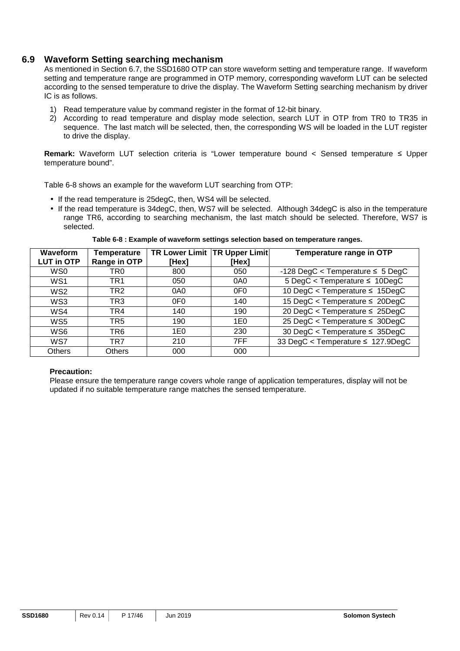#### **6.9 Waveform Setting searching mechanism**

As mentioned in Section 6.7, the SSD1680 OTP can store waveform setting and temperature range. If waveform setting and temperature range are programmed in OTP memory, corresponding waveform LUT can be selected according to the sensed temperature to drive the display. The Waveform Setting searching mechanism by driver IC is as follows.

- 1) Read temperature value by command register in the format of 12-bit binary.
- 2) According to read temperature and display mode selection, search LUT in OTP from TR0 to TR35 in sequence. The last match will be selected, then, the corresponding WS will be loaded in the LUT register to drive the display.

**Remark:** Waveform LUT selection criteria is "Lower temperature bound < Sensed temperature ≤ Upper temperature bound".

Table 6-8 shows an example for the waveform LUT searching from OTP:

- If the read temperature is 25degC, then, WS4 will be selected.
- If the read temperature is 34degC, then, WS7 will be selected. Although 34degC is also in the temperature range TR6, according to searching mechanism, the last match should be selected. Therefore, WS7 is selected.

**Waveform LUT in OTP Temperature Range in OTP TR Lower Limit TR Upper Limit [Hex] [Hex] Temperature range in OTP** WS0 | TR0 | 800 | 050 | -128 DegC < Temperature ≤ 5 DegC WS1 | TR1 | 050 | 0A0 | 5 DegC < Temperature ≤ 10DegC WS2 | TR2 0A0 | 0F0 | 10 DegC < Temperature ≤ 15DegC WS3 | TR3 | 0F0 | 140 | 15 DegC < Temperature ≤ 20DegC WS4 TR4 140 190 20 DegC < Temperature ≤ 25DegC WS5 | TR5 | 190 | 1E0 | 25 DegC < Temperature ≤ 30DegC WS6 | TR6 1E0 | 230 | 30 DegC < Temperature ≤ 35DegC WS7 | TR7 | 210 | 7FF | 33 DegC < Temperature ≤ 127.9DegC Others Others 000 000

**Table 6-8 : Example of waveform settings selection based on temperature ranges.** 

#### **Precaution:**

Please ensure the temperature range covers whole range of application temperatures, display will not be updated if no suitable temperature range matches the sensed temperature.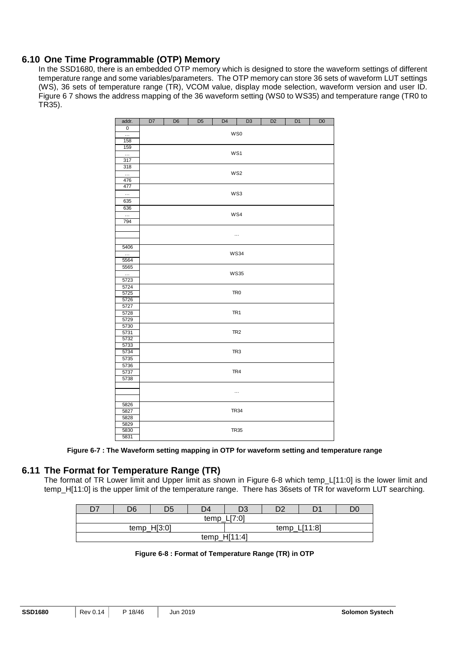## **6.10 One Time Programmable (OTP) Memory**

In the SSD1680, there is an embedded OTP memory which is designed to store the waveform settings of different temperature range and some variables/parameters. The OTP memory can store 36 sets of waveform LUT settings (WS), 36 sets of temperature range (TR), VCOM value, display mode selection, waveform version and user ID. Figure 6 7 shows the address mapping of the 36 waveform setting (WS0 to WS35) and temperature range (TR0 to TR35).

| addr.          | D7  | D <sub>6</sub>  | D <sub>5</sub> | D <sub>4</sub> | D <sub>3</sub>  | D <sub>2</sub> | D <sub>1</sub> | D <sub>0</sub> |  |  |  |
|----------------|-----|-----------------|----------------|----------------|-----------------|----------------|----------------|----------------|--|--|--|
| $\overline{0}$ |     |                 |                |                |                 |                |                |                |  |  |  |
| $\cdots$       | WS0 |                 |                |                |                 |                |                |                |  |  |  |
| 158            |     |                 |                |                |                 |                |                |                |  |  |  |
| 159            |     |                 |                |                |                 |                |                |                |  |  |  |
| $\ldots$       |     | WS1             |                |                |                 |                |                |                |  |  |  |
| 317            |     |                 |                |                |                 |                |                |                |  |  |  |
| 318            |     |                 |                |                |                 |                |                |                |  |  |  |
| $\ldots$       |     | WS <sub>2</sub> |                |                |                 |                |                |                |  |  |  |
| 476            |     |                 |                |                |                 |                |                |                |  |  |  |
| 477            |     |                 |                |                |                 |                |                |                |  |  |  |
| $\cdots$       |     |                 |                |                | WS3             |                |                |                |  |  |  |
| 635            |     |                 |                |                |                 |                |                |                |  |  |  |
| 636            |     |                 |                |                |                 |                |                |                |  |  |  |
| $\cdots$       |     |                 |                |                | WS4             |                |                |                |  |  |  |
| 794            |     |                 |                |                |                 |                |                |                |  |  |  |
|                |     |                 |                |                |                 |                |                |                |  |  |  |
|                |     |                 |                |                | $\cdots$        |                |                |                |  |  |  |
|                |     |                 |                |                |                 |                |                |                |  |  |  |
| 5406           |     |                 |                |                |                 |                |                |                |  |  |  |
| $\ddotsc$      |     |                 |                |                | <b>WS34</b>     |                |                |                |  |  |  |
| 5564           |     |                 |                |                |                 |                |                |                |  |  |  |
| 5565           |     |                 |                |                |                 |                |                |                |  |  |  |
| $\ldots$       |     |                 |                |                | <b>WS35</b>     |                |                |                |  |  |  |
| 5723           |     |                 |                |                |                 |                |                |                |  |  |  |
| 5724           |     |                 |                |                |                 |                |                |                |  |  |  |
| 5725           |     |                 |                |                | TR <sub>0</sub> |                |                |                |  |  |  |
| 5726           |     |                 |                |                |                 |                |                |                |  |  |  |
| 5727           |     |                 |                |                |                 |                |                |                |  |  |  |
| 5728           |     |                 |                |                | TR <sub>1</sub> |                |                |                |  |  |  |
| 5729           |     |                 |                |                |                 |                |                |                |  |  |  |
| 5730<br>5731   |     |                 |                |                | TR <sub>2</sub> |                |                |                |  |  |  |
| 5732           |     |                 |                |                |                 |                |                |                |  |  |  |
| 5733           |     |                 |                |                |                 |                |                |                |  |  |  |
| 5734           |     |                 |                |                | TR <sub>3</sub> |                |                |                |  |  |  |
| 5735           |     |                 |                |                |                 |                |                |                |  |  |  |
| 5736           |     |                 |                |                |                 |                |                |                |  |  |  |
| 5737           |     |                 |                |                | TR4             |                |                |                |  |  |  |
| 5738           |     |                 |                |                |                 |                |                |                |  |  |  |
|                |     |                 |                |                |                 |                |                |                |  |  |  |
|                |     |                 |                |                |                 |                |                |                |  |  |  |
|                |     |                 |                |                |                 |                |                |                |  |  |  |
| 5826           |     |                 |                |                |                 |                |                |                |  |  |  |
| 5827           |     | <b>TR34</b>     |                |                |                 |                |                |                |  |  |  |
| 5828           |     |                 |                |                |                 |                |                |                |  |  |  |
| 5829           |     |                 |                |                |                 |                |                |                |  |  |  |
| 5830           |     |                 |                |                | <b>TR35</b>     |                |                |                |  |  |  |
| 5831           |     |                 |                |                |                 |                |                |                |  |  |  |

**Figure 6-7 : The Waveform setting mapping in OTP for waveform setting and temperature range** 

## **6.11 The Format for Temperature Range (TR)**

The format of TR Lower limit and Upper limit as shown in Figure 6-8 which temp\_L[11:0] is the lower limit and temp\_H[11:0] is the upper limit of the temperature range. There has 36sets of TR for waveform LUT searching.

| D7 | D6            | D5 | D4            | D <sub>3</sub> | מח      | D <sub>1</sub> | DC |
|----|---------------|----|---------------|----------------|---------|----------------|----|
|    |               |    | temp $L[7:0]$ | 117.01         |         |                |    |
|    | temp $H[3:0]$ |    |               |                | temp Li | LI11:8         |    |
|    |               |    |               | temp_H[11:4]   |         |                |    |

#### **Figure 6-8 : Format of Temperature Range (TR) in OTP**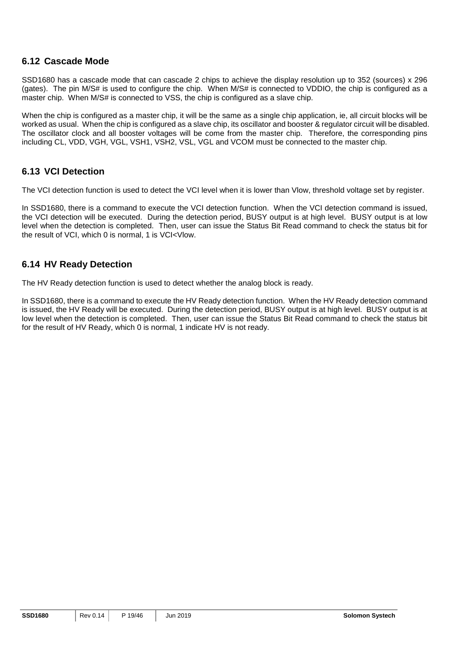#### **6.12 Cascade Mode**

SSD1680 has a cascade mode that can cascade 2 chips to achieve the display resolution up to 352 (sources) x 296 (gates). The pin M/S# is used to configure the chip. When M/S# is connected to VDDIO, the chip is configured as a master chip. When M/S# is connected to VSS, the chip is configured as a slave chip.

When the chip is configured as a master chip, it will be the same as a single chip application, ie, all circuit blocks will be worked as usual. When the chip is configured as a slave chip, its oscillator and booster & regulator circuit will be disabled. The oscillator clock and all booster voltages will be come from the master chip. Therefore, the corresponding pins including CL, VDD, VGH, VGL, VSH1, VSH2, VSL, VGL and VCOM must be connected to the master chip.

#### **6.13 VCI Detection**

The VCI detection function is used to detect the VCI level when it is lower than Vlow, threshold voltage set by register.

In SSD1680, there is a command to execute the VCI detection function. When the VCI detection command is issued, the VCI detection will be executed. During the detection period, BUSY output is at high level. BUSY output is at low level when the detection is completed. Then, user can issue the Status Bit Read command to check the status bit for the result of VCI, which 0 is normal, 1 is VCI<Vlow.

#### **6.14 HV Ready Detection**

The HV Ready detection function is used to detect whether the analog block is ready.

In SSD1680, there is a command to execute the HV Ready detection function. When the HV Ready detection command is issued, the HV Ready will be executed. During the detection period, BUSY output is at high level. BUSY output is at low level when the detection is completed. Then, user can issue the Status Bit Read command to check the status bit for the result of HV Ready, which 0 is normal, 1 indicate HV is not ready.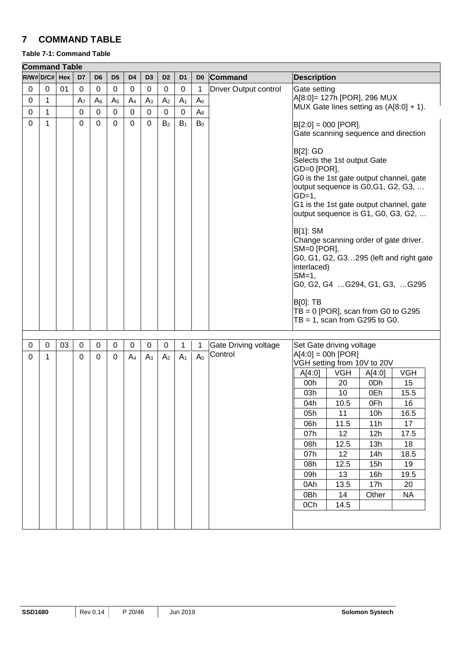## **7 COMMAND TABLE**

#### **Table 7-1: Command Table**

| R/W# D/C# Hex<br>D7<br>D <sub>6</sub><br>D <sub>5</sub><br>D <sub>4</sub><br>D <sub>3</sub><br>D <sub>2</sub><br>D <sub>1</sub><br>Command<br><b>Description</b><br>D <sub>0</sub><br>$\mathbf 0$<br>01<br>$\boldsymbol{0}$<br>0<br>0<br><b>Driver Output control</b><br>Gate setting<br>0<br>0<br>0<br>0<br>0<br>1<br>A[8:0]= 127h [POR], 296 MUX<br>0<br>1<br>$A_6$<br>A <sub>5</sub><br>A <sub>4</sub><br>A <sub>3</sub><br>A <sub>2</sub><br>A <sub>7</sub><br>A <sub>1</sub><br>A <sub>0</sub><br>MUX Gate lines setting as (A[8:0] + 1).<br>0<br>1<br>0<br>$\mathbf 0$<br>0<br>$\boldsymbol{0}$<br>$\boldsymbol{0}$<br>$A_8$<br>0<br>0<br>$\mathbf 0$<br>1<br>$\mathbf 0$<br>$\mathbf 0$<br>$\mathbf 0$<br>$\mathbf 0$<br>$\mathbf 0$<br>$B_1$<br>B <sub>0</sub><br>B <sub>2</sub><br>$B[2:0] = 000$ [POR].<br>Gate scanning sequence and direction<br><b>B[2]: GD</b><br>Selects the 1st output Gate<br>GD=0 [POR],<br>G0 is the 1st gate output channel, gate<br>output sequence is G0,G1, G2, G3, | <b>Command Table</b> |  |  |  |  |  |  |  |
|------------------------------------------------------------------------------------------------------------------------------------------------------------------------------------------------------------------------------------------------------------------------------------------------------------------------------------------------------------------------------------------------------------------------------------------------------------------------------------------------------------------------------------------------------------------------------------------------------------------------------------------------------------------------------------------------------------------------------------------------------------------------------------------------------------------------------------------------------------------------------------------------------------------------------------------------------------------------------------------------------------|----------------------|--|--|--|--|--|--|--|
|                                                                                                                                                                                                                                                                                                                                                                                                                                                                                                                                                                                                                                                                                                                                                                                                                                                                                                                                                                                                            |                      |  |  |  |  |  |  |  |
|                                                                                                                                                                                                                                                                                                                                                                                                                                                                                                                                                                                                                                                                                                                                                                                                                                                                                                                                                                                                            |                      |  |  |  |  |  |  |  |
|                                                                                                                                                                                                                                                                                                                                                                                                                                                                                                                                                                                                                                                                                                                                                                                                                                                                                                                                                                                                            |                      |  |  |  |  |  |  |  |
|                                                                                                                                                                                                                                                                                                                                                                                                                                                                                                                                                                                                                                                                                                                                                                                                                                                                                                                                                                                                            |                      |  |  |  |  |  |  |  |
|                                                                                                                                                                                                                                                                                                                                                                                                                                                                                                                                                                                                                                                                                                                                                                                                                                                                                                                                                                                                            |                      |  |  |  |  |  |  |  |
|                                                                                                                                                                                                                                                                                                                                                                                                                                                                                                                                                                                                                                                                                                                                                                                                                                                                                                                                                                                                            |                      |  |  |  |  |  |  |  |
|                                                                                                                                                                                                                                                                                                                                                                                                                                                                                                                                                                                                                                                                                                                                                                                                                                                                                                                                                                                                            |                      |  |  |  |  |  |  |  |
|                                                                                                                                                                                                                                                                                                                                                                                                                                                                                                                                                                                                                                                                                                                                                                                                                                                                                                                                                                                                            |                      |  |  |  |  |  |  |  |
|                                                                                                                                                                                                                                                                                                                                                                                                                                                                                                                                                                                                                                                                                                                                                                                                                                                                                                                                                                                                            |                      |  |  |  |  |  |  |  |
|                                                                                                                                                                                                                                                                                                                                                                                                                                                                                                                                                                                                                                                                                                                                                                                                                                                                                                                                                                                                            |                      |  |  |  |  |  |  |  |
|                                                                                                                                                                                                                                                                                                                                                                                                                                                                                                                                                                                                                                                                                                                                                                                                                                                                                                                                                                                                            |                      |  |  |  |  |  |  |  |
| $GD=1$ ,                                                                                                                                                                                                                                                                                                                                                                                                                                                                                                                                                                                                                                                                                                                                                                                                                                                                                                                                                                                                   |                      |  |  |  |  |  |  |  |
| G1 is the 1st gate output channel, gate<br>output sequence is G1, G0, G3, G2,                                                                                                                                                                                                                                                                                                                                                                                                                                                                                                                                                                                                                                                                                                                                                                                                                                                                                                                              |                      |  |  |  |  |  |  |  |
|                                                                                                                                                                                                                                                                                                                                                                                                                                                                                                                                                                                                                                                                                                                                                                                                                                                                                                                                                                                                            |                      |  |  |  |  |  |  |  |
| <b>B[1]: SM</b>                                                                                                                                                                                                                                                                                                                                                                                                                                                                                                                                                                                                                                                                                                                                                                                                                                                                                                                                                                                            |                      |  |  |  |  |  |  |  |
| Change scanning order of gate driver.                                                                                                                                                                                                                                                                                                                                                                                                                                                                                                                                                                                                                                                                                                                                                                                                                                                                                                                                                                      |                      |  |  |  |  |  |  |  |
| SM=0 [POR],<br>G0, G1, G2, G3295 (left and right gate                                                                                                                                                                                                                                                                                                                                                                                                                                                                                                                                                                                                                                                                                                                                                                                                                                                                                                                                                      |                      |  |  |  |  |  |  |  |
| interlaced)                                                                                                                                                                                                                                                                                                                                                                                                                                                                                                                                                                                                                                                                                                                                                                                                                                                                                                                                                                                                |                      |  |  |  |  |  |  |  |
| $SM=1$ ,                                                                                                                                                                                                                                                                                                                                                                                                                                                                                                                                                                                                                                                                                                                                                                                                                                                                                                                                                                                                   |                      |  |  |  |  |  |  |  |
| G0, G2, G4 G294, G1, G3, G295                                                                                                                                                                                                                                                                                                                                                                                                                                                                                                                                                                                                                                                                                                                                                                                                                                                                                                                                                                              |                      |  |  |  |  |  |  |  |
| <b>B[0]: TB</b>                                                                                                                                                                                                                                                                                                                                                                                                                                                                                                                                                                                                                                                                                                                                                                                                                                                                                                                                                                                            |                      |  |  |  |  |  |  |  |
| $TB = 0$ [POR], scan from G0 to G295                                                                                                                                                                                                                                                                                                                                                                                                                                                                                                                                                                                                                                                                                                                                                                                                                                                                                                                                                                       |                      |  |  |  |  |  |  |  |
| $TB = 1$ , scan from G295 to G0.                                                                                                                                                                                                                                                                                                                                                                                                                                                                                                                                                                                                                                                                                                                                                                                                                                                                                                                                                                           |                      |  |  |  |  |  |  |  |
|                                                                                                                                                                                                                                                                                                                                                                                                                                                                                                                                                                                                                                                                                                                                                                                                                                                                                                                                                                                                            |                      |  |  |  |  |  |  |  |
| 03<br>0<br>$\mathbf 0$<br>0<br>$\mathbf 0$<br>$\mathbf 0$<br>0<br>0<br>$\mathbf 0$<br>$\mathbf{1}$<br><b>Gate Driving voltage</b><br>Set Gate driving voltage<br>1                                                                                                                                                                                                                                                                                                                                                                                                                                                                                                                                                                                                                                                                                                                                                                                                                                         |                      |  |  |  |  |  |  |  |
| Control<br>$A[4:0] = 00h [POR]$<br>A <sub>0</sub><br>$\Omega$<br>$\Omega$<br>0<br>A <sub>4</sub><br>A <sub>3</sub><br>A <sub>2</sub><br>A <sub>1</sub><br>0<br>1                                                                                                                                                                                                                                                                                                                                                                                                                                                                                                                                                                                                                                                                                                                                                                                                                                           |                      |  |  |  |  |  |  |  |
| VGH setting from 10V to 20V                                                                                                                                                                                                                                                                                                                                                                                                                                                                                                                                                                                                                                                                                                                                                                                                                                                                                                                                                                                |                      |  |  |  |  |  |  |  |
| <b>VGH</b><br><b>VGH</b><br>A[4:0]<br>A[4:0]<br>20<br>15                                                                                                                                                                                                                                                                                                                                                                                                                                                                                                                                                                                                                                                                                                                                                                                                                                                                                                                                                   |                      |  |  |  |  |  |  |  |
| 0Dh<br>00h<br>15.5<br>03h<br>10<br>0Eh                                                                                                                                                                                                                                                                                                                                                                                                                                                                                                                                                                                                                                                                                                                                                                                                                                                                                                                                                                     |                      |  |  |  |  |  |  |  |
| 04h<br>10.5<br>0Fh<br>16                                                                                                                                                                                                                                                                                                                                                                                                                                                                                                                                                                                                                                                                                                                                                                                                                                                                                                                                                                                   |                      |  |  |  |  |  |  |  |
| 05h<br>11<br>10 <sub>h</sub><br>16.5                                                                                                                                                                                                                                                                                                                                                                                                                                                                                                                                                                                                                                                                                                                                                                                                                                                                                                                                                                       |                      |  |  |  |  |  |  |  |
| 17<br>06h<br>11.5<br>11h                                                                                                                                                                                                                                                                                                                                                                                                                                                                                                                                                                                                                                                                                                                                                                                                                                                                                                                                                                                   |                      |  |  |  |  |  |  |  |
| 12<br>07h<br>12h<br>17.5                                                                                                                                                                                                                                                                                                                                                                                                                                                                                                                                                                                                                                                                                                                                                                                                                                                                                                                                                                                   |                      |  |  |  |  |  |  |  |
| 12.5<br>18<br>08h<br>13h                                                                                                                                                                                                                                                                                                                                                                                                                                                                                                                                                                                                                                                                                                                                                                                                                                                                                                                                                                                   |                      |  |  |  |  |  |  |  |
| 12<br>07h<br>14h<br>18.5                                                                                                                                                                                                                                                                                                                                                                                                                                                                                                                                                                                                                                                                                                                                                                                                                                                                                                                                                                                   |                      |  |  |  |  |  |  |  |
| 08h<br>12.5<br>15h<br>19                                                                                                                                                                                                                                                                                                                                                                                                                                                                                                                                                                                                                                                                                                                                                                                                                                                                                                                                                                                   |                      |  |  |  |  |  |  |  |
| 09h<br>13<br>16h<br>19.5                                                                                                                                                                                                                                                                                                                                                                                                                                                                                                                                                                                                                                                                                                                                                                                                                                                                                                                                                                                   |                      |  |  |  |  |  |  |  |
| 13.5<br>0Ah<br>17h<br>20                                                                                                                                                                                                                                                                                                                                                                                                                                                                                                                                                                                                                                                                                                                                                                                                                                                                                                                                                                                   |                      |  |  |  |  |  |  |  |
| <b>NA</b><br>0Bh<br>14<br>Other                                                                                                                                                                                                                                                                                                                                                                                                                                                                                                                                                                                                                                                                                                                                                                                                                                                                                                                                                                            |                      |  |  |  |  |  |  |  |
| 0Ch<br>14.5                                                                                                                                                                                                                                                                                                                                                                                                                                                                                                                                                                                                                                                                                                                                                                                                                                                                                                                                                                                                |                      |  |  |  |  |  |  |  |
|                                                                                                                                                                                                                                                                                                                                                                                                                                                                                                                                                                                                                                                                                                                                                                                                                                                                                                                                                                                                            |                      |  |  |  |  |  |  |  |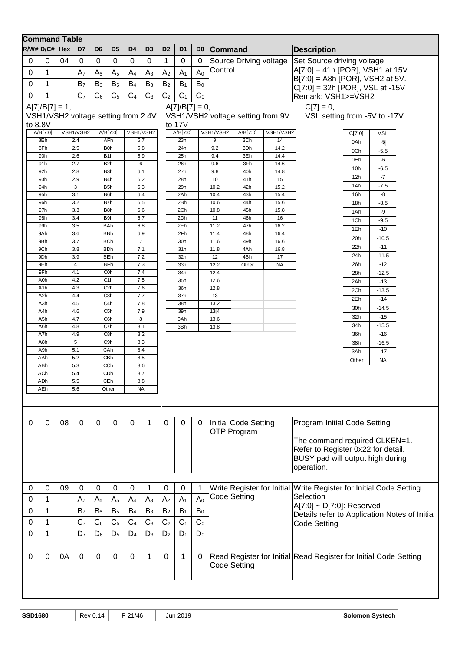|          | <b>Command Table</b>                |                                        |                       |                |                          |                |                  |                |                  |                |              |                                   |                |                                                                            |
|----------|-------------------------------------|----------------------------------------|-----------------------|----------------|--------------------------|----------------|------------------|----------------|------------------|----------------|--------------|-----------------------------------|----------------|----------------------------------------------------------------------------|
|          | $R/W#D/C#$ Hex                      |                                        | D7                    | D <sub>6</sub> | D <sub>5</sub>           | D <sub>4</sub> | D <sub>3</sub>   | D <sub>2</sub> | D <sub>1</sub>   | D <sub>0</sub> | Command      |                                   |                | <b>Description</b>                                                         |
| 0        | $\mathbf 0$                         | 04                                     | $\mathbf 0$           | 0              | 0                        | $\pmb{0}$      | $\mathbf 0$      | 1              | $\mathbf 0$      | 0              |              | Source Driving voltage            |                | Set Source driving voltage                                                 |
|          |                                     |                                        |                       |                |                          |                |                  |                |                  |                | Control      |                                   |                | A[7:0] = 41h [POR], VSH1 at 15V                                            |
| 0        | 1                                   |                                        | A <sub>7</sub>        | $A_6$          | A <sub>5</sub>           | A <sub>4</sub> | $A_3$            | A <sub>2</sub> | A <sub>1</sub>   | A <sub>0</sub> |              |                                   |                | B[7:0] = A8h [POR], VSH2 at 5V.                                            |
| 0        | 1                                   |                                        | B <sub>7</sub>        | $B_6$          | B <sub>5</sub>           | B <sub>4</sub> | $B_3$            | B <sub>2</sub> | $B_1$            | B <sub>0</sub> |              |                                   |                | $C[7:0] = 32h$ [POR], VSL at -15V                                          |
| 0        | 1                                   |                                        | C <sub>7</sub>        | C <sub>6</sub> | C <sub>5</sub>           | C <sub>4</sub> | C <sub>3</sub>   | C <sub>2</sub> | C <sub>1</sub>   | C <sub>0</sub> |              |                                   |                | Remark: VSH1>=VSH2                                                         |
|          | $A[7]/B[7] = 1,$                    |                                        |                       |                |                          |                |                  |                | $A[7]/B[7] = 0,$ |                |              |                                   |                | $C[7] = 0,$                                                                |
|          | VSH1/VSH2 voltage setting from 2.4V |                                        |                       |                |                          |                |                  |                |                  |                |              | VSH1/VSH2 voltage setting from 9V |                | VSL setting from -5V to -17V                                               |
|          | to 8.8V                             |                                        |                       |                |                          |                |                  |                | to 17V           |                |              |                                   |                |                                                                            |
|          | A/B[7:0]                            |                                        | VSH1/VSH2             |                | A/B[7:0]                 |                | VSH1/VSH2        |                | A/B[7:0]         |                | VSH1/VSH2    | A/B[7:0]                          | VSH1/VSH2      | VSL<br>C[7:0]                                                              |
|          | 8Eh<br>8Fh                          |                                        | 2.4<br>2.5            |                | AFh<br>B <sub>0</sub> h  |                | 5.7<br>5.8       |                | 23h<br>24h       |                | 9<br>9.2     | 3Ch<br>3Dh                        | 14<br>14.2     | 0Ah<br>-5                                                                  |
|          | 90h                                 |                                        | 2.6                   |                | B <sub>1</sub> h         |                | 5.9              |                | 25h              |                | 9.4          | 3Eh                               | 14.4           | 0Ch<br>$-5.5$                                                              |
|          | 91h                                 |                                        | 2.7                   |                | B <sub>2</sub> h         |                | 6                |                | 26h              |                | 9.6          | 3Fh                               | 14.6           | 0Eh<br>-6                                                                  |
|          | 92h                                 |                                        | 2.8                   |                | B <sub>3</sub> h         |                | 6.1              |                | 27h              |                | 9.8          | 40h                               | 14.8           | 10 <sub>h</sub><br>$-6.5$<br>-7<br>12h                                     |
|          | 93h<br>94h                          |                                        | 2.9<br>3              |                | B4h<br>B <sub>5</sub> h  |                | 6.2<br>6.3       |                | 28h              |                | 10           | 41h                               | 15             | $-7.5$<br>14h                                                              |
|          | 95h                                 |                                        | 3.1                   |                | B <sub>6</sub> h         |                | 6.4              |                | 29h<br>2Ah       |                | 10.2<br>10.4 | 42h<br>43h                        | 15.2<br>15.4   | -8<br>16h                                                                  |
|          | 96h                                 |                                        | 3.2                   |                | B7h                      |                | 6.5              |                | 2Bh              |                | 10.6         | 44h                               | 15.6           | 18h<br>$-8.5$                                                              |
|          | 97h                                 |                                        | 3.3                   |                | B <sub>8</sub> h         |                | 6.6              |                | 2Ch              |                | 10.8         | 45h                               | 15.8           | 1Ah<br>-9                                                                  |
|          | 98h                                 |                                        | 3.4                   |                | B9h                      |                | 6.7              |                | 2Dh              |                | 11           | 46h                               | 16             | 1Ch<br>$-9.5$                                                              |
|          | 99h<br>9Ah                          |                                        | 3.5<br>3.6            |                | <b>BAh</b><br><b>BBh</b> |                | 6.8<br>6.9       |                | 2Eh<br>2Fh       |                | 11.2<br>11.4 | 47h<br>48h                        | 16.2<br>16.4   | 1Eh<br>-10                                                                 |
|          | 9Bh                                 |                                        | 3.7                   |                | <b>BCh</b>               |                | $\overline{7}$   |                | 30h              |                | 11.6         | 49h                               | 16.6           | 20h<br>$-10.5$                                                             |
|          | 9Ch                                 |                                        | 3.8                   |                | <b>BDh</b>               |                | 7.1              |                | 31h              |                | 11.8         | 4Ah                               | 16.8           | 22h<br>$-11$                                                               |
|          | 9Dh                                 |                                        | 3.9                   |                | <b>BEh</b>               |                | 7.2              |                | 32h              |                | 12           | 4Bh                               | 17             | $-11.5$<br>24h                                                             |
|          | 9Eh<br>9Fh                          |                                        | $\overline{4}$<br>4.1 |                | <b>BFh</b><br>C0h        |                | 7.3<br>7.4       |                | 33h<br>34h       |                | 12.2<br>12.4 | Other                             | <b>NA</b>      | $-12$<br>26h<br>$-12.5$<br>28h                                             |
|          | A <sub>O</sub> h                    |                                        | 4.2                   |                | C <sub>1</sub> h         |                | 7.5              |                | 35h              |                | 12.6         |                                   |                | 2Ah<br>$-13$                                                               |
|          | A <sub>1</sub> h                    |                                        | 4.3                   |                | C <sub>2</sub> h         |                | 7.6              |                | 36h              |                | 12.8         |                                   |                | 2Ch<br>$-13.5$                                                             |
|          | A <sub>2</sub> h                    |                                        | 4.4                   |                | C <sub>3</sub> h         |                | 7.7              |                | 37h              |                | 13           |                                   |                | 2Eh<br>$-14$                                                               |
|          | A <sub>3h</sub><br>A4h              |                                        | 4.5<br>4.6            |                | C4h<br>C <sub>5</sub> h  |                | 7.8<br>7.9       |                | 38h<br>39h       |                | 13.2<br>13.4 |                                   |                | $-14.5$<br>30h                                                             |
|          | A <sub>5h</sub>                     |                                        | 4.7                   |                | C6h                      |                | 8                |                | 3Ah              |                | 13.6         |                                   |                | 32h<br>$-15$                                                               |
|          | A <sub>6</sub> h                    |                                        | 4.8                   |                | C7h                      |                | 8.1              |                | 3Bh              |                | 13.8         |                                   |                | 34h<br>$-15.5$                                                             |
|          | A7h                                 |                                        | 4.9                   |                | C8h                      |                | 8.2              |                |                  |                |              |                                   | 36h<br>$-16$   |                                                                            |
|          | A8h<br>A9h                          |                                        | 5                     |                | C9h                      |                | 8.3              |                |                  |                |              |                                   | 38h<br>$-16.5$ |                                                                            |
|          | AAh                                 | 5.1<br>CAh<br>8.4<br>5.2<br>CBh<br>8.5 |                       |                |                          |                |                  |                |                  |                |              |                                   |                | 3Ah<br>$-17$                                                               |
|          | ABh                                 |                                        | 5.3                   |                | CCh                      |                | 8.6              |                |                  |                |              |                                   |                | <b>NA</b><br>Other                                                         |
|          | ACh                                 |                                        | 5.4                   |                | CDh                      |                | 8.7              |                |                  |                |              |                                   |                |                                                                            |
|          | ADh<br>AEh                          |                                        | 5.5<br>5.6            |                | CEh<br>Other             |                | 8.8<br><b>NA</b> |                |                  |                |              |                                   |                |                                                                            |
|          |                                     |                                        |                       |                |                          |                |                  |                |                  |                |              |                                   |                |                                                                            |
|          |                                     |                                        |                       |                |                          |                |                  |                |                  |                |              |                                   |                |                                                                            |
|          |                                     |                                        |                       |                |                          |                |                  |                |                  |                |              |                                   |                |                                                                            |
| $\Omega$ | $\mathbf 0$                         | 08                                     | $\mathbf 0$           | $\Omega$       | 0                        | 0              | 1                | 0              | 0                | 0              |              | Initial Code Setting              |                | Program Initial Code Setting                                               |
|          |                                     |                                        |                       |                |                          |                |                  |                |                  |                |              | <b>OTP Program</b>                |                |                                                                            |
|          |                                     |                                        |                       |                |                          |                |                  |                |                  |                |              |                                   |                | The command required CLKEN=1.                                              |
|          |                                     |                                        |                       |                |                          |                |                  |                |                  |                |              |                                   |                | Refer to Register 0x22 for detail.                                         |
|          |                                     |                                        |                       |                |                          |                |                  |                |                  |                |              |                                   |                | BUSY pad will output high during                                           |
|          |                                     |                                        |                       |                |                          |                |                  |                |                  |                |              |                                   |                | operation.                                                                 |
|          |                                     |                                        |                       |                |                          |                |                  |                |                  |                |              |                                   |                |                                                                            |
| 0        | 0                                   | 09                                     | 0                     | 0              | 0                        | 0              | 1                | 0              | 0                | 1              |              |                                   |                | Write Register for Initial Write Register for Initial Code Setting         |
| 0        | 1                                   |                                        | A <sub>7</sub>        | A <sub>6</sub> | A <sub>5</sub>           | A <sub>4</sub> | A <sub>3</sub>   | A <sub>2</sub> | A <sub>1</sub>   | A <sub>0</sub> |              | Code Setting                      |                | Selection                                                                  |
| 0        | 1                                   |                                        | B <sub>7</sub>        | $B_6$          | B <sub>5</sub>           | $B_4$          | $B_3$            | B <sub>2</sub> | $B_1$            | $B_0$          |              |                                   |                | A[7:0] ~ D[7:0]: Reserved<br>Details refer to Application Notes of Initial |
| 0        | 1                                   |                                        | C <sub>7</sub>        | C <sub>6</sub> | C <sub>5</sub>           | C <sub>4</sub> | C <sub>3</sub>   | $\mathbf{C}_2$ | C <sub>1</sub>   | C <sub>0</sub> |              |                                   |                | <b>Code Setting</b>                                                        |
| 0        | $\mathbf{1}$                        |                                        | D <sub>7</sub>        | $D_6$          | $D_5$                    | $D_4$          | $D_3$            | $D_2$          | $D_1$            | $D_0$          |              |                                   |                |                                                                            |
|          |                                     |                                        |                       |                |                          |                |                  |                |                  |                |              |                                   |                |                                                                            |
|          |                                     |                                        |                       |                |                          |                |                  |                |                  |                |              |                                   |                |                                                                            |
| $\Omega$ | 0                                   | 0A                                     | $\Omega$              | $\Omega$       | 0                        | 0              | 1                | 0              | 1                | 0              |              |                                   |                | Read Register for Initial Read Register for Initial Code Setting           |
|          |                                     |                                        |                       |                |                          |                |                  |                |                  |                |              | <b>Code Setting</b>               |                |                                                                            |
|          |                                     |                                        |                       |                |                          |                |                  |                |                  |                |              |                                   |                |                                                                            |
|          |                                     |                                        |                       |                |                          |                |                  |                |                  |                |              |                                   |                |                                                                            |
|          |                                     |                                        |                       |                |                          |                |                  |                |                  |                |              |                                   |                |                                                                            |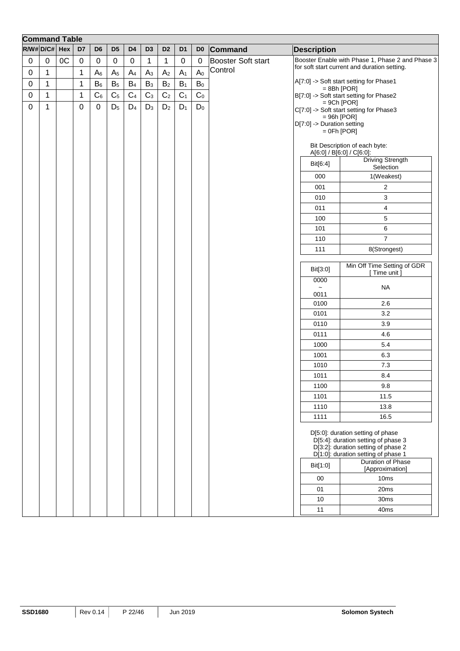|             | <b>Command Table</b> |    |             |                  |                |                |                |                |                |                |                           |                            |                                                                                                                                                                                                                |
|-------------|----------------------|----|-------------|------------------|----------------|----------------|----------------|----------------|----------------|----------------|---------------------------|----------------------------|----------------------------------------------------------------------------------------------------------------------------------------------------------------------------------------------------------------|
|             | $R/W#D/C#$ Hex       |    | D7          | D <sub>6</sub>   | D <sub>5</sub> | D <sub>4</sub> | D <sub>3</sub> | D <sub>2</sub> | D <sub>1</sub> | D <sub>0</sub> | Command                   | <b>Description</b>         |                                                                                                                                                                                                                |
| $\mathbf 0$ | $\pmb{0}$            | OC | $\pmb{0}$   | $\boldsymbol{0}$ | $\pmb{0}$      | $\pmb{0}$      | $\mathbf{1}$   | $\mathbf 1$    | $\pmb{0}$      | $\mathbf 0$    | <b>Booster Soft start</b> |                            | Booster Enable with Phase 1, Phase 2 and Phase 3                                                                                                                                                               |
| $\pmb{0}$   | $\mathbf{1}$         |    | 1           | $A_6$            | A <sub>5</sub> | A <sub>4</sub> | $A_3$          | A <sub>2</sub> | $A_1$          | A <sub>0</sub> | Control                   |                            | for soft start current and duration setting.                                                                                                                                                                   |
| $\pmb{0}$   | $\mathbf{1}$         |    | 1           | $B_6$            | B <sub>5</sub> | $B_4$          | $B_3$          | $\mathsf{B}_2$ | $B_1$          | $\mathsf{B}_0$ |                           |                            | A[7:0] -> Soft start setting for Phase1                                                                                                                                                                        |
| $\pmb{0}$   | $\mathbf{1}$         |    | 1           | $C_6$            | C <sub>5</sub> | C <sub>4</sub> | C <sub>3</sub> | $\mathbb{C}_2$ | C <sub>1</sub> | $\mathbf{C}_0$ |                           | $= 8Bh$ [POR]              | B[7:0] -> Soft start setting for Phase2                                                                                                                                                                        |
| $\mathbf 0$ | $\mathbf{1}$         |    | $\mathbf 0$ | $\mathbf 0$      | $D_5$          | $D_4$          | $D_3$          | D <sub>2</sub> | $D_1$          | $D_0$          |                           |                            | $= 9Ch [POP]$                                                                                                                                                                                                  |
|             |                      |    |             |                  |                |                |                |                |                |                |                           | $= 96h$ [POR]              | C[7:0] -> Soft start setting for Phase3                                                                                                                                                                        |
|             |                      |    |             |                  |                |                |                |                |                |                |                           | D[7:0] -> Duration setting |                                                                                                                                                                                                                |
|             |                      |    |             |                  |                |                |                |                |                |                |                           | $=$ 0Fh [POR]              |                                                                                                                                                                                                                |
|             |                      |    |             |                  |                |                |                |                |                |                |                           | A[6:0] / B[6:0] / C[6:0]:  | Bit Description of each byte:                                                                                                                                                                                  |
|             |                      |    |             |                  |                |                |                |                |                |                |                           | Bit[6:4]                   | <b>Driving Strength</b><br>Selection                                                                                                                                                                           |
|             |                      |    |             |                  |                |                |                |                |                |                |                           | 000                        | 1(Weakest)                                                                                                                                                                                                     |
|             |                      |    |             |                  |                |                |                |                |                |                |                           | 001                        | 2                                                                                                                                                                                                              |
|             |                      |    |             |                  |                |                |                |                |                |                |                           | 010                        | 3                                                                                                                                                                                                              |
|             |                      |    |             |                  |                |                |                |                |                |                |                           | 011                        | 4                                                                                                                                                                                                              |
|             |                      |    |             |                  |                |                |                |                |                |                |                           | 100                        | 5                                                                                                                                                                                                              |
|             |                      |    |             |                  |                |                |                |                |                |                |                           | 101                        | 6                                                                                                                                                                                                              |
|             |                      |    |             |                  |                |                |                |                |                |                |                           | 110                        | $\overline{7}$                                                                                                                                                                                                 |
|             |                      |    |             |                  |                |                |                |                |                |                |                           | 111                        | 8(Strongest)                                                                                                                                                                                                   |
|             |                      |    |             |                  |                |                |                |                |                |                |                           | Bit[3:0]                   | Min Off Time Setting of GDR<br>Time unit                                                                                                                                                                       |
|             |                      |    |             |                  |                |                |                |                |                |                |                           | 0000                       | <b>NA</b>                                                                                                                                                                                                      |
|             |                      |    |             |                  |                |                |                |                |                |                |                           | 0011                       |                                                                                                                                                                                                                |
|             |                      |    |             |                  |                |                |                |                |                |                |                           | 0100                       | 2.6                                                                                                                                                                                                            |
|             |                      |    |             |                  |                |                |                |                |                |                |                           | 0101                       | 3.2                                                                                                                                                                                                            |
|             |                      |    |             |                  |                |                |                |                |                |                |                           | 0110                       | 3.9                                                                                                                                                                                                            |
|             |                      |    |             |                  |                |                |                |                |                |                |                           | 0111                       | 4.6                                                                                                                                                                                                            |
|             |                      |    |             |                  |                |                |                |                |                |                |                           | 1000                       | 5.4                                                                                                                                                                                                            |
|             |                      |    |             |                  |                |                |                |                |                |                |                           | 1001                       | 6.3                                                                                                                                                                                                            |
|             |                      |    |             |                  |                |                |                |                |                |                |                           | 1010                       | 7.3                                                                                                                                                                                                            |
|             |                      |    |             |                  |                |                |                |                |                |                |                           | 1011<br>1100               | 8.4<br>9.8                                                                                                                                                                                                     |
|             |                      |    |             |                  |                |                |                |                |                |                |                           | 1101                       | 11.5                                                                                                                                                                                                           |
|             |                      |    |             |                  |                |                |                |                |                |                |                           | 1110                       | 13.8                                                                                                                                                                                                           |
|             |                      |    |             |                  |                |                |                |                |                |                |                           | 1111                       | 16.5                                                                                                                                                                                                           |
|             |                      |    |             |                  |                |                |                |                |                |                |                           | Bit[1:0]<br>00<br>01       | D[5:0]: duration setting of phase<br>D[5:4]: duration setting of phase 3<br>D[3:2]: duration setting of phase 2<br>D[1:0]: duration setting of phase 1<br>Duration of Phase<br>[Approximation]<br>10ms<br>20ms |
|             |                      |    |             |                  |                |                |                |                |                |                |                           | 10                         | 30ms                                                                                                                                                                                                           |
|             |                      |    |             |                  |                |                |                |                |                |                |                           | 11                         | 40ms                                                                                                                                                                                                           |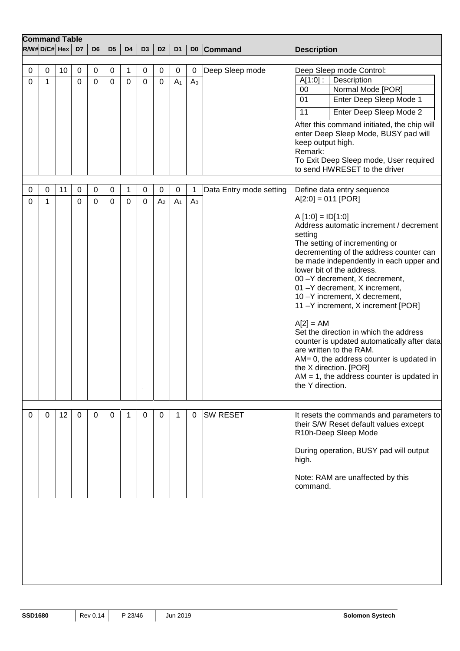| <b>Command Table</b> |                |    |                  |                            |                          |                  |                  |                            |                               |                     |                         |                                                                                                                                                                                                                                                                                                                                                                                                                                                                                                                                                                                                                                                                                                            |
|----------------------|----------------|----|------------------|----------------------------|--------------------------|------------------|------------------|----------------------------|-------------------------------|---------------------|-------------------------|------------------------------------------------------------------------------------------------------------------------------------------------------------------------------------------------------------------------------------------------------------------------------------------------------------------------------------------------------------------------------------------------------------------------------------------------------------------------------------------------------------------------------------------------------------------------------------------------------------------------------------------------------------------------------------------------------------|
| $R/W#D/C# $ Hex      |                |    | D7               | D <sub>6</sub>             | D <sub>5</sub>           | D <sub>4</sub>   | D <sub>3</sub>   | D <sub>2</sub>             | D <sub>1</sub>                |                     | D0 Command              | <b>Description</b>                                                                                                                                                                                                                                                                                                                                                                                                                                                                                                                                                                                                                                                                                         |
|                      |                |    |                  |                            |                          |                  |                  |                            |                               |                     |                         |                                                                                                                                                                                                                                                                                                                                                                                                                                                                                                                                                                                                                                                                                                            |
| 0<br>0               | $\pmb{0}$<br>1 | 10 | $\mathbf 0$<br>0 | $\pmb{0}$<br>$\Omega$      | $\pmb{0}$<br>$\mathbf 0$ | 1<br>$\mathbf 0$ | 0<br>0           | $\mathbf 0$<br>$\mathbf 0$ | $\mathbf 0$<br>A <sub>1</sub> | 0<br>A <sub>0</sub> | Deep Sleep mode         | Deep Sleep mode Control:<br>$A[1:0]$ :<br>Description<br>Normal Mode [POR]<br>00<br>Enter Deep Sleep Mode 1<br>01<br>11<br>Enter Deep Sleep Mode 2<br>After this command initiated, the chip will<br>enter Deep Sleep Mode, BUSY pad will<br>keep output high.<br>Remark:<br>To Exit Deep Sleep mode, User required<br>to send HWRESET to the driver                                                                                                                                                                                                                                                                                                                                                       |
|                      |                |    |                  |                            |                          |                  |                  |                            |                               |                     |                         |                                                                                                                                                                                                                                                                                                                                                                                                                                                                                                                                                                                                                                                                                                            |
| 0<br>0               | 0<br>1         | 11 | $\mathbf 0$<br>0 | $\mathbf 0$<br>$\mathbf 0$ | 0<br>$\mathbf 0$         | 1<br>$\mathbf 0$ | 0<br>$\mathbf 0$ | 0<br>A <sub>2</sub>        | 0<br>A <sub>1</sub>           | 1<br>A <sub>0</sub> | Data Entry mode setting | Define data entry sequence<br>$A[2:0] = 011$ [POR]<br>$A [1:0] = ID[1:0]$<br>Address automatic increment / decrement<br>setting<br>The setting of incrementing or<br>decrementing of the address counter can<br>be made independently in each upper and<br>lower bit of the address.<br>00 - Y decrement, X decrement,<br>01 - Y decrement, X increment,<br>10-Y increment, X decrement,<br>11-Y increment, X increment [POR]<br>$A[2] = AM$<br>Set the direction in which the address<br>counter is updated automatically after data<br>are written to the RAM.<br>AM= 0, the address counter is updated in<br>the X direction. [POR]<br>$AM = 1$ , the address counter is updated in<br>the Y direction. |
| 0                    | 0              | 12 | 0                | 0                          | 0                        | 1                | 0                | 0                          | 1                             | 0                   | <b>SW RESET</b>         | It resets the commands and parameters to<br>their S/W Reset default values except<br>R10h-Deep Sleep Mode<br>During operation, BUSY pad will output<br>high.<br>Note: RAM are unaffected by this<br>command.                                                                                                                                                                                                                                                                                                                                                                                                                                                                                               |
|                      |                |    |                  |                            |                          |                  |                  |                            |                               |                     |                         |                                                                                                                                                                                                                                                                                                                                                                                                                                                                                                                                                                                                                                                                                                            |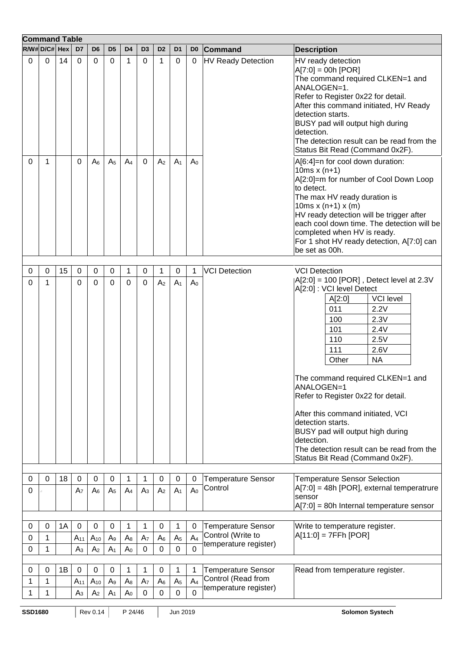| <b>Command Table</b> |                 |    |                  |                 |                |                |                |                |                |                |                                                |                                                                                                                                                                                                                                                                                                                                                                                                                                                                                             |
|----------------------|-----------------|----|------------------|-----------------|----------------|----------------|----------------|----------------|----------------|----------------|------------------------------------------------|---------------------------------------------------------------------------------------------------------------------------------------------------------------------------------------------------------------------------------------------------------------------------------------------------------------------------------------------------------------------------------------------------------------------------------------------------------------------------------------------|
|                      | $R/W#D/C# $ Hex |    | D7               | D <sub>6</sub>  | D <sub>5</sub> | D4             | D3             | D <sub>2</sub> | D <sub>1</sub> | D <sub>0</sub> | <b>Command</b>                                 | <b>Description</b>                                                                                                                                                                                                                                                                                                                                                                                                                                                                          |
| 0                    | 0               | 14 | 0                | 0               | $\Omega$       | $\mathbf{1}$   | 0              | 1              | 0              | 0              | <b>HV Ready Detection</b>                      | HV ready detection<br>$A[7:0] = 00h [POR]$<br>The command required CLKEN=1 and<br>ANALOGEN=1.<br>Refer to Register 0x22 for detail.<br>After this command initiated, HV Ready<br>detection starts.<br>BUSY pad will output high during<br>detection.<br>The detection result can be read from the<br>Status Bit Read (Command 0x2F).                                                                                                                                                        |
| 0                    | 1               |    | 0                | $A_6$           | A <sub>5</sub> | A <sub>4</sub> | $\mathbf 0$    | A <sub>2</sub> | A <sub>1</sub> | A <sub>0</sub> |                                                | A[6:4]=n for cool down duration:<br>10 $ms x (n+1)$<br>A[2:0]=m for number of Cool Down Loop<br>to detect.<br>The max HV ready duration is<br>10ms $x (n+1) x (m)$<br>HV ready detection will be trigger after<br>each cool down time. The detection will be<br>completed when HV is ready.<br>For 1 shot HV ready detection, A[7:0] can<br>be set as 00h.                                                                                                                                  |
| 0                    | $\mathbf 0$     | 15 | $\boldsymbol{0}$ | 0               | 0              | 1              | 0              | 1              | 0              | 1              | <b>VCI Detection</b>                           | <b>VCI Detection</b>                                                                                                                                                                                                                                                                                                                                                                                                                                                                        |
| 0                    | 1               |    | 0                | 0               | 0              | 0              | 0              | A <sub>2</sub> | A <sub>1</sub> | A <sub>0</sub> |                                                | $ A[2:0] = 100$ [POR], Detect level at 2.3V<br>A[2:0] : VCI level Detect<br><b>VCI</b> level<br>A[2:0]<br>011<br>2.2V<br>2.3V<br>100<br>101<br>2.4V<br>110<br>2.5V<br>111<br>2.6V<br><b>NA</b><br>Other<br>The command required CLKEN=1 and<br>ANALOGEN=1<br>Refer to Register 0x22 for detail.<br>After this command initiated, VCI<br>detection starts.<br>BUSY pad will output high during<br>detection.<br>The detection result can be read from the<br>Status Bit Read (Command 0x2F). |
| 0                    | $\Omega$        | 18 | $\mathbf 0$      | 0               | 0              | $\mathbf{1}$   | 1              | 0              | $\mathbf 0$    | $\mathbf 0$    | <b>Temperature Sensor</b>                      | <b>Temperature Sensor Selection</b>                                                                                                                                                                                                                                                                                                                                                                                                                                                         |
| 0                    |                 |    | A <sub>7</sub>   | A <sub>6</sub>  | A <sub>5</sub> | A <sub>4</sub> | A <sub>3</sub> | A <sub>2</sub> | A <sub>1</sub> | A <sub>0</sub> | Control                                        | $A[7:0] = 48h [POR]$ , external temperatrure<br>sensor<br>$A[7:0] = 80h$ Internal temperature sensor                                                                                                                                                                                                                                                                                                                                                                                        |
|                      |                 |    |                  |                 |                |                |                |                |                |                |                                                |                                                                                                                                                                                                                                                                                                                                                                                                                                                                                             |
| 0                    | 0               | 1A | $\mathbf 0$      | $\pmb{0}$       | 0              | 1              | 1              | 0              | 1              | 0              | <b>Temperature Sensor</b><br>Control (Write to | Write to temperature register.<br>$A[11:0] = 7FFh [POR]$                                                                                                                                                                                                                                                                                                                                                                                                                                    |
| 0                    | 1               |    | $A_{11}$         | $A_{10}$        | A <sub>9</sub> | $A_8$          | A <sub>7</sub> | A <sub>6</sub> | A <sub>5</sub> | A <sub>4</sub> | temperature register)                          |                                                                                                                                                                                                                                                                                                                                                                                                                                                                                             |
| 0                    | 1               |    | A <sub>3</sub>   | A <sub>2</sub>  | A <sub>1</sub> | A <sub>0</sub> | $\pmb{0}$      | 0              | 0              | $\mathbf 0$    |                                                |                                                                                                                                                                                                                                                                                                                                                                                                                                                                                             |
| 0                    | 0               | 1B | $\boldsymbol{0}$ | $\pmb{0}$       | $\pmb{0}$      | 1              | 1              | 0              | 1              | 1              | <b>Temperature Sensor</b>                      | Read from temperature register.                                                                                                                                                                                                                                                                                                                                                                                                                                                             |
| 1                    | 1               |    | $A_{11}$         | $A_{10}$        | A <sub>9</sub> | $A_8$          | A <sub>7</sub> | $A_6$          | A <sub>5</sub> | A <sub>4</sub> | Control (Read from                             |                                                                                                                                                                                                                                                                                                                                                                                                                                                                                             |
|                      | 1               |    | A <sub>3</sub>   | A <sub>2</sub>  | A <sub>1</sub> | A <sub>0</sub> | 0              | 0              | 0              | 0              | temperature register)                          |                                                                                                                                                                                                                                                                                                                                                                                                                                                                                             |
| <b>SSD1680</b>       |                 |    |                  | <b>Rev 0.14</b> |                | P 24/46        |                |                | Jun 2019       |                |                                                | <b>Solomon Systech</b>                                                                                                                                                                                                                                                                                                                                                                                                                                                                      |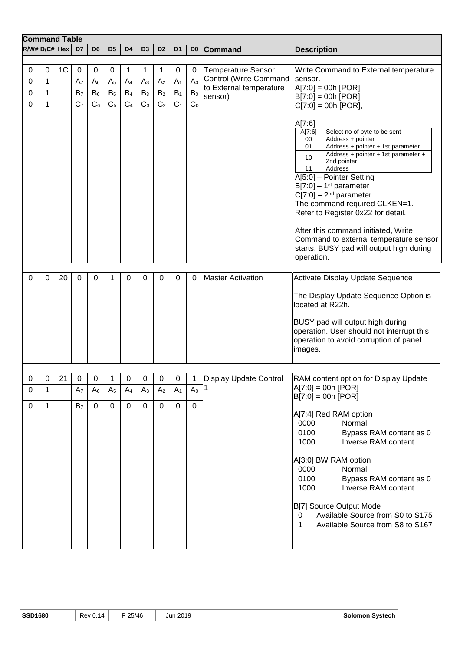|             | <b>Command Table</b> |                |                     |                |                |                |                |                  |                |                |                                    |                                                                                                                                                                                                                                                                                                                                                                                                                                                                                                           |
|-------------|----------------------|----------------|---------------------|----------------|----------------|----------------|----------------|------------------|----------------|----------------|------------------------------------|-----------------------------------------------------------------------------------------------------------------------------------------------------------------------------------------------------------------------------------------------------------------------------------------------------------------------------------------------------------------------------------------------------------------------------------------------------------------------------------------------------------|
|             | R/W# D/C# Hex        |                | D7                  | D <sub>6</sub> | D <sub>5</sub> | D <sub>4</sub> | D <sub>3</sub> | D <sub>2</sub>   | D <sub>1</sub> | D <sub>0</sub> | Command                            | <b>Description</b>                                                                                                                                                                                                                                                                                                                                                                                                                                                                                        |
|             |                      |                |                     |                |                |                |                |                  |                |                |                                    |                                                                                                                                                                                                                                                                                                                                                                                                                                                                                                           |
| 0           | 0                    | 1 <sup>C</sup> | 0                   | 0              | 0              | 1              | 1              | 1                | 0              | 0              | <b>Temperature Sensor</b>          | Write Command to External temperature                                                                                                                                                                                                                                                                                                                                                                                                                                                                     |
| 0           | 1                    |                | A <sub>7</sub>      | A <sub>6</sub> | A <sub>5</sub> | A <sub>4</sub> | $A_3$          | A <sub>2</sub>   | A <sub>1</sub> | A <sub>0</sub> | Control (Write Command             | sensor.                                                                                                                                                                                                                                                                                                                                                                                                                                                                                                   |
| 0           | 1                    |                | B <sub>7</sub>      | $B_6$          | B <sub>5</sub> | $B_4$          | $B_3$          | B <sub>2</sub>   | $B_1$          | $\mathsf{B}_0$ | to External temperature<br>sensor) | $A[7:0] = 00h [POR],$<br>$B[7:0] = 00h [POR],$                                                                                                                                                                                                                                                                                                                                                                                                                                                            |
| 0           | $\mathbf{1}$         |                | C <sub>7</sub>      | C <sub>6</sub> | C <sub>5</sub> | C <sub>4</sub> | C <sub>3</sub> | C <sub>2</sub>   | C <sub>1</sub> | C <sub>0</sub> |                                    | $C[7:0] = 00h [POR],$                                                                                                                                                                                                                                                                                                                                                                                                                                                                                     |
|             |                      |                |                     |                |                |                |                |                  |                |                |                                    | A[7:6]<br>Select no of byte to be sent<br>A[7:6]<br>Address + pointer<br>00<br>Address + pointer + 1st parameter<br>01<br>Address + pointer + 1st parameter +<br>10<br>2nd pointer<br>Address<br>11<br>A[5:0] - Pointer Setting<br>$B[7:0] - 1st parameter$<br>$C[7:0] - 2nd parameter$<br>The command required CLKEN=1.<br>Refer to Register 0x22 for detail.<br>After this command initiated, Write<br>Command to external temperature sensor<br>starts. BUSY pad will output high during<br>operation. |
|             |                      |                |                     |                |                |                |                |                  |                |                |                                    |                                                                                                                                                                                                                                                                                                                                                                                                                                                                                                           |
| 0           | 0                    | 20             | 0                   | $\Omega$       | 1              | 0              | 0              | $\Omega$         | $\Omega$       | 0              | <b>Master Activation</b>           | Activate Display Update Sequence<br>The Display Update Sequence Option is<br>located at R22h.<br>BUSY pad will output high during<br>operation. User should not interrupt this<br>operation to avoid corruption of panel<br>images.                                                                                                                                                                                                                                                                       |
|             |                      |                |                     |                |                |                |                |                  |                |                |                                    |                                                                                                                                                                                                                                                                                                                                                                                                                                                                                                           |
| $\mathbf 0$ | $\boldsymbol{0}$     | 21             | $\mathsf{O}\xspace$ | $\mathsf 0$    | $\mathbf{1}$   | $\pmb{0}$      | $\mathbf 0$    | $\boldsymbol{0}$ | $\mathbf 0$    | $\vert$ 1      | Display Update Control             | RAM content option for Display Update<br>$A[7:0] = 00h [POR]$                                                                                                                                                                                                                                                                                                                                                                                                                                             |
| $\Omega$    | 1                    |                | A <sub>7</sub>      | A <sub>6</sub> | A <sub>5</sub> | A <sub>4</sub> | $A_3$          | A <sub>2</sub>   | A <sub>1</sub> | A <sub>0</sub> |                                    | $B[7:0] = 00h [POR]$                                                                                                                                                                                                                                                                                                                                                                                                                                                                                      |
| 0           | $\mathbf{1}$         |                | B <sub>7</sub>      | 0              | 0              | 0              | 0              | 0                | $\Omega$       | $\Omega$       |                                    | A[7:4] Red RAM option<br>Normal<br>0000<br>0100<br>Bypass RAM content as 0<br>Inverse RAM content<br>1000<br>A[3:0] BW RAM option<br>Normal<br>0000<br>0100<br>Bypass RAM content as 0<br>1000<br>Inverse RAM content<br>B[7] Source Output Mode<br>Available Source from S0 to S175<br>0<br>Available Source from S8 to S167                                                                                                                                                                             |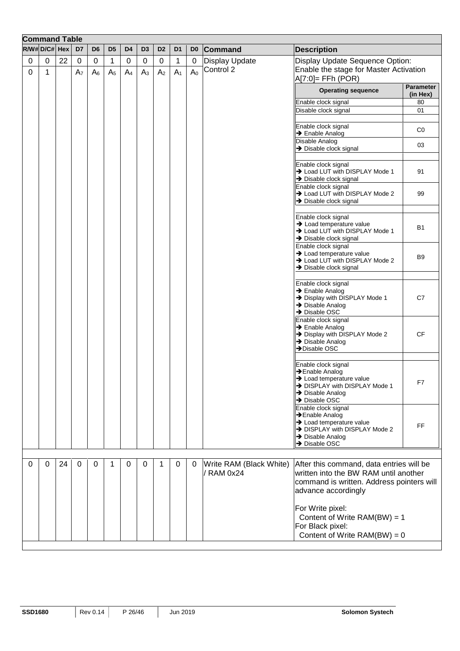|   | <b>Command Table</b> |    |                  |                |                |                |                |                |                |                  |                                       |                                                                                                  |                              |
|---|----------------------|----|------------------|----------------|----------------|----------------|----------------|----------------|----------------|------------------|---------------------------------------|--------------------------------------------------------------------------------------------------|------------------------------|
|   | $R/W#D/C#$ Hex       |    | D7               | D <sub>6</sub> | D <sub>5</sub> | D4             | D <sub>3</sub> | D <sub>2</sub> | D <sub>1</sub> | D <sub>0</sub>   | Command                               | <b>Description</b>                                                                               |                              |
| 0 | 0                    | 22 | $\boldsymbol{0}$ | 0              | 1              | 0              | $\mathbf 0$    | $\mathbf 0$    | 1              | $\boldsymbol{0}$ | <b>Display Update</b>                 | Display Update Sequence Option:                                                                  |                              |
| 0 | 1                    |    | A <sub>7</sub>   | $A_6$          | A <sub>5</sub> | A <sub>4</sub> | A <sub>3</sub> | A <sub>2</sub> | A <sub>1</sub> | A <sub>0</sub>   | Control 2                             | Enable the stage for Master Activation<br>$A[7:0]=$ FFh (POR)                                    |                              |
|   |                      |    |                  |                |                |                |                |                |                |                  |                                       | <b>Operating sequence</b>                                                                        | <b>Parameter</b><br>(in Hex) |
|   |                      |    |                  |                |                |                |                |                |                |                  |                                       | Enable clock signal                                                                              | 80                           |
|   |                      |    |                  |                |                |                |                |                |                |                  |                                       | Disable clock signal                                                                             | 01                           |
|   |                      |    |                  |                |                |                |                |                |                |                  |                                       | Enable clock signal<br>$\rightarrow$ Enable Analog                                               | CO                           |
|   |                      |    |                  |                |                |                |                |                |                |                  |                                       | Disable Analog<br>$\rightarrow$ Disable clock signal                                             | 03                           |
|   |                      |    |                  |                |                |                |                |                |                |                  |                                       | Enable clock signal                                                                              |                              |
|   |                      |    |                  |                |                |                |                |                |                |                  |                                       | > Load LUT with DISPLAY Mode 1<br>$\rightarrow$ Disable clock signal                             | 91                           |
|   |                      |    |                  |                |                |                |                |                |                |                  |                                       | Enable clock signal<br>> Load LUT with DISPLAY Mode 2<br>$\rightarrow$ Disable clock signal      | 99                           |
|   |                      |    |                  |                |                |                |                |                |                |                  |                                       | Enable clock signal                                                                              |                              |
|   |                      |    |                  |                |                |                |                |                |                |                  |                                       | $\rightarrow$ Load temperature value<br>> Load LUT with DISPLAY Mode 1                           | В1                           |
|   |                      |    |                  |                |                |                |                |                |                |                  |                                       | → Disable clock signal<br>Enable clock signal                                                    |                              |
|   |                      |    |                  |                |                |                |                |                |                |                  |                                       | $\rightarrow$ Load temperature value<br>> Load LUT with DISPLAY Mode 2<br>→ Disable clock signal | B9                           |
|   |                      |    |                  |                |                |                |                |                |                |                  |                                       |                                                                                                  |                              |
|   |                      |    |                  |                |                |                |                |                |                |                  |                                       | Enable clock signal<br>$\rightarrow$ Enable Analog<br>> Display with DISPLAY Mode 1              | C7                           |
|   |                      |    |                  |                |                |                |                |                |                |                  |                                       | $\rightarrow$ Disable Analog<br>→ Disable OSC                                                    |                              |
|   |                      |    |                  |                |                |                |                |                |                |                  |                                       | Enable clock signal<br>$\rightarrow$ Enable Analog                                               |                              |
|   |                      |    |                  |                |                |                |                |                |                |                  |                                       | > Display with DISPLAY Mode 2<br>$\rightarrow$ Disable Analog<br>$\rightarrow$ Disable OSC       | CF                           |
|   |                      |    |                  |                |                |                |                |                |                |                  |                                       |                                                                                                  |                              |
|   |                      |    |                  |                |                |                |                |                |                |                  |                                       | Enable clock signal<br>→ Enable Analog                                                           |                              |
|   |                      |    |                  |                |                |                |                |                |                |                  |                                       | $\rightarrow$ Load temperature value<br>> DISPLAY with DISPLAY Mode 1                            | F7                           |
|   |                      |    |                  |                |                |                |                |                |                |                  |                                       | > Disable Analog<br>> Disable OSC                                                                |                              |
|   |                      |    |                  |                |                |                |                |                |                |                  |                                       | Enable clock signal<br>→ Enable Analog                                                           |                              |
|   |                      |    |                  |                |                |                |                |                |                |                  |                                       | $\rightarrow$ Load temperature value<br>> DISPLAY with DISPLAY Mode 2<br>→ Disable Analog        | <b>FF</b>                    |
|   |                      |    |                  |                |                |                |                |                |                |                  |                                       | → Disable OSC                                                                                    |                              |
|   |                      |    |                  |                |                |                |                |                |                |                  |                                       |                                                                                                  |                              |
| 0 | 0                    | 24 | $\Omega$         | $\Omega$       | 1              | $\Omega$       | 0              | 1              | 0              | 0                | Write RAM (Black White)<br>/ RAM 0x24 | After this command, data entries will be<br>written into the BW RAM until another                |                              |
|   |                      |    |                  |                |                |                |                |                |                |                  |                                       | command is written. Address pointers will<br>advance accordingly                                 |                              |
|   |                      |    |                  |                |                |                |                |                |                |                  |                                       | For Write pixel:                                                                                 |                              |
|   |                      |    |                  |                |                |                |                |                |                |                  |                                       | Content of Write $RAM(BW) = 1$                                                                   |                              |
|   |                      |    |                  |                |                |                |                |                |                |                  |                                       | For Black pixel:                                                                                 |                              |
|   |                      |    |                  |                |                |                |                |                |                |                  |                                       | Content of Write $RAM(BW) = 0$                                                                   |                              |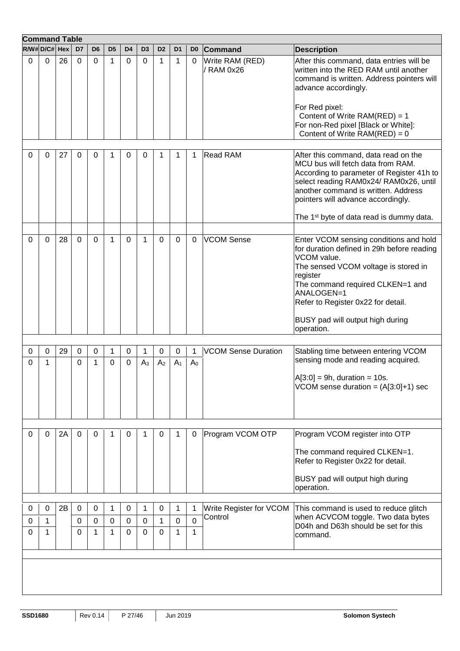|             | <b>Command Table</b> |    |          |                  |                |                |                     |                     |                     |                     |                               |                                                                                                                                                                                                                                                                                      |
|-------------|----------------------|----|----------|------------------|----------------|----------------|---------------------|---------------------|---------------------|---------------------|-------------------------------|--------------------------------------------------------------------------------------------------------------------------------------------------------------------------------------------------------------------------------------------------------------------------------------|
|             | $R/W#D/C#$ Hex       |    | D7       | D <sub>6</sub>   | D <sub>5</sub> | D <sub>4</sub> | D <sub>3</sub>      | D <sub>2</sub>      | D <sub>1</sub>      | D <sub>0</sub>      | <b>Command</b>                | <b>Description</b>                                                                                                                                                                                                                                                                   |
| 0           | 0                    | 26 | $\Omega$ | $\mathbf{0}$     | 1              | 0              | $\Omega$            | 1                   | 1                   | 0                   | Write RAM (RED)<br>/ RAM 0x26 | After this command, data entries will be<br>written into the RED RAM until another<br>command is written. Address pointers will<br>advance accordingly.<br>For Red pixel:<br>Content of Write RAM(RED) = 1<br>For non-Red pixel [Black or White]:<br>Content of Write $RAM(RED) = 0$ |
|             |                      |    |          |                  |                |                |                     |                     |                     |                     |                               |                                                                                                                                                                                                                                                                                      |
| 0           | 0                    | 27 | 0        | 0                |                | 0              | 0                   | 1                   | 1                   | 1                   | <b>Read RAM</b>               | After this command, data read on the<br>MCU bus will fetch data from RAM.<br>According to parameter of Register 41h to<br>select reading RAM0x24/ RAM0x26, until<br>lanother command is written. Address<br>pointers will advance accordingly.                                       |
|             |                      |    |          |                  |                |                |                     |                     |                     |                     |                               | The 1 <sup>st</sup> byte of data read is dummy data.                                                                                                                                                                                                                                 |
|             |                      |    |          |                  |                |                |                     |                     |                     |                     |                               |                                                                                                                                                                                                                                                                                      |
| 0           | 0                    | 28 | 0        | 0                | 1              | 0              | 1                   | 0                   | 0                   | 0                   | <b>VCOM Sense</b>             | Enter VCOM sensing conditions and hold<br>for duration defined in 29h before reading<br>VCOM value.<br>The sensed VCOM voltage is stored in<br>register<br>The command required CLKEN=1 and<br>ANALOGEN=1<br>Refer to Register 0x22 for detail.<br>BUSY pad will output high during  |
|             |                      |    |          |                  |                |                |                     |                     |                     |                     |                               | operation.                                                                                                                                                                                                                                                                           |
|             |                      |    |          |                  |                |                |                     |                     |                     |                     |                               |                                                                                                                                                                                                                                                                                      |
| 0<br>0      | 0<br>1               | 29 | 0<br>0   | $\mathbf 0$<br>1 | 1<br>0         | 0<br>0         | 1<br>A <sub>3</sub> | 0<br>A <sub>2</sub> | 0<br>A <sub>1</sub> | 1<br>A <sub>0</sub> | <b>VCOM Sense Duration</b>    | Stabling time between entering VCOM<br>sensing mode and reading acquired.                                                                                                                                                                                                            |
|             |                      |    |          |                  |                |                |                     |                     |                     |                     |                               | $[A[3:0] = 9h, duration = 10s.$<br>VCOM sense duration = $(A[3:0]+1)$ sec                                                                                                                                                                                                            |
| 0           | 0                    | 2A | 0        | $\mathbf{0}$     | 1              | 0              | 1                   | $\Omega$            | $\mathbf 1$         | $\Omega$            | Program VCOM OTP              | Program VCOM register into OTP                                                                                                                                                                                                                                                       |
|             |                      |    |          |                  |                |                |                     |                     |                     |                     |                               | The command required CLKEN=1.<br>Refer to Register 0x22 for detail.<br>BUSY pad will output high during                                                                                                                                                                              |
|             |                      |    |          |                  |                |                |                     |                     |                     |                     |                               | operation.                                                                                                                                                                                                                                                                           |
| $\mathbf 0$ | 0                    | 2B | 0        | 0                | 1              | 0              | 1                   | 0                   | $\mathbf{1}$        | 1                   | Write Register for VCOM       | This command is used to reduce glitch                                                                                                                                                                                                                                                |
| 0           | 1                    |    | 0        | $\Omega$         | 0              | 0              | 0                   | 1                   | 0                   | $\overline{0}$      | Control                       | when ACVCOM toggle. Two data bytes<br>D04h and D63h should be set for this                                                                                                                                                                                                           |
| 0           | 1                    |    | 0        | $\mathbf{1}$     | 1              | $\Omega$       | 0                   | $\Omega$            | 1                   | 1                   |                               | command.                                                                                                                                                                                                                                                                             |
|             |                      |    |          |                  |                |                |                     |                     |                     |                     |                               |                                                                                                                                                                                                                                                                                      |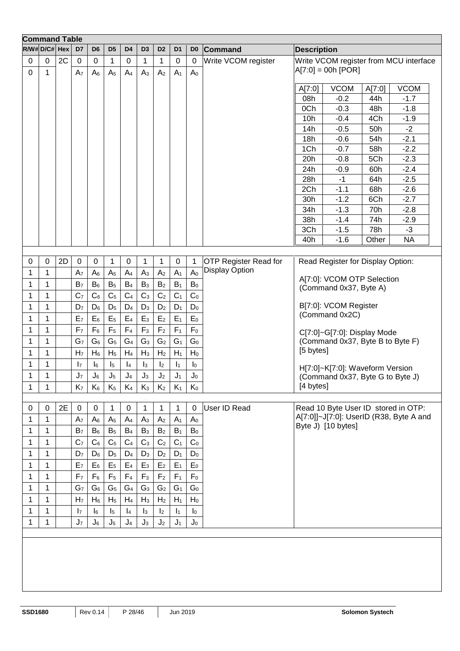| <b>Command Table</b> |                 |    |                |                  |                |                |                |                |                |                |                              |                    |                                     |        |                                         |
|----------------------|-----------------|----|----------------|------------------|----------------|----------------|----------------|----------------|----------------|----------------|------------------------------|--------------------|-------------------------------------|--------|-----------------------------------------|
|                      | $R/W#D/C# $ Hex |    | D7             | D <sub>6</sub>   | D <sub>5</sub> | D <sub>4</sub> | D <sub>3</sub> | D <sub>2</sub> | D <sub>1</sub> | D <sub>0</sub> | <b>Command</b>               | <b>Description</b> |                                     |        |                                         |
| $\pmb{0}$            | 0               | 2C | $\mathbf 0$    | 0                | 1              | 0              | 1              | 1              | $\pmb{0}$      | $\mathbf 0$    | Write VCOM register          |                    |                                     |        | Write VCOM register from MCU interface  |
| $\mathbf 0$          | 1               |    | A <sub>7</sub> | $A_6$            | A <sub>5</sub> | A <sub>4</sub> | $A_3$          | A <sub>2</sub> | A <sub>1</sub> | A <sub>0</sub> |                              |                    | $A[7:0] = 00h [POR]$                |        |                                         |
|                      |                 |    |                |                  |                |                |                |                |                |                |                              |                    |                                     |        |                                         |
|                      |                 |    |                |                  |                |                |                |                |                |                |                              | A[7:0]             | <b>VCOM</b>                         | A[7:0] | <b>VCOM</b>                             |
|                      |                 |    |                |                  |                |                |                |                |                |                |                              | 08h                | $-0.2$                              | 44h    | $-1.7$                                  |
|                      |                 |    |                |                  |                |                |                |                |                |                |                              | 0Ch                | $-0.3$                              | 48h    | $-1.8$                                  |
|                      |                 |    |                |                  |                |                |                |                |                |                |                              | 10h                | $-0.4$                              | 4Ch    | $-1.9$                                  |
|                      |                 |    |                |                  |                |                |                |                |                |                |                              | 14h                | $-0.5$                              | 50h    | $-2$                                    |
|                      |                 |    |                |                  |                |                |                |                |                |                |                              | 18h                | $-0.6$                              | 54h    | $-2.1$                                  |
|                      |                 |    |                |                  |                |                |                |                |                |                |                              | 1Ch                | $-0.7$                              | 58h    | $-2.2$                                  |
|                      |                 |    |                |                  |                |                |                |                |                |                |                              | 20h                | $-0.8$                              | 5Ch    | $-2.3$                                  |
|                      |                 |    |                |                  |                |                |                |                |                |                |                              | 24h                | $-0.9$                              | 60h    | $-2.4$                                  |
|                      |                 |    |                |                  |                |                |                |                |                |                |                              | 28h                | $-1$                                | 64h    | $-2.5$                                  |
|                      |                 |    |                |                  |                |                |                |                |                |                |                              | 2Ch                | $-1:1$                              | 68h    | $-2.6$                                  |
|                      |                 |    |                |                  |                |                |                |                |                |                |                              | 30h                | $-1.2$                              | 6Ch    | $-2.7$                                  |
|                      |                 |    |                |                  |                |                |                |                |                |                |                              | 34h                | $-1.3$                              | 70h    | $-2.8$                                  |
|                      |                 |    |                |                  |                |                |                |                |                |                |                              | 38h                | $-1.4$                              | 74h    | $-2.9$                                  |
|                      |                 |    |                |                  |                |                |                |                |                |                |                              | 3Ch                | $-1.5$                              | 78h    | $-3$                                    |
|                      |                 |    |                |                  |                |                |                |                |                |                |                              | 40h                | $-1.6$                              | Other  | <b>NA</b>                               |
|                      |                 |    |                |                  |                |                |                |                |                |                |                              |                    |                                     |        |                                         |
| 0                    | $\mathbf 0$     | 2D | $\mathbf 0$    | 0                | 1              | $\mathbf 0$    | 1              | 1              | $\mathbf 0$    | $\mathbf 1$    | <b>OTP Register Read for</b> |                    | Read Register for Display Option:   |        |                                         |
| 1                    | 1               |    | A <sub>7</sub> | A <sub>6</sub>   | A <sub>5</sub> | A <sub>4</sub> | A <sub>3</sub> | A <sub>2</sub> | A <sub>1</sub> | A <sub>0</sub> | <b>Display Option</b>        |                    |                                     |        |                                         |
|                      | 1               |    |                | $B_6$            |                |                |                |                |                |                |                              |                    | A[7:0]: VCOM OTP Selection          |        |                                         |
| 1                    |                 |    | B <sub>7</sub> |                  | B <sub>5</sub> | B <sub>4</sub> | B <sub>3</sub> | B <sub>2</sub> | $B_1$          | B <sub>0</sub> |                              |                    | (Command 0x37, Byte A)              |        |                                         |
| 1                    | 1               |    | C <sub>7</sub> | C <sub>6</sub>   | C <sub>5</sub> | C <sub>4</sub> | $C_3$          | C <sub>2</sub> | C <sub>1</sub> | C <sub>0</sub> |                              |                    |                                     |        |                                         |
| 1                    | 1               |    | D <sub>7</sub> | $D_6$            | $D_5$          | D <sub>4</sub> | $D_3$          | D <sub>2</sub> | $D_1$          | D <sub>0</sub> |                              |                    | B[7:0]: VCOM Register               |        |                                         |
| 1                    | 1               |    | E <sub>7</sub> | $E_6$            | E <sub>5</sub> | $E_4$          | $E_3$          | E <sub>2</sub> | $E_1$          | $E_0$          |                              |                    | (Command 0x2C)                      |        |                                         |
| 1                    | 1               |    | F <sub>7</sub> | F <sub>6</sub>   | F <sub>5</sub> | F <sub>4</sub> | $F_3$          | F <sub>2</sub> | F <sub>1</sub> | F <sub>0</sub> |                              |                    | C[7:0]~G[7:0]: Display Mode         |        |                                         |
| 1                    | 1               |    | G <sub>7</sub> | G <sub>6</sub>   | G <sub>5</sub> | G <sub>4</sub> | $G_3$          | G <sub>2</sub> | G <sub>1</sub> | G <sub>0</sub> |                              |                    | (Command 0x37, Byte B to Byte F)    |        |                                         |
| 1                    | 1               |    | H <sub>7</sub> | $H_6$            | H <sub>5</sub> | H <sub>4</sub> | $H_3$          | H <sub>2</sub> | $H_1$          | $H_0$          |                              | [5 bytes]          |                                     |        |                                         |
| 1                    | 1               |    |                |                  |                |                |                |                |                |                |                              |                    |                                     |        |                                         |
|                      |                 |    | I <sub>7</sub> | $\mathsf{I}_6$   | $\mathsf{I}_5$ | $\mathsf{I}_4$ | $\mathsf{I}_3$ | $\mathsf{I}_2$ | $\mathsf{I}_1$ | $I_0$          |                              |                    | H[7:0]~K[7:0]: Waveform Version     |        |                                         |
| $\mathbf 1$          | $\mathbf 1$     |    | J <sub>7</sub> | $J_6$            | $J_5$          | J <sub>4</sub> | $J_3$          | J <sub>2</sub> | $J_1$          | $J_0$          |                              |                    | (Command 0x37, Byte G to Byte J)    |        |                                         |
| 1                    | 1               |    | K <sub>7</sub> | $K_6$            | $K_5$          | $K_4$          | $K_3$          | $K_2$          | $K_1$          | $K_0$          |                              | [4 bytes]          |                                     |        |                                         |
|                      |                 |    |                |                  |                |                |                |                |                |                |                              |                    |                                     |        |                                         |
| $\mathbf 0$          | $\mathbf 0$     | 2E | $\mathbf 0$    | $\boldsymbol{0}$ | $\mathbf{1}$   | $\pmb{0}$      | $\mathbf 1$    | $\mathbf{1}$   | 1              | 0              | <b>User ID Read</b>          |                    | Read 10 Byte User ID stored in OTP: |        |                                         |
| 1                    | 1               |    | A <sub>7</sub> | A <sub>6</sub>   | A <sub>5</sub> | A <sub>4</sub> | A <sub>3</sub> | A <sub>2</sub> | A <sub>1</sub> | A <sub>0</sub> |                              |                    |                                     |        | A[7:0]]~J[7:0]: UserID (R38, Byte A and |
| 1                    | 1               |    | B <sub>7</sub> | $B_6$            | B <sub>5</sub> | B <sub>4</sub> | $B_3$          | B <sub>2</sub> | $B_1$          | $B_0$          |                              |                    | Byte J) [10 bytes]                  |        |                                         |
| 1                    | 1               |    | C <sub>7</sub> | C <sub>6</sub>   | C <sub>5</sub> | C <sub>4</sub> | C <sub>3</sub> | C <sub>2</sub> | C <sub>1</sub> | $C_0$          |                              |                    |                                     |        |                                         |
| 1                    | 1               |    | D <sub>7</sub> | $D_6$            | $D_5$          | $D_4$          | $D_3$          | D <sub>2</sub> | $D_1$          | $D_0$          |                              |                    |                                     |        |                                         |
| 1                    | 1               |    | E <sub>7</sub> | $E_6$            | $E_5$          | $E_4$          | $E_3$          | E <sub>2</sub> | $E_1$          | $E_0$          |                              |                    |                                     |        |                                         |
|                      |                 |    |                |                  |                |                |                |                |                |                |                              |                    |                                     |        |                                         |
| 1                    | 1               |    | F <sub>7</sub> | $F_6$            | F <sub>5</sub> | F <sub>4</sub> | $F_3$          | F <sub>2</sub> | F <sub>1</sub> | $F_0$          |                              |                    |                                     |        |                                         |
| 1                    | $\mathbf 1$     |    | G <sub>7</sub> | G <sub>6</sub>   | G <sub>5</sub> | G <sub>4</sub> | $G_3$          | G <sub>2</sub> | G <sub>1</sub> | G <sub>0</sub> |                              |                    |                                     |        |                                         |
| 1                    | 1               |    | H <sub>7</sub> | $H_6$            | H <sub>5</sub> | $H_4$          | $H_3$          | H <sub>2</sub> | $H_1$          | $H_0$          |                              |                    |                                     |        |                                         |
| 1                    | 1               |    | $\mathsf{I}_7$ | $\mathsf{I}_6$   | $\mathsf{I}_5$ | $\vert_4$      | $\mathsf{I}_3$ | $\mathsf{I}_2$ | $\mathbf{I}_1$ | $\mathsf{I}_0$ |                              |                    |                                     |        |                                         |
| 1                    | 1               |    | $J_7$          | $J_6$            | $J_5$          | $J_4$          | $J_3$          | J <sub>2</sub> | $J_1$          | $J_0$          |                              |                    |                                     |        |                                         |
|                      |                 |    |                |                  |                |                |                |                |                |                |                              |                    |                                     |        |                                         |
|                      |                 |    |                |                  |                |                |                |                |                |                |                              |                    |                                     |        |                                         |
|                      |                 |    |                |                  |                |                |                |                |                |                |                              |                    |                                     |        |                                         |
|                      |                 |    |                |                  |                |                |                |                |                |                |                              |                    |                                     |        |                                         |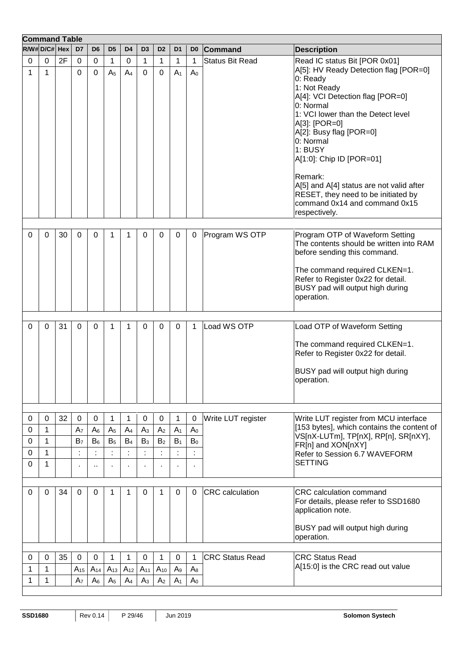| $R/W#D/C#$ Hex<br><b>Command</b><br>D <sub>7</sub><br>D <sub>6</sub><br>D <sub>5</sub><br>D <sub>2</sub><br>D <sub>0</sub><br>D <sub>4</sub><br>D3<br>D <sub>1</sub><br><b>Description</b><br>2F<br>1<br>1<br>Read IC status Bit [POR 0x01]<br>0<br>$\mathbf 0$<br>0<br>0<br>1<br>1<br>$\mathbf 1$<br><b>Status Bit Read</b><br>0<br>A[5]: HV Ready Detection flag [POR=0]<br>1<br>1<br>0<br>0<br>A <sub>5</sub><br>A <sub>4</sub><br>0<br>0<br>A <sub>1</sub><br>A <sub>0</sub><br>0: Ready<br>1: Not Ready<br>A[4]: VCI Detection flag [POR=0]<br>0: Normal<br>1: VCI lower than the Detect level<br>A[3]: [POR=0]<br>A[2]: Busy flag [POR=0]<br>0: Normal<br>1: BUSY<br>A[1:0]: Chip ID [POR=01]<br>Remark:<br>A[5] and A[4] status are not valid after<br>RESET, they need to be initiated by<br>command 0x14 and command 0x15<br>respectively.<br>30<br>Program WS OTP<br>Program OTP of Waveform Setting<br>0<br>0<br>0<br>0<br>$\mathbf{0}$<br>0<br>0<br>0<br>1<br>1<br>The contents should be written into RAM<br>before sending this command.<br>The command required CLKEN=1.<br>Refer to Register 0x22 for detail.<br>BUSY pad will output high during<br>operation.<br>31<br>Load WS OTP<br>Load OTP of Waveform Setting<br>0<br>0<br>0<br>1<br>0<br>0<br>0<br>0<br>1<br>1<br>The command required CLKEN=1.<br>Refer to Register 0x22 for detail.<br>BUSY pad will output high during<br>operation.<br>32<br>$\mathbf 0$<br>$\Omega$<br>0<br>1<br>1<br>0<br>1<br>$\mathbf 0$<br>Write LUT register<br>Write LUT register from MCU interface<br>0<br>0<br>[153 bytes], which contains the content of<br>A <sub>7</sub><br>A <sub>2</sub><br>0<br>1<br>$A_6$<br>A <sub>5</sub><br>$A_4$<br>$A_3$<br>A <sub>1</sub><br>A <sub>0</sub><br>VS[nX-LUTm], TP[nX], RP[n], SR[nXY],<br>$B_6$<br>B <sub>5</sub><br>$B_4$<br>$B_3$<br>B <sub>2</sub><br>$B_0$<br>0<br>1<br>B <sub>7</sub><br>$B_1$<br>FR[n] and XON[nXY]<br>0<br>1<br>Refer to Session 6.7 WAVEFORM<br><b>SETTING</b><br>0<br>$\mathbf{1}$<br>$\ddot{\phantom{1}}$<br>٠<br>34<br>0<br><b>CRC</b> calculation<br><b>CRC</b> calculation command<br>0<br>0<br>0<br>1<br>0<br>0<br>$\Omega$<br>1<br>1<br>For details, please refer to SSD1680<br>application note.<br>BUSY pad will output high during<br>operation.<br>35<br>$\mathbf 0$<br><b>CRC Status Read</b><br><b>CRC Status Read</b><br>0<br>$\mathbf 0$<br>1<br>1<br>0<br>$\mathbf 1$<br>0<br>0<br>1<br>A[15:0] is the CRC read out value<br>$A_{10}$<br>1<br>1<br>$A_{15}$<br>$A_{14}$<br>$A_{13}$<br>$A_{12}$<br>$A_{11}$<br>A <sub>9</sub><br>$A_8$<br>1<br>A <sub>0</sub><br>1<br>A <sub>7</sub><br>$A_6$<br>A <sub>5</sub><br>A <sub>3</sub><br>A <sub>2</sub><br>A <sub>1</sub><br>A <sub>4</sub> | <b>Command Table</b> |  |  |  |  |  |  |
|---------------------------------------------------------------------------------------------------------------------------------------------------------------------------------------------------------------------------------------------------------------------------------------------------------------------------------------------------------------------------------------------------------------------------------------------------------------------------------------------------------------------------------------------------------------------------------------------------------------------------------------------------------------------------------------------------------------------------------------------------------------------------------------------------------------------------------------------------------------------------------------------------------------------------------------------------------------------------------------------------------------------------------------------------------------------------------------------------------------------------------------------------------------------------------------------------------------------------------------------------------------------------------------------------------------------------------------------------------------------------------------------------------------------------------------------------------------------------------------------------------------------------------------------------------------------------------------------------------------------------------------------------------------------------------------------------------------------------------------------------------------------------------------------------------------------------------------------------------------------------------------------------------------------------------------------------------------------------------------------------------------------------------------------------------------------------------------------------------------------------------------------------------------------------------------------------------------------------------------------------------------------------------------------------------------------------------------------------------------------------------------------------------------------------------------------------------------------------------------------------------------------------------------------------------------------------------------------------------------------------------------------------------------------------------------------------------------------------------|----------------------|--|--|--|--|--|--|
|                                                                                                                                                                                                                                                                                                                                                                                                                                                                                                                                                                                                                                                                                                                                                                                                                                                                                                                                                                                                                                                                                                                                                                                                                                                                                                                                                                                                                                                                                                                                                                                                                                                                                                                                                                                                                                                                                                                                                                                                                                                                                                                                                                                                                                                                                                                                                                                                                                                                                                                                                                                                                                                                                                                                 |                      |  |  |  |  |  |  |
|                                                                                                                                                                                                                                                                                                                                                                                                                                                                                                                                                                                                                                                                                                                                                                                                                                                                                                                                                                                                                                                                                                                                                                                                                                                                                                                                                                                                                                                                                                                                                                                                                                                                                                                                                                                                                                                                                                                                                                                                                                                                                                                                                                                                                                                                                                                                                                                                                                                                                                                                                                                                                                                                                                                                 |                      |  |  |  |  |  |  |
|                                                                                                                                                                                                                                                                                                                                                                                                                                                                                                                                                                                                                                                                                                                                                                                                                                                                                                                                                                                                                                                                                                                                                                                                                                                                                                                                                                                                                                                                                                                                                                                                                                                                                                                                                                                                                                                                                                                                                                                                                                                                                                                                                                                                                                                                                                                                                                                                                                                                                                                                                                                                                                                                                                                                 |                      |  |  |  |  |  |  |
|                                                                                                                                                                                                                                                                                                                                                                                                                                                                                                                                                                                                                                                                                                                                                                                                                                                                                                                                                                                                                                                                                                                                                                                                                                                                                                                                                                                                                                                                                                                                                                                                                                                                                                                                                                                                                                                                                                                                                                                                                                                                                                                                                                                                                                                                                                                                                                                                                                                                                                                                                                                                                                                                                                                                 |                      |  |  |  |  |  |  |
|                                                                                                                                                                                                                                                                                                                                                                                                                                                                                                                                                                                                                                                                                                                                                                                                                                                                                                                                                                                                                                                                                                                                                                                                                                                                                                                                                                                                                                                                                                                                                                                                                                                                                                                                                                                                                                                                                                                                                                                                                                                                                                                                                                                                                                                                                                                                                                                                                                                                                                                                                                                                                                                                                                                                 |                      |  |  |  |  |  |  |
|                                                                                                                                                                                                                                                                                                                                                                                                                                                                                                                                                                                                                                                                                                                                                                                                                                                                                                                                                                                                                                                                                                                                                                                                                                                                                                                                                                                                                                                                                                                                                                                                                                                                                                                                                                                                                                                                                                                                                                                                                                                                                                                                                                                                                                                                                                                                                                                                                                                                                                                                                                                                                                                                                                                                 |                      |  |  |  |  |  |  |
|                                                                                                                                                                                                                                                                                                                                                                                                                                                                                                                                                                                                                                                                                                                                                                                                                                                                                                                                                                                                                                                                                                                                                                                                                                                                                                                                                                                                                                                                                                                                                                                                                                                                                                                                                                                                                                                                                                                                                                                                                                                                                                                                                                                                                                                                                                                                                                                                                                                                                                                                                                                                                                                                                                                                 |                      |  |  |  |  |  |  |
|                                                                                                                                                                                                                                                                                                                                                                                                                                                                                                                                                                                                                                                                                                                                                                                                                                                                                                                                                                                                                                                                                                                                                                                                                                                                                                                                                                                                                                                                                                                                                                                                                                                                                                                                                                                                                                                                                                                                                                                                                                                                                                                                                                                                                                                                                                                                                                                                                                                                                                                                                                                                                                                                                                                                 |                      |  |  |  |  |  |  |
|                                                                                                                                                                                                                                                                                                                                                                                                                                                                                                                                                                                                                                                                                                                                                                                                                                                                                                                                                                                                                                                                                                                                                                                                                                                                                                                                                                                                                                                                                                                                                                                                                                                                                                                                                                                                                                                                                                                                                                                                                                                                                                                                                                                                                                                                                                                                                                                                                                                                                                                                                                                                                                                                                                                                 |                      |  |  |  |  |  |  |
|                                                                                                                                                                                                                                                                                                                                                                                                                                                                                                                                                                                                                                                                                                                                                                                                                                                                                                                                                                                                                                                                                                                                                                                                                                                                                                                                                                                                                                                                                                                                                                                                                                                                                                                                                                                                                                                                                                                                                                                                                                                                                                                                                                                                                                                                                                                                                                                                                                                                                                                                                                                                                                                                                                                                 |                      |  |  |  |  |  |  |
|                                                                                                                                                                                                                                                                                                                                                                                                                                                                                                                                                                                                                                                                                                                                                                                                                                                                                                                                                                                                                                                                                                                                                                                                                                                                                                                                                                                                                                                                                                                                                                                                                                                                                                                                                                                                                                                                                                                                                                                                                                                                                                                                                                                                                                                                                                                                                                                                                                                                                                                                                                                                                                                                                                                                 |                      |  |  |  |  |  |  |
|                                                                                                                                                                                                                                                                                                                                                                                                                                                                                                                                                                                                                                                                                                                                                                                                                                                                                                                                                                                                                                                                                                                                                                                                                                                                                                                                                                                                                                                                                                                                                                                                                                                                                                                                                                                                                                                                                                                                                                                                                                                                                                                                                                                                                                                                                                                                                                                                                                                                                                                                                                                                                                                                                                                                 |                      |  |  |  |  |  |  |
|                                                                                                                                                                                                                                                                                                                                                                                                                                                                                                                                                                                                                                                                                                                                                                                                                                                                                                                                                                                                                                                                                                                                                                                                                                                                                                                                                                                                                                                                                                                                                                                                                                                                                                                                                                                                                                                                                                                                                                                                                                                                                                                                                                                                                                                                                                                                                                                                                                                                                                                                                                                                                                                                                                                                 |                      |  |  |  |  |  |  |
|                                                                                                                                                                                                                                                                                                                                                                                                                                                                                                                                                                                                                                                                                                                                                                                                                                                                                                                                                                                                                                                                                                                                                                                                                                                                                                                                                                                                                                                                                                                                                                                                                                                                                                                                                                                                                                                                                                                                                                                                                                                                                                                                                                                                                                                                                                                                                                                                                                                                                                                                                                                                                                                                                                                                 |                      |  |  |  |  |  |  |
|                                                                                                                                                                                                                                                                                                                                                                                                                                                                                                                                                                                                                                                                                                                                                                                                                                                                                                                                                                                                                                                                                                                                                                                                                                                                                                                                                                                                                                                                                                                                                                                                                                                                                                                                                                                                                                                                                                                                                                                                                                                                                                                                                                                                                                                                                                                                                                                                                                                                                                                                                                                                                                                                                                                                 |                      |  |  |  |  |  |  |
|                                                                                                                                                                                                                                                                                                                                                                                                                                                                                                                                                                                                                                                                                                                                                                                                                                                                                                                                                                                                                                                                                                                                                                                                                                                                                                                                                                                                                                                                                                                                                                                                                                                                                                                                                                                                                                                                                                                                                                                                                                                                                                                                                                                                                                                                                                                                                                                                                                                                                                                                                                                                                                                                                                                                 |                      |  |  |  |  |  |  |
|                                                                                                                                                                                                                                                                                                                                                                                                                                                                                                                                                                                                                                                                                                                                                                                                                                                                                                                                                                                                                                                                                                                                                                                                                                                                                                                                                                                                                                                                                                                                                                                                                                                                                                                                                                                                                                                                                                                                                                                                                                                                                                                                                                                                                                                                                                                                                                                                                                                                                                                                                                                                                                                                                                                                 |                      |  |  |  |  |  |  |
|                                                                                                                                                                                                                                                                                                                                                                                                                                                                                                                                                                                                                                                                                                                                                                                                                                                                                                                                                                                                                                                                                                                                                                                                                                                                                                                                                                                                                                                                                                                                                                                                                                                                                                                                                                                                                                                                                                                                                                                                                                                                                                                                                                                                                                                                                                                                                                                                                                                                                                                                                                                                                                                                                                                                 |                      |  |  |  |  |  |  |
|                                                                                                                                                                                                                                                                                                                                                                                                                                                                                                                                                                                                                                                                                                                                                                                                                                                                                                                                                                                                                                                                                                                                                                                                                                                                                                                                                                                                                                                                                                                                                                                                                                                                                                                                                                                                                                                                                                                                                                                                                                                                                                                                                                                                                                                                                                                                                                                                                                                                                                                                                                                                                                                                                                                                 |                      |  |  |  |  |  |  |
|                                                                                                                                                                                                                                                                                                                                                                                                                                                                                                                                                                                                                                                                                                                                                                                                                                                                                                                                                                                                                                                                                                                                                                                                                                                                                                                                                                                                                                                                                                                                                                                                                                                                                                                                                                                                                                                                                                                                                                                                                                                                                                                                                                                                                                                                                                                                                                                                                                                                                                                                                                                                                                                                                                                                 |                      |  |  |  |  |  |  |
|                                                                                                                                                                                                                                                                                                                                                                                                                                                                                                                                                                                                                                                                                                                                                                                                                                                                                                                                                                                                                                                                                                                                                                                                                                                                                                                                                                                                                                                                                                                                                                                                                                                                                                                                                                                                                                                                                                                                                                                                                                                                                                                                                                                                                                                                                                                                                                                                                                                                                                                                                                                                                                                                                                                                 |                      |  |  |  |  |  |  |
|                                                                                                                                                                                                                                                                                                                                                                                                                                                                                                                                                                                                                                                                                                                                                                                                                                                                                                                                                                                                                                                                                                                                                                                                                                                                                                                                                                                                                                                                                                                                                                                                                                                                                                                                                                                                                                                                                                                                                                                                                                                                                                                                                                                                                                                                                                                                                                                                                                                                                                                                                                                                                                                                                                                                 |                      |  |  |  |  |  |  |
|                                                                                                                                                                                                                                                                                                                                                                                                                                                                                                                                                                                                                                                                                                                                                                                                                                                                                                                                                                                                                                                                                                                                                                                                                                                                                                                                                                                                                                                                                                                                                                                                                                                                                                                                                                                                                                                                                                                                                                                                                                                                                                                                                                                                                                                                                                                                                                                                                                                                                                                                                                                                                                                                                                                                 |                      |  |  |  |  |  |  |
|                                                                                                                                                                                                                                                                                                                                                                                                                                                                                                                                                                                                                                                                                                                                                                                                                                                                                                                                                                                                                                                                                                                                                                                                                                                                                                                                                                                                                                                                                                                                                                                                                                                                                                                                                                                                                                                                                                                                                                                                                                                                                                                                                                                                                                                                                                                                                                                                                                                                                                                                                                                                                                                                                                                                 |                      |  |  |  |  |  |  |
|                                                                                                                                                                                                                                                                                                                                                                                                                                                                                                                                                                                                                                                                                                                                                                                                                                                                                                                                                                                                                                                                                                                                                                                                                                                                                                                                                                                                                                                                                                                                                                                                                                                                                                                                                                                                                                                                                                                                                                                                                                                                                                                                                                                                                                                                                                                                                                                                                                                                                                                                                                                                                                                                                                                                 |                      |  |  |  |  |  |  |
|                                                                                                                                                                                                                                                                                                                                                                                                                                                                                                                                                                                                                                                                                                                                                                                                                                                                                                                                                                                                                                                                                                                                                                                                                                                                                                                                                                                                                                                                                                                                                                                                                                                                                                                                                                                                                                                                                                                                                                                                                                                                                                                                                                                                                                                                                                                                                                                                                                                                                                                                                                                                                                                                                                                                 |                      |  |  |  |  |  |  |
|                                                                                                                                                                                                                                                                                                                                                                                                                                                                                                                                                                                                                                                                                                                                                                                                                                                                                                                                                                                                                                                                                                                                                                                                                                                                                                                                                                                                                                                                                                                                                                                                                                                                                                                                                                                                                                                                                                                                                                                                                                                                                                                                                                                                                                                                                                                                                                                                                                                                                                                                                                                                                                                                                                                                 |                      |  |  |  |  |  |  |
|                                                                                                                                                                                                                                                                                                                                                                                                                                                                                                                                                                                                                                                                                                                                                                                                                                                                                                                                                                                                                                                                                                                                                                                                                                                                                                                                                                                                                                                                                                                                                                                                                                                                                                                                                                                                                                                                                                                                                                                                                                                                                                                                                                                                                                                                                                                                                                                                                                                                                                                                                                                                                                                                                                                                 |                      |  |  |  |  |  |  |
|                                                                                                                                                                                                                                                                                                                                                                                                                                                                                                                                                                                                                                                                                                                                                                                                                                                                                                                                                                                                                                                                                                                                                                                                                                                                                                                                                                                                                                                                                                                                                                                                                                                                                                                                                                                                                                                                                                                                                                                                                                                                                                                                                                                                                                                                                                                                                                                                                                                                                                                                                                                                                                                                                                                                 |                      |  |  |  |  |  |  |
|                                                                                                                                                                                                                                                                                                                                                                                                                                                                                                                                                                                                                                                                                                                                                                                                                                                                                                                                                                                                                                                                                                                                                                                                                                                                                                                                                                                                                                                                                                                                                                                                                                                                                                                                                                                                                                                                                                                                                                                                                                                                                                                                                                                                                                                                                                                                                                                                                                                                                                                                                                                                                                                                                                                                 |                      |  |  |  |  |  |  |
|                                                                                                                                                                                                                                                                                                                                                                                                                                                                                                                                                                                                                                                                                                                                                                                                                                                                                                                                                                                                                                                                                                                                                                                                                                                                                                                                                                                                                                                                                                                                                                                                                                                                                                                                                                                                                                                                                                                                                                                                                                                                                                                                                                                                                                                                                                                                                                                                                                                                                                                                                                                                                                                                                                                                 |                      |  |  |  |  |  |  |
|                                                                                                                                                                                                                                                                                                                                                                                                                                                                                                                                                                                                                                                                                                                                                                                                                                                                                                                                                                                                                                                                                                                                                                                                                                                                                                                                                                                                                                                                                                                                                                                                                                                                                                                                                                                                                                                                                                                                                                                                                                                                                                                                                                                                                                                                                                                                                                                                                                                                                                                                                                                                                                                                                                                                 |                      |  |  |  |  |  |  |
|                                                                                                                                                                                                                                                                                                                                                                                                                                                                                                                                                                                                                                                                                                                                                                                                                                                                                                                                                                                                                                                                                                                                                                                                                                                                                                                                                                                                                                                                                                                                                                                                                                                                                                                                                                                                                                                                                                                                                                                                                                                                                                                                                                                                                                                                                                                                                                                                                                                                                                                                                                                                                                                                                                                                 |                      |  |  |  |  |  |  |
|                                                                                                                                                                                                                                                                                                                                                                                                                                                                                                                                                                                                                                                                                                                                                                                                                                                                                                                                                                                                                                                                                                                                                                                                                                                                                                                                                                                                                                                                                                                                                                                                                                                                                                                                                                                                                                                                                                                                                                                                                                                                                                                                                                                                                                                                                                                                                                                                                                                                                                                                                                                                                                                                                                                                 |                      |  |  |  |  |  |  |
|                                                                                                                                                                                                                                                                                                                                                                                                                                                                                                                                                                                                                                                                                                                                                                                                                                                                                                                                                                                                                                                                                                                                                                                                                                                                                                                                                                                                                                                                                                                                                                                                                                                                                                                                                                                                                                                                                                                                                                                                                                                                                                                                                                                                                                                                                                                                                                                                                                                                                                                                                                                                                                                                                                                                 |                      |  |  |  |  |  |  |
|                                                                                                                                                                                                                                                                                                                                                                                                                                                                                                                                                                                                                                                                                                                                                                                                                                                                                                                                                                                                                                                                                                                                                                                                                                                                                                                                                                                                                                                                                                                                                                                                                                                                                                                                                                                                                                                                                                                                                                                                                                                                                                                                                                                                                                                                                                                                                                                                                                                                                                                                                                                                                                                                                                                                 |                      |  |  |  |  |  |  |
|                                                                                                                                                                                                                                                                                                                                                                                                                                                                                                                                                                                                                                                                                                                                                                                                                                                                                                                                                                                                                                                                                                                                                                                                                                                                                                                                                                                                                                                                                                                                                                                                                                                                                                                                                                                                                                                                                                                                                                                                                                                                                                                                                                                                                                                                                                                                                                                                                                                                                                                                                                                                                                                                                                                                 |                      |  |  |  |  |  |  |
|                                                                                                                                                                                                                                                                                                                                                                                                                                                                                                                                                                                                                                                                                                                                                                                                                                                                                                                                                                                                                                                                                                                                                                                                                                                                                                                                                                                                                                                                                                                                                                                                                                                                                                                                                                                                                                                                                                                                                                                                                                                                                                                                                                                                                                                                                                                                                                                                                                                                                                                                                                                                                                                                                                                                 |                      |  |  |  |  |  |  |
|                                                                                                                                                                                                                                                                                                                                                                                                                                                                                                                                                                                                                                                                                                                                                                                                                                                                                                                                                                                                                                                                                                                                                                                                                                                                                                                                                                                                                                                                                                                                                                                                                                                                                                                                                                                                                                                                                                                                                                                                                                                                                                                                                                                                                                                                                                                                                                                                                                                                                                                                                                                                                                                                                                                                 |                      |  |  |  |  |  |  |
|                                                                                                                                                                                                                                                                                                                                                                                                                                                                                                                                                                                                                                                                                                                                                                                                                                                                                                                                                                                                                                                                                                                                                                                                                                                                                                                                                                                                                                                                                                                                                                                                                                                                                                                                                                                                                                                                                                                                                                                                                                                                                                                                                                                                                                                                                                                                                                                                                                                                                                                                                                                                                                                                                                                                 |                      |  |  |  |  |  |  |
|                                                                                                                                                                                                                                                                                                                                                                                                                                                                                                                                                                                                                                                                                                                                                                                                                                                                                                                                                                                                                                                                                                                                                                                                                                                                                                                                                                                                                                                                                                                                                                                                                                                                                                                                                                                                                                                                                                                                                                                                                                                                                                                                                                                                                                                                                                                                                                                                                                                                                                                                                                                                                                                                                                                                 |                      |  |  |  |  |  |  |
|                                                                                                                                                                                                                                                                                                                                                                                                                                                                                                                                                                                                                                                                                                                                                                                                                                                                                                                                                                                                                                                                                                                                                                                                                                                                                                                                                                                                                                                                                                                                                                                                                                                                                                                                                                                                                                                                                                                                                                                                                                                                                                                                                                                                                                                                                                                                                                                                                                                                                                                                                                                                                                                                                                                                 |                      |  |  |  |  |  |  |
|                                                                                                                                                                                                                                                                                                                                                                                                                                                                                                                                                                                                                                                                                                                                                                                                                                                                                                                                                                                                                                                                                                                                                                                                                                                                                                                                                                                                                                                                                                                                                                                                                                                                                                                                                                                                                                                                                                                                                                                                                                                                                                                                                                                                                                                                                                                                                                                                                                                                                                                                                                                                                                                                                                                                 |                      |  |  |  |  |  |  |
|                                                                                                                                                                                                                                                                                                                                                                                                                                                                                                                                                                                                                                                                                                                                                                                                                                                                                                                                                                                                                                                                                                                                                                                                                                                                                                                                                                                                                                                                                                                                                                                                                                                                                                                                                                                                                                                                                                                                                                                                                                                                                                                                                                                                                                                                                                                                                                                                                                                                                                                                                                                                                                                                                                                                 |                      |  |  |  |  |  |  |
|                                                                                                                                                                                                                                                                                                                                                                                                                                                                                                                                                                                                                                                                                                                                                                                                                                                                                                                                                                                                                                                                                                                                                                                                                                                                                                                                                                                                                                                                                                                                                                                                                                                                                                                                                                                                                                                                                                                                                                                                                                                                                                                                                                                                                                                                                                                                                                                                                                                                                                                                                                                                                                                                                                                                 |                      |  |  |  |  |  |  |
|                                                                                                                                                                                                                                                                                                                                                                                                                                                                                                                                                                                                                                                                                                                                                                                                                                                                                                                                                                                                                                                                                                                                                                                                                                                                                                                                                                                                                                                                                                                                                                                                                                                                                                                                                                                                                                                                                                                                                                                                                                                                                                                                                                                                                                                                                                                                                                                                                                                                                                                                                                                                                                                                                                                                 |                      |  |  |  |  |  |  |
|                                                                                                                                                                                                                                                                                                                                                                                                                                                                                                                                                                                                                                                                                                                                                                                                                                                                                                                                                                                                                                                                                                                                                                                                                                                                                                                                                                                                                                                                                                                                                                                                                                                                                                                                                                                                                                                                                                                                                                                                                                                                                                                                                                                                                                                                                                                                                                                                                                                                                                                                                                                                                                                                                                                                 |                      |  |  |  |  |  |  |
|                                                                                                                                                                                                                                                                                                                                                                                                                                                                                                                                                                                                                                                                                                                                                                                                                                                                                                                                                                                                                                                                                                                                                                                                                                                                                                                                                                                                                                                                                                                                                                                                                                                                                                                                                                                                                                                                                                                                                                                                                                                                                                                                                                                                                                                                                                                                                                                                                                                                                                                                                                                                                                                                                                                                 |                      |  |  |  |  |  |  |
|                                                                                                                                                                                                                                                                                                                                                                                                                                                                                                                                                                                                                                                                                                                                                                                                                                                                                                                                                                                                                                                                                                                                                                                                                                                                                                                                                                                                                                                                                                                                                                                                                                                                                                                                                                                                                                                                                                                                                                                                                                                                                                                                                                                                                                                                                                                                                                                                                                                                                                                                                                                                                                                                                                                                 |                      |  |  |  |  |  |  |
|                                                                                                                                                                                                                                                                                                                                                                                                                                                                                                                                                                                                                                                                                                                                                                                                                                                                                                                                                                                                                                                                                                                                                                                                                                                                                                                                                                                                                                                                                                                                                                                                                                                                                                                                                                                                                                                                                                                                                                                                                                                                                                                                                                                                                                                                                                                                                                                                                                                                                                                                                                                                                                                                                                                                 |                      |  |  |  |  |  |  |
|                                                                                                                                                                                                                                                                                                                                                                                                                                                                                                                                                                                                                                                                                                                                                                                                                                                                                                                                                                                                                                                                                                                                                                                                                                                                                                                                                                                                                                                                                                                                                                                                                                                                                                                                                                                                                                                                                                                                                                                                                                                                                                                                                                                                                                                                                                                                                                                                                                                                                                                                                                                                                                                                                                                                 |                      |  |  |  |  |  |  |
|                                                                                                                                                                                                                                                                                                                                                                                                                                                                                                                                                                                                                                                                                                                                                                                                                                                                                                                                                                                                                                                                                                                                                                                                                                                                                                                                                                                                                                                                                                                                                                                                                                                                                                                                                                                                                                                                                                                                                                                                                                                                                                                                                                                                                                                                                                                                                                                                                                                                                                                                                                                                                                                                                                                                 |                      |  |  |  |  |  |  |
|                                                                                                                                                                                                                                                                                                                                                                                                                                                                                                                                                                                                                                                                                                                                                                                                                                                                                                                                                                                                                                                                                                                                                                                                                                                                                                                                                                                                                                                                                                                                                                                                                                                                                                                                                                                                                                                                                                                                                                                                                                                                                                                                                                                                                                                                                                                                                                                                                                                                                                                                                                                                                                                                                                                                 |                      |  |  |  |  |  |  |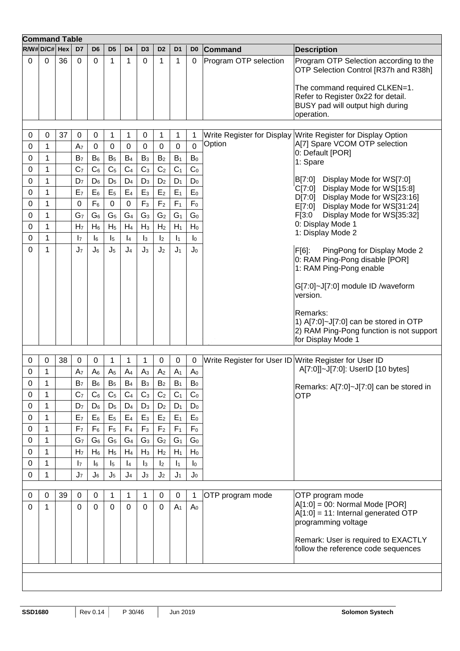|             | <b>Command Table</b> |    |                               |                |                  |                             |                |                |                |                  |                       |                                                                                               |
|-------------|----------------------|----|-------------------------------|----------------|------------------|-----------------------------|----------------|----------------|----------------|------------------|-----------------------|-----------------------------------------------------------------------------------------------|
|             | $R/W#D/C# $ Hex      |    | D7                            | D <sub>6</sub> | D <sub>5</sub>   | D4                          | D3             | D <sub>2</sub> | D <sub>1</sub> | D <sub>0</sub>   | <b>Command</b>        | <b>Description</b>                                                                            |
| $\Omega$    | $\Omega$             | 36 | $\Omega$                      | $\Omega$       | 1                | $\mathbf{1}$                | 0              | 1              | 1              | 0                | Program OTP selection | Program OTP Selection according to the<br>OTP Selection Control [R37h and R38h]               |
|             |                      |    |                               |                |                  |                             |                |                |                |                  |                       | The command required CLKEN=1.                                                                 |
|             |                      |    |                               |                |                  |                             |                |                |                |                  |                       | Refer to Register 0x22 for detail.<br>BUSY pad will output high during                        |
|             |                      |    |                               |                |                  |                             |                |                |                |                  |                       | operation.                                                                                    |
|             |                      |    |                               |                |                  |                             |                |                |                |                  |                       |                                                                                               |
| 0<br>0      | 0<br>1               | 37 | $\mathbf 0$<br>A <sub>7</sub> | 0<br>0         | $\mathbf 1$<br>0 | $\mathbf{1}$<br>$\mathbf 0$ | 0<br>0         | 1<br>0         | 1<br>0         | 1<br>$\mathbf 0$ | Option                | Write Register for Display Write Register for Display Option<br>A[7] Spare VCOM OTP selection |
| 0           | 1                    |    | B <sub>7</sub>                | $B_6$          | $B_5$            | $B_4$                       | $B_3$          | B <sub>2</sub> | $B_1$          | $B_0$            |                       | 0: Default [POR]                                                                              |
| 0           | 1                    |    | C <sub>7</sub>                | $C_6$          | C <sub>5</sub>   | C <sub>4</sub>              | C <sub>3</sub> | C <sub>2</sub> | C <sub>1</sub> | C <sub>0</sub>   |                       | 1: Spare                                                                                      |
| $\pmb{0}$   | 1                    |    | D <sub>7</sub>                | $D_6$          | $D_5$            | $D_4$                       | $D_3$          | D <sub>2</sub> | $D_1$          | $D_0$            |                       | Display Mode for WS[7:0]<br>B[7:0]                                                            |
| $\pmb{0}$   | 1                    |    | E <sub>7</sub>                | $E_6$          | E <sub>5</sub>   | $E_4$                       | $E_3$          | E <sub>2</sub> | $E_1$          | $E_0$            |                       | Display Mode for WS[15:8]<br>C[7:0]                                                           |
| 0           | 1                    |    | $\mathbf 0$                   | $F_6$          | $\pmb{0}$        | $\pmb{0}$                   | $F_3$          | F <sub>2</sub> | F <sub>1</sub> | $\mathsf{F}_0$   |                       | Display Mode for WS[23:16]<br>D[7:0]<br>Display Mode for WS[31:24]<br>E[7:0]                  |
| $\mathbf 0$ | 1                    |    | G <sub>7</sub>                | G <sub>6</sub> | G <sub>5</sub>   | G <sub>4</sub>              | G <sub>3</sub> | G <sub>2</sub> | G <sub>1</sub> | G <sub>0</sub>   |                       | Display Mode for WS[35:32]<br>F[3:0]                                                          |
| 0           | 1                    |    | H <sub>7</sub>                | $H_6$          | H <sub>5</sub>   | $H_4$                       | $H_3$          | H <sub>2</sub> | $H_1$          | $H_0$            |                       | 0: Display Mode 1                                                                             |
| 0           | $\mathbf{1}$         |    | $\mathsf{I}_7$                | $\mathsf{I}_6$ | $\mathsf{I}_5$   | $\vert_4$                   | $\mathsf{I}_3$ | $\mathsf{I}_2$ | $\vert_1$      | I <sub>0</sub>   |                       | 1: Display Mode 2                                                                             |
| 0           | 1                    |    | J <sub>7</sub>                | $J_6$          | $J_5$            | J <sub>4</sub>              | $J_3$          | J <sub>2</sub> | J <sub>1</sub> | J <sub>0</sub>   |                       | F[6]:<br>PingPong for Display Mode 2                                                          |
|             |                      |    |                               |                |                  |                             |                |                |                |                  |                       | 0: RAM Ping-Pong disable [POR]<br>1: RAM Ping-Pong enable                                     |
|             |                      |    |                               |                |                  |                             |                |                |                |                  |                       | G[7:0]~J[7:0] module ID /waveform                                                             |
|             |                      |    |                               |                |                  |                             |                |                |                |                  |                       | version.                                                                                      |
|             |                      |    |                               |                |                  |                             |                |                |                |                  |                       | Remarks:                                                                                      |
|             |                      |    |                               |                |                  |                             |                |                |                |                  |                       | 1) A[7:0]~J[7:0] can be stored in OTP<br>2) RAM Ping-Pong function is not support             |
|             |                      |    |                               |                |                  |                             |                |                |                |                  |                       | for Display Mode 1                                                                            |
| 0           | 0                    | 38 | $\mathbf 0$                   | 0              | 1                | 1                           | 1              | $\mathbf 0$    | 0              | 0                |                       | Write Register for User ID Write Register for User ID                                         |
| 0           | 1                    |    | A <sub>7</sub>                | $A_6$          | A <sub>5</sub>   | A <sub>4</sub>              | A <sub>3</sub> | A <sub>2</sub> | A <sub>1</sub> | A <sub>0</sub>   |                       | A[7:0]]~J[7:0]: UserID [10 bytes]                                                             |
| 0           | 1                    |    | B <sub>7</sub>                | $B_6$          | B <sub>5</sub>   | $B_4$                       | B <sub>3</sub> | B <sub>2</sub> | $B_1$          | $B_0$            |                       |                                                                                               |
| $\Omega$    | $\mathbf{1}$         |    | C <sub>7</sub>                | $C_6$          | C <sub>5</sub>   | C <sub>4</sub>              | C <sub>3</sub> | C <sub>2</sub> | C <sub>1</sub> | C <sub>0</sub>   |                       | Remarks: A[7:0]~J[7:0] can be stored in<br><b>OTP</b>                                         |
| 0           | 1                    |    | D <sub>7</sub>                | $D_6$          | $D_5$            | $D_4$                       | $D_3$          | D <sub>2</sub> | $D_1$          | $D_0$            |                       |                                                                                               |
| 0           | $\mathbf 1$          |    | E <sub>7</sub>                | $E_6$          | E <sub>5</sub>   | $E_4$                       | E <sub>3</sub> | E <sub>2</sub> | $E_1$          | $\mathsf{E}_0$   |                       |                                                                                               |
| 0           | 1                    |    | F <sub>7</sub>                | $F_6$          | F <sub>5</sub>   | F <sub>4</sub>              | $F_3$          | F <sub>2</sub> | F <sub>1</sub> | $F_0$            |                       |                                                                                               |
| $\mathbf 0$ | $\mathbf{1}$         |    | G <sub>7</sub>                | G <sub>6</sub> | G <sub>5</sub>   | G <sub>4</sub>              | G <sub>3</sub> | G <sub>2</sub> | G <sub>1</sub> | G <sub>0</sub>   |                       |                                                                                               |
| 0           | 1                    |    | H <sub>7</sub>                | $H_6$          | H <sub>5</sub>   | $H_4$                       | $H_3$          | H <sub>2</sub> | $H_1$          | $H_0$            |                       |                                                                                               |
| 0           | $\mathbf{1}$         |    | $\mathsf{I}_7$                | $\mathsf{I}_6$ | $\mathsf{I}_5$   | $\vert_4$                   | $\mathsf{I}_3$ | $\mathsf{I}_2$ | $\mathbf{I}_1$ | $\mathsf{I}_0$   |                       |                                                                                               |
| 0           | 1                    |    | J <sub>7</sub>                | $J_6$          | $J_5$            | J <sub>4</sub>              | $J_3$          | J <sub>2</sub> | J <sub>1</sub> | $J_0$            |                       |                                                                                               |
|             |                      |    |                               |                |                  |                             |                |                |                |                  |                       |                                                                                               |
| 0           | 0                    | 39 | $\boldsymbol{0}$              | $\mathbf 0$    | 1                | $\mathbf{1}$                | 1              | $\mathbf 0$    | 0              |                  | OTP program mode      | OTP program mode<br>$A[1:0] = 00$ : Normal Mode [POR]                                         |
| $\Omega$    | $\mathbf 1$          |    | 0                             | $\Omega$       | $\mathbf 0$      | $\mathbf 0$                 | 0              | $\mathbf 0$    | A <sub>1</sub> | A <sub>0</sub>   |                       | $A[1:0] = 11$ : Internal generated OTP<br>programming voltage                                 |
|             |                      |    |                               |                |                  |                             |                |                |                |                  |                       | Remark: User is required to EXACTLY                                                           |
|             |                      |    |                               |                |                  |                             |                |                |                |                  |                       | follow the reference code sequences                                                           |
|             |                      |    |                               |                |                  |                             |                |                |                |                  |                       |                                                                                               |
|             |                      |    |                               |                |                  |                             |                |                |                |                  |                       |                                                                                               |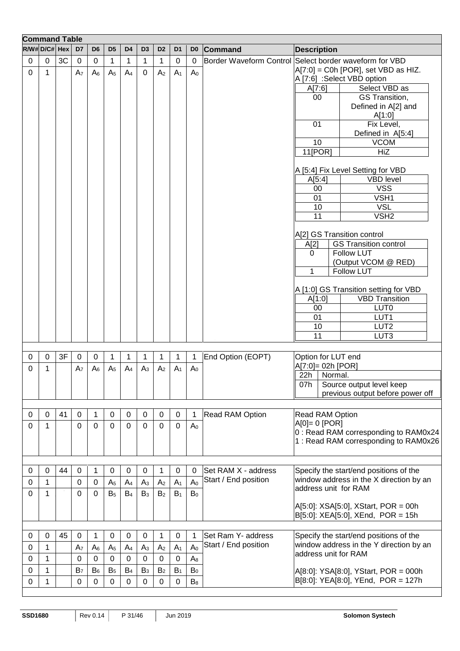|              | <b>Command Table</b> |    |                |                |                |                  |                  |                |                |                |                                                        |                      |                                                                            |
|--------------|----------------------|----|----------------|----------------|----------------|------------------|------------------|----------------|----------------|----------------|--------------------------------------------------------|----------------------|----------------------------------------------------------------------------|
| R/W#D/C# Hex |                      |    | D <sub>7</sub> | D <sub>6</sub> | D <sub>5</sub> | D <sub>4</sub>   | D <sub>3</sub>   | D <sub>2</sub> | D <sub>1</sub> | D <sub>0</sub> | <b>Command</b>                                         | <b>Description</b>   |                                                                            |
| 0            | $\mathbf 0$          | 3C | 0              | 0              | 1              | 1                | 1                | $\mathbf 1$    | $\pmb{0}$      | $\mathbf 0$    | Border Waveform Control Select border waveform for VBD |                      |                                                                            |
| $\mathbf 0$  | $\mathbf{1}$         |    | A <sub>7</sub> | A <sub>6</sub> | A <sub>5</sub> | $A_4$            | $\Omega$         | A <sub>2</sub> | A <sub>1</sub> | A <sub>0</sub> |                                                        |                      | A[7:0] = C0h [POR], set VBD as HIZ.                                        |
|              |                      |    |                |                |                |                  |                  |                |                |                |                                                        |                      | A [7:6] :Select VBD option                                                 |
|              |                      |    |                |                |                |                  |                  |                |                |                |                                                        | A[7:6]<br>00         | Select VBD as<br>GS Transition,                                            |
|              |                      |    |                |                |                |                  |                  |                |                |                |                                                        |                      | Defined in A[2] and                                                        |
|              |                      |    |                |                |                |                  |                  |                |                |                |                                                        |                      | A[1:0]                                                                     |
|              |                      |    |                |                |                |                  |                  |                |                |                |                                                        | 01                   | Fix Level,                                                                 |
|              |                      |    |                |                |                |                  |                  |                |                |                |                                                        |                      | Defined in A[5:4]                                                          |
|              |                      |    |                |                |                |                  |                  |                |                |                |                                                        | 10                   | <b>VCOM</b>                                                                |
|              |                      |    |                |                |                |                  |                  |                |                |                |                                                        | 11[POR]              | <b>HiZ</b>                                                                 |
|              |                      |    |                |                |                |                  |                  |                |                |                |                                                        |                      |                                                                            |
|              |                      |    |                |                |                |                  |                  |                |                |                |                                                        |                      | A [5:4] Fix Level Setting for VBD                                          |
|              |                      |    |                |                |                |                  |                  |                |                |                |                                                        | A[5:4]               | <b>VBD level</b>                                                           |
|              |                      |    |                |                |                |                  |                  |                |                |                |                                                        | 00<br>01             | <b>VSS</b><br>VSH1                                                         |
|              |                      |    |                |                |                |                  |                  |                |                |                |                                                        | 10                   | <b>VSL</b>                                                                 |
|              |                      |    |                |                |                |                  |                  |                |                |                |                                                        | 11                   | VSH <sub>2</sub>                                                           |
|              |                      |    |                |                |                |                  |                  |                |                |                |                                                        |                      |                                                                            |
|              |                      |    |                |                |                |                  |                  |                |                |                |                                                        |                      | A[2] GS Transition control                                                 |
|              |                      |    |                |                |                |                  |                  |                |                |                |                                                        | A[2]                 | <b>GS Transition control</b>                                               |
|              |                      |    |                |                |                |                  |                  |                |                |                |                                                        | 0                    | <b>Follow LUT</b>                                                          |
|              |                      |    |                |                |                |                  |                  |                |                |                |                                                        |                      | (Output VCOM @ RED)                                                        |
|              |                      |    |                |                |                |                  |                  |                |                |                |                                                        | 1                    | <b>Follow LUT</b>                                                          |
|              |                      |    |                |                |                |                  |                  |                |                |                |                                                        |                      | A [1:0] GS Transition setting for VBD                                      |
|              |                      |    |                |                |                |                  |                  |                |                |                |                                                        | A[1:0]               | <b>VBD Transition</b>                                                      |
|              |                      |    |                |                |                |                  |                  |                |                |                |                                                        | 00                   | LUT <sub>0</sub>                                                           |
|              |                      |    |                |                |                |                  |                  |                |                |                |                                                        | 01                   | LUT1                                                                       |
|              |                      |    |                |                |                |                  |                  |                |                |                |                                                        | 10                   | LUT <sub>2</sub>                                                           |
|              |                      |    |                |                |                |                  |                  |                |                |                |                                                        | 11                   | LUT3                                                                       |
|              |                      |    |                |                |                |                  |                  |                |                |                |                                                        |                      |                                                                            |
| 0            | 0                    | 3F | 0              | 0              | 1              | 1                | 1                | 1              | 1              | 1              | End Option (EOPT)                                      | Option for LUT end   |                                                                            |
| 0            | 1                    |    | A <sub>7</sub> | $A_6$          | A <sub>5</sub> | $A_4$            | $A_3$            | A <sub>2</sub> | A <sub>1</sub> | A <sub>0</sub> |                                                        | A[7:0]= 02h [POR]    |                                                                            |
|              |                      |    |                |                |                |                  |                  |                |                |                |                                                        | 22h<br>Normal.       |                                                                            |
|              |                      |    |                |                |                |                  |                  |                |                |                |                                                        | 07h                  | Source output level keep<br>previous output before power off               |
|              |                      |    |                |                |                |                  |                  |                |                |                |                                                        |                      |                                                                            |
| 0            | 0                    | 41 | $\mathbf 0$    | 1              | $\pmb{0}$      | $\mathbf 0$      | 0                | 0              | 0              | 1              | <b>Read RAM Option</b>                                 | Read RAM Option      |                                                                            |
| 0            | 1                    |    | 0              | $\mathbf 0$    | $\mathbf 0$    | $\overline{0}$   | $\overline{0}$   | $\mathbf 0$    | $\mathbf 0$    | A <sub>0</sub> |                                                        | $A[0] = 0$ [POR]     |                                                                            |
|              |                      |    |                |                |                |                  |                  |                |                |                |                                                        |                      | 0: Read RAM corresponding to RAM0x24                                       |
|              |                      |    |                |                |                |                  |                  |                |                |                |                                                        |                      | 1: Read RAM corresponding to RAM0x26                                       |
|              |                      |    |                |                |                |                  |                  |                |                |                |                                                        |                      |                                                                            |
|              |                      |    |                |                |                |                  |                  |                |                |                |                                                        |                      |                                                                            |
| 0            | $\Omega$             | 44 | 0              | 1              | $\pmb{0}$      | 0                | $\boldsymbol{0}$ | 1              | $\pmb{0}$      | 0              | Set RAM X - address                                    |                      | Specify the start/end positions of the                                     |
| 0            | $\mathbf{1}$         |    | 0              | $\mathbf 0$    | A <sub>5</sub> | A <sub>4</sub>   | A <sub>3</sub>   | A <sub>2</sub> | A <sub>1</sub> | A <sub>0</sub> | Start / End position                                   |                      | window address in the X direction by an                                    |
| 0            | 1                    |    | 0              | 0              | B <sub>5</sub> | B <sub>4</sub>   | $B_3$            | B <sub>2</sub> | $B_1$          | $B_0$          |                                                        | address unit for RAM |                                                                            |
|              |                      |    |                |                |                |                  |                  |                |                |                |                                                        |                      | A[5:0]: XSA[5:0], XStart, POR = 00h                                        |
|              |                      |    |                |                |                |                  |                  |                |                |                |                                                        |                      | $B[5:0]$ : XEA[5:0], XEnd, POR = 15h                                       |
|              |                      |    |                |                |                |                  |                  |                |                |                |                                                        |                      |                                                                            |
| 0            | 0                    | 45 | 0              | 1              | 0              | $\boldsymbol{0}$ | $\boldsymbol{0}$ | 1              | 0              | 1              | Set Ram Y- address                                     |                      | Specify the start/end positions of the                                     |
| 0            | 1                    |    | A <sub>7</sub> | $A_6$          | A <sub>5</sub> | A <sub>4</sub>   | A <sub>3</sub>   | A <sub>2</sub> | A <sub>1</sub> | A <sub>0</sub> | Start / End position                                   |                      | window address in the Y direction by an                                    |
| 0            | 1                    |    | 0              | $\mathbf 0$    | $\pmb{0}$      | $\mathbf 0$      | $\boldsymbol{0}$ | 0              | $\pmb{0}$      | $A_8$          |                                                        | address unit for RAM |                                                                            |
| 0            | 1                    |    | B <sub>7</sub> | $B_6$          | B <sub>5</sub> | B <sub>4</sub>   | B <sub>3</sub>   | B <sub>2</sub> | $B_1$          | $\mathsf{B}_0$ |                                                        |                      |                                                                            |
|              |                      |    |                |                |                |                  |                  |                |                |                |                                                        |                      | A[8:0]: YSA[8:0], YStart, POR = 000h<br>B[8:0]: YEA[8:0], YEnd, POR = 127h |
| 0            | 1                    |    | 0              | 0              | 0              | 0                | 0                | 0              | 0              | $B_8$          |                                                        |                      |                                                                            |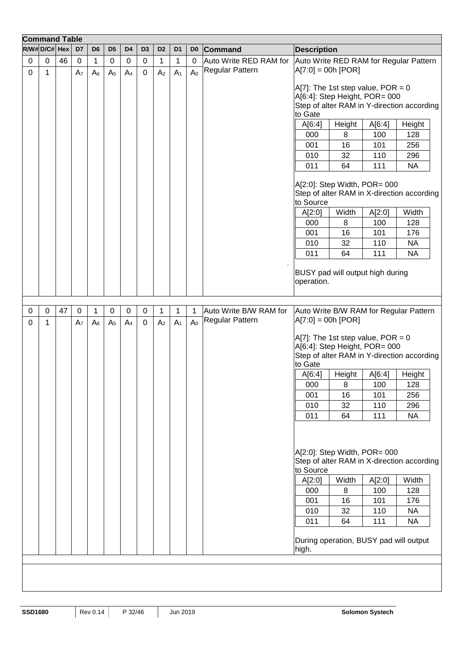|             | <b>Command Table</b> |    |                   |                     |                               |                               |                  |                     |                     |                     |                                           |                                                                                                                                    |                              |                                    |                                                                                             |
|-------------|----------------------|----|-------------------|---------------------|-------------------------------|-------------------------------|------------------|---------------------|---------------------|---------------------|-------------------------------------------|------------------------------------------------------------------------------------------------------------------------------------|------------------------------|------------------------------------|---------------------------------------------------------------------------------------------|
|             | $R/W#D/C# $ Hex      |    | D7                | D <sub>6</sub>      | D <sub>5</sub>                | D <sub>4</sub>                | D <sub>3</sub>   | D <sub>2</sub>      | D <sub>1</sub>      | D <sub>0</sub>      | <b>Command</b>                            | <b>Description</b>                                                                                                                 |                              |                                    |                                                                                             |
| $\mathbf 0$ | $\pmb{0}$            | 46 | $\pmb{0}$         | $\mathbf{1}$        | $\boldsymbol{0}$              | $\pmb{0}$                     | $\pmb{0}$        | $\mathbf 1$         | $\mathbf 1$         | $\mathbf 0$         | Auto Write RED RAM for                    |                                                                                                                                    |                              |                                    | Auto Write RED RAM for Regular Pattern                                                      |
| $\mathbf 0$ | 1                    |    | A <sub>7</sub>    | $A_6$               | A <sub>5</sub>                | A <sub>4</sub>                | $\mathbf 0$      | A <sub>2</sub>      | A <sub>1</sub>      | A <sub>0</sub>      | Regular Pattern                           | $A[7:0] = 00h [FOR]$                                                                                                               |                              |                                    |                                                                                             |
|             |                      |    |                   |                     |                               |                               |                  |                     |                     |                     |                                           | A[7]: The 1st step value, POR = $0$<br>A[6:4]: Step Height, POR= 000<br>to Gate                                                    |                              |                                    | Step of alter RAM in Y-direction according                                                  |
|             |                      |    |                   |                     |                               |                               |                  |                     |                     |                     |                                           | A[6:4]                                                                                                                             | Height                       | A[6:4]                             | Height                                                                                      |
|             |                      |    |                   |                     |                               |                               |                  |                     |                     |                     |                                           | 000                                                                                                                                | 8                            | 100                                | 128                                                                                         |
|             |                      |    |                   |                     |                               |                               |                  |                     |                     |                     |                                           | 001                                                                                                                                | 16                           | 101                                | 256                                                                                         |
|             |                      |    |                   |                     |                               |                               |                  |                     |                     |                     |                                           | 010                                                                                                                                | 32                           | 110                                | 296                                                                                         |
|             |                      |    |                   |                     |                               |                               |                  |                     |                     |                     |                                           | 011                                                                                                                                | 64                           | 111                                | <b>NA</b>                                                                                   |
|             |                      |    |                   |                     |                               |                               |                  |                     |                     |                     |                                           | $A[2:0]$ : Step Width, POR= 000<br>to Source                                                                                       |                              |                                    | Step of alter RAM in X-direction according                                                  |
|             |                      |    |                   |                     |                               |                               |                  |                     |                     |                     |                                           | A[2:0]                                                                                                                             | Width                        | A[2:0]                             | Width                                                                                       |
|             |                      |    |                   |                     |                               |                               |                  |                     |                     |                     |                                           | 000                                                                                                                                | 8                            | 100                                | 128                                                                                         |
|             |                      |    |                   |                     |                               |                               |                  |                     |                     |                     |                                           | 001                                                                                                                                | 16                           | 101                                | 176                                                                                         |
|             |                      |    |                   |                     |                               |                               |                  |                     |                     |                     |                                           | 010                                                                                                                                | 32                           | 110                                | <b>NA</b>                                                                                   |
|             |                      |    |                   |                     |                               |                               |                  |                     |                     |                     |                                           | 011                                                                                                                                | 64                           | 111                                | <b>NA</b>                                                                                   |
|             |                      |    |                   |                     |                               |                               |                  |                     |                     |                     |                                           | BUSY pad will output high during<br>operation.                                                                                     |                              |                                    |                                                                                             |
|             |                      |    |                   |                     |                               |                               |                  |                     |                     |                     |                                           |                                                                                                                                    |                              |                                    |                                                                                             |
| 0<br>0      | 0<br>1               | 47 | $\mathbf 0$<br>A7 | 1<br>A <sub>6</sub> | $\mathbf 0$<br>A <sub>5</sub> | $\mathbf 0$<br>A <sub>4</sub> | $\mathbf 0$<br>0 | 1<br>A <sub>2</sub> | 1<br>A <sub>1</sub> | 1<br>A <sub>0</sub> | Auto Write B/W RAM for<br>Regular Pattern | $A[7:0] = 00h [POR]$                                                                                                               |                              |                                    | Auto Write B/W RAM for Regular Pattern                                                      |
|             |                      |    |                   |                     |                               |                               |                  |                     |                     |                     |                                           | A[7]: The 1st step value, $POR = 0$<br>A[6:4]: Step Height, POR= 000<br>to Gate                                                    |                              |                                    | Step of alter RAM in Y-direction according                                                  |
|             |                      |    |                   |                     |                               |                               |                  |                     |                     |                     |                                           | A[6:4]                                                                                                                             | Height                       | A[6:4]                             | Height                                                                                      |
|             |                      |    |                   |                     |                               |                               |                  |                     |                     |                     |                                           | 000                                                                                                                                | 8                            | 100                                | 128                                                                                         |
|             |                      |    |                   |                     |                               |                               |                  |                     |                     |                     |                                           | 001                                                                                                                                | 16                           | 101                                | 256                                                                                         |
|             |                      |    |                   |                     |                               |                               |                  |                     |                     |                     |                                           | 010                                                                                                                                | 32                           | 110                                | 296                                                                                         |
|             |                      |    |                   |                     |                               |                               |                  |                     |                     |                     |                                           | 011                                                                                                                                | 64                           | 111                                | <b>NA</b>                                                                                   |
|             |                      |    |                   |                     |                               |                               |                  |                     |                     |                     |                                           | A[2:0]: Step Width, POR= 000<br>to Source<br>A[2:0]<br>000<br>001<br>010<br>011<br>During operation, BUSY pad will output<br>high. | Width<br>8<br>16<br>32<br>64 | A[2:0]<br>100<br>101<br>110<br>111 | Step of alter RAM in X-direction according<br>Width<br>128<br>176<br><b>NA</b><br><b>NA</b> |
|             |                      |    |                   |                     |                               |                               |                  |                     |                     |                     |                                           |                                                                                                                                    |                              |                                    |                                                                                             |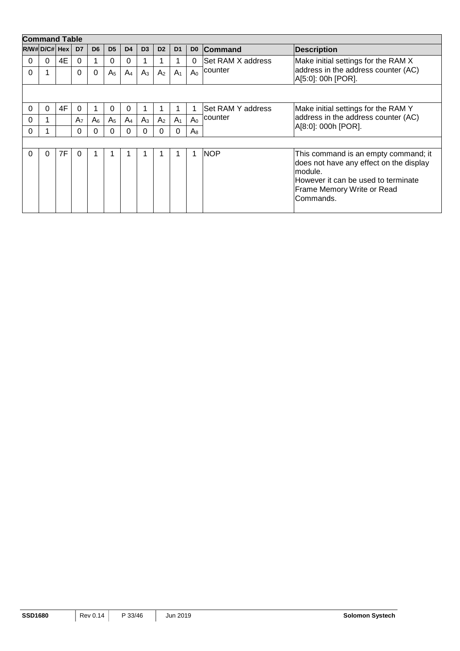|          | <b>Command Table</b> |    |                |                |                |                |                |                |                |                |                   |                                                                                                                                                                              |
|----------|----------------------|----|----------------|----------------|----------------|----------------|----------------|----------------|----------------|----------------|-------------------|------------------------------------------------------------------------------------------------------------------------------------------------------------------------------|
|          | $R/W#D/C# $ Hex $ $  |    | D <sub>7</sub> | D <sub>6</sub> | D <sub>5</sub> | D <sub>4</sub> | D <sub>3</sub> | D <sub>2</sub> | D <sub>1</sub> | D <sub>0</sub> | <b>Command</b>    | <b>Description</b>                                                                                                                                                           |
| $\Omega$ | $\Omega$             | 4E | $\Omega$       |                | 0              | 0              |                |                |                | $\Omega$       | Set RAM X address | Make initial settings for the RAM X                                                                                                                                          |
| 0        |                      |    | $\Omega$       | $\Omega$       | A <sub>5</sub> | A <sub>4</sub> | $A_3$          | A <sub>2</sub> | A <sub>1</sub> | $A_0$          | counter           | address in the address counter (AC)<br>A[5:0]: 00h [POR].                                                                                                                    |
|          |                      |    |                |                |                |                |                |                |                |                |                   |                                                                                                                                                                              |
| 0        | 0                    | 4F | $\Omega$       |                | 0              | 0              |                |                |                |                | Set RAM Y address | Make initial settings for the RAM Y                                                                                                                                          |
| 0        |                      |    | A <sub>7</sub> | A <sub>6</sub> | A <sub>5</sub> | A <sub>4</sub> | $A_3$          | A <sub>2</sub> | A <sub>1</sub> | A <sub>0</sub> | counter           | address in the address counter (AC)                                                                                                                                          |
| 0        |                      |    | $\Omega$       | 0              | 0              | 0              | $\Omega$       | $\Omega$       | $\Omega$       | $A_8$          |                   | A[8:0]: 000h [POR].                                                                                                                                                          |
|          |                      |    |                |                |                |                |                |                |                |                |                   |                                                                                                                                                                              |
| 0        | $\Omega$             | 7F | $\Omega$       |                |                |                |                |                |                | 1              | <b>NOP</b>        | This command is an empty command; it<br>does not have any effect on the display<br>module.<br>However it can be used to terminate<br>Frame Memory Write or Read<br>Commands. |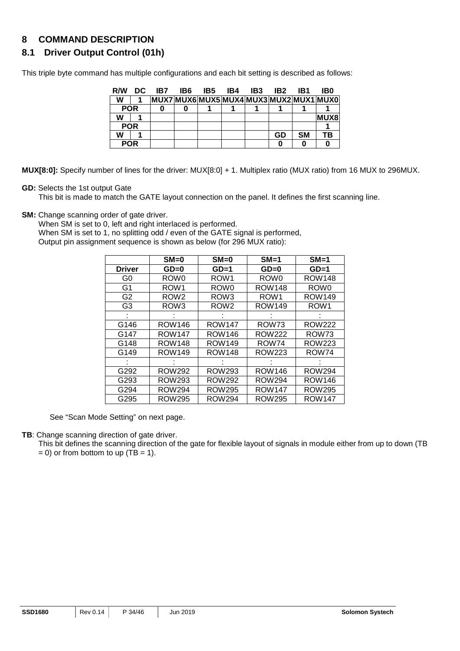## **8 COMMAND DESCRIPTION**

## **8.1 Driver Output Control (01h)**

This triple byte command has multiple configurations and each bit setting is described as follows:

| R/W        | DC. | IB7 | <b>IB6 IB5</b> | IB4 | IB3 | IB2 | IB1       | IB0                              |
|------------|-----|-----|----------------|-----|-----|-----|-----------|----------------------------------|
| W          |     |     |                |     |     |     |           | MUX7MUX6MUX5MUX4MUX3MUX2MUX1MUX0 |
| <b>POR</b> |     |     |                |     |     |     |           |                                  |
| W          |     |     |                |     |     |     |           | <b>MUX8</b>                      |
| <b>POR</b> |     |     |                |     |     |     |           |                                  |
| W          |     |     |                |     |     | GD  | <b>SM</b> | ΤВ                               |
| <b>POR</b> |     |     |                |     |     |     |           |                                  |

**MUX[8:0]:** Specify number of lines for the driver: MUX[8:0] + 1. Multiplex ratio (MUX ratio) from 16 MUX to 296MUX.

#### **GD:** Selects the 1st output Gate

This bit is made to match the GATE layout connection on the panel. It defines the first scanning line.

**SM:** Change scanning order of gate driver.

When SM is set to 0, left and right interlaced is performed.

When SM is set to 1, no splitting odd / even of the GATE signal is performed, Output pin assignment sequence is shown as below (for 296 MUX ratio):

|                | $SM=0$           | $SM=0$           | $SM=1$           | $SM=1$           |
|----------------|------------------|------------------|------------------|------------------|
| <b>Driver</b>  | $GD = 0$         | $GD=1$           | $GD=0$           | $GD=1$           |
| G0             | ROW <sub>0</sub> | ROW <sub>1</sub> | ROW <sub>0</sub> | ROW148           |
| G <sub>1</sub> | ROW <sub>1</sub> | ROW <sub>0</sub> | <b>ROW148</b>    | ROW <sub>0</sub> |
| G <sub>2</sub> | ROW <sub>2</sub> | ROW <sub>3</sub> | ROW <sub>1</sub> | <b>ROW149</b>    |
| G3             | ROW3             | ROW <sub>2</sub> | ROW149           | ROW <sub>1</sub> |
|                |                  |                  |                  |                  |
| G146           | <b>ROW146</b>    | <b>ROW147</b>    | ROW73            | ROW222           |
| G147           | <b>ROW147</b>    | <b>ROW146</b>    | <b>ROW222</b>    | ROW73            |
| G148           | <b>ROW148</b>    | <b>ROW149</b>    | ROW74            | ROW223           |
| G149           | ROW149           | <b>ROW148</b>    | ROW223           | ROW74            |
|                |                  |                  |                  |                  |
| G292           | ROW292           | ROW293           | <b>ROW146</b>    | ROW294           |
| G293           | ROW293           | ROW292           | <b>ROW294</b>    | <b>ROW146</b>    |
| G294           | <b>ROW294</b>    | <b>ROW295</b>    | <b>ROW147</b>    | <b>ROW295</b>    |
| G295           | <b>ROW295</b>    | <b>ROW294</b>    | <b>ROW295</b>    | <b>ROW147</b>    |

See "Scan Mode Setting" on next page.

**TB**: Change scanning direction of gate driver.

This bit defines the scanning direction of the gate for flexible layout of signals in module either from up to down (TB

 $= 0$ ) or from bottom to up (TB  $= 1$ ).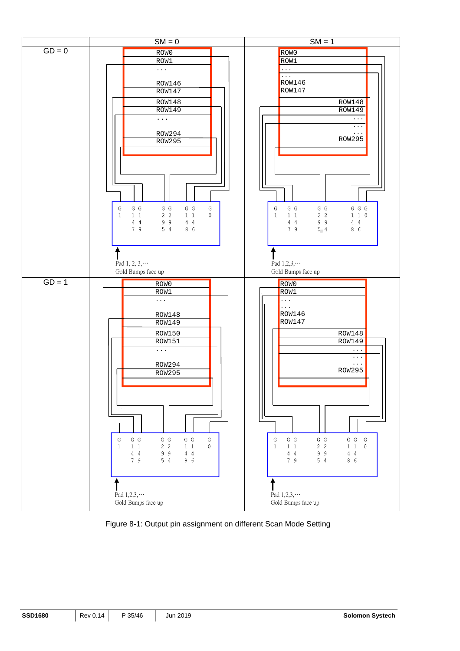

Figure 8-1: Output pin assignment on different Scan Mode Setting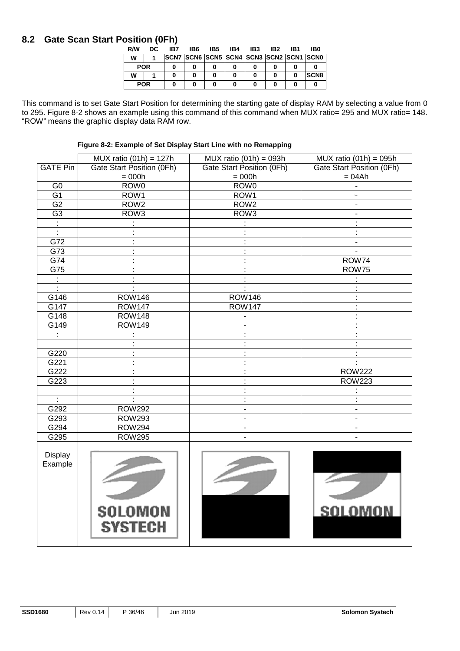## **8.2 Gate Scan Start Position (0Fh)**

| <b>RM</b> | DC         | IB7 | IB6 | IB5 | IB4 | IB3 | IB2                                             | IB1 | IB0          |
|-----------|------------|-----|-----|-----|-----|-----|-------------------------------------------------|-----|--------------|
| w         |            |     |     |     |     |     | ISCN7 ISCN6 ISCN5 ISCN4 ISCN3 ISCN2 ISCN1 ISCN0 |     |              |
|           | <b>POR</b> |     |     |     |     |     |                                                 |     |              |
| w         |            |     | 0   |     |     |     |                                                 |     | <b>ISCN8</b> |
|           | <b>POR</b> |     |     |     |     |     |                                                 |     |              |

This command is to set Gate Start Position for determining the starting gate of display RAM by selecting a value from 0 to 295. Figure 8-2 shows an example using this command of this command when MUX ratio= 295 and MUX ratio= 148. "ROW" means the graphic display data RAM row.

**Figure 8-2: Example of Set Display Start Line with no Remapping** 

|                 | MUX ratio $(01h) = 127h$         | MUX ratio $(01h) = 093h$     | MUX ratio $(01h) = 095h$  |
|-----------------|----------------------------------|------------------------------|---------------------------|
| <b>GATE Pin</b> | Gate Start Position (0Fh)        | Gate Start Position (0Fh)    | Gate Start Position (0Fh) |
|                 | $= 000h$                         | $= 000h$                     | $= 04Ah$                  |
| $\overline{G}$  | ROW <sub>0</sub>                 | ROW <sub>0</sub>             |                           |
| $\overline{G1}$ | ROW1                             | ROW1                         |                           |
| $\overline{G2}$ | ROW <sub>2</sub>                 | ROW <sub>2</sub>             |                           |
| G3              | ROW <sub>3</sub>                 | ROW <sub>3</sub>             |                           |
|                 |                                  |                              | ł.                        |
| $\ddot{\cdot}$  |                                  |                              |                           |
| G72             |                                  |                              | $\overline{\phantom{a}}$  |
| G73             |                                  |                              |                           |
| G74             |                                  |                              | ROW74                     |
| G75             |                                  |                              | ROW75                     |
|                 |                                  |                              |                           |
| ÷               |                                  |                              |                           |
| G146            | <b>ROW146</b>                    | <b>ROW146</b>                |                           |
| G147            | <b>ROW147</b>                    | <b>ROW147</b>                |                           |
| G148            | <b>ROW148</b>                    |                              |                           |
| G149            | <b>ROW149</b>                    |                              |                           |
| ÷               |                                  |                              |                           |
|                 |                                  |                              |                           |
| G220            |                                  |                              |                           |
| G221            |                                  |                              |                           |
| G222            |                                  |                              | <b>ROW222</b>             |
| G223            |                                  |                              | <b>ROW223</b>             |
|                 |                                  |                              |                           |
| $\ddot{\cdot}$  |                                  | ł                            |                           |
| G292            | <b>ROW292</b>                    | $\overline{\phantom{0}}$     |                           |
| G293            | <b>ROW293</b>                    | $\qquad \qquad \blacksquare$ | $\overline{\phantom{a}}$  |
| G294            | <b>ROW294</b>                    |                              |                           |
| G295            | <b>ROW295</b>                    | L.                           |                           |
| Display         |                                  |                              |                           |
| Example         | <b>SOLOMON</b><br><b>SYSTECH</b> |                              | <b>SOLOMON</b>            |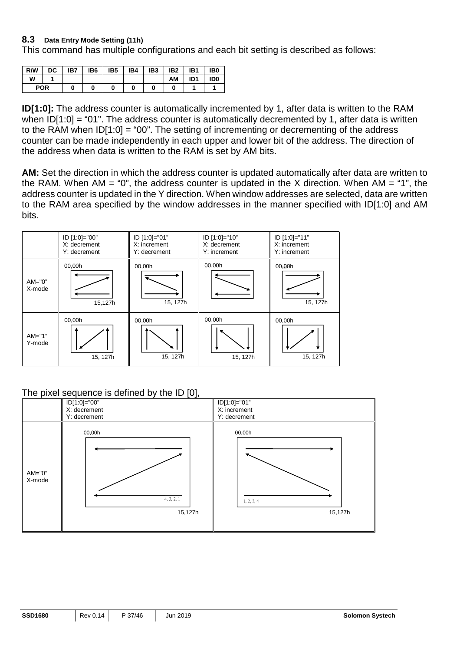#### **8.3 Data Entry Mode Setting (11h)**

This command has multiple configurations and each bit setting is described as follows:

| R/W | DC.        | IB7 | IB6 | IB <sub>5</sub> | IB4 | IB <sub>3</sub> | IB <sub>2</sub> | IB1             | IB <sub>0</sub> |
|-----|------------|-----|-----|-----------------|-----|-----------------|-----------------|-----------------|-----------------|
| W   |            |     |     |                 |     |                 | АΜ              | ID <sub>1</sub> | ID <sub>0</sub> |
|     | <b>POR</b> |     |     |                 |     |                 |                 |                 |                 |

**ID[1:0]:** The address counter is automatically incremented by 1, after data is written to the RAM when  $|D[1:0] = "01"$ . The address counter is automatically decremented by 1, after data is written to the RAM when ID[1:0] = "00". The setting of incrementing or decrementing of the address counter can be made independently in each upper and lower bit of the address. The direction of the address when data is written to the RAM is set by AM bits.

**AM:** Set the direction in which the address counter is updated automatically after data are written to the RAM. When AM = "0", the address counter is updated in the X direction. When AM = "1", the address counter is updated in the Y direction. When window addresses are selected, data are written to the RAM area specified by the window addresses in the manner specified with ID[1:0] and AM bits.



#### The pixel sequence is defined by the ID [0],

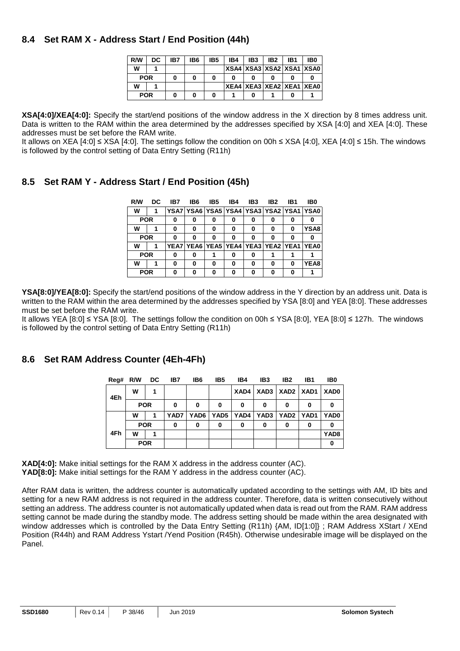## **8.4 Set RAM X - Address Start / End Position (44h)**

| R/W        | DC. | IB7 | IB6 | IB5 | IB4 | IB <sub>3</sub>                  | IB <sub>2</sub> | IB1 | IB <sub>0</sub> |
|------------|-----|-----|-----|-----|-----|----------------------------------|-----------------|-----|-----------------|
| w          |     |     |     |     |     | XSA4   XSA3   XSA2   XSA1   XSA0 |                 |     |                 |
| <b>POR</b> |     |     |     |     |     |                                  |                 |     |                 |
| w          |     |     |     |     |     | XEA4 XEA3 XEA2 XEA1 XEA0         |                 |     |                 |
| <b>POR</b> |     |     |     |     |     |                                  |                 |     |                 |

**XSA[4:0]/XEA[4:0]:** Specify the start/end positions of the window address in the X direction by 8 times address unit. Data is written to the RAM within the area determined by the addresses specified by XSA [4:0] and XEA [4:0]. These addresses must be set before the RAM write.

It allows on XEA [4:0] ≤ XSA [4:0]. The settings follow the condition on 00h ≤ XSA [4:0], XEA [4:0] ≤ 15h. The windows is followed by the control setting of Data Entry Setting (R11h)

## **8.5 Set RAM Y - Address Start / End Position (45h)**

| R/W        | DC. | IB7 | IB6 | IB5                                     | IB4 | IB <sub>3</sub> | IB <sub>2</sub> | IB1 | IB0  |
|------------|-----|-----|-----|-----------------------------------------|-----|-----------------|-----------------|-----|------|
| W          |     |     |     | YSA7 YSA6 YSA5 YSA4 YSA3 YSA2 YSA1 YSA0 |     |                 |                 |     |      |
| <b>POR</b> |     | 0   | 0   | 0                                       | 0   | 0               | 0               |     | o    |
| W          |     | 0   | 0   | 0                                       | 0   | 0               | 0               | 0   | YSA8 |
| <b>POR</b> |     | 0   | 0   | 0                                       | 0   | 0               | 0               |     | o    |
| w          |     |     |     | YEA7 YEA6 YEA5 YEA4 YEA3 YEA2 YEA1 YEA0 |     |                 |                 |     |      |
| <b>POR</b> |     | 0   | 0   |                                         | 0   | 0               |                 |     |      |
| W          |     | 0   | 0   | 0                                       | 0   | 0               | 0               | o   | YEA8 |
| <b>POR</b> |     | 0   | 0   | o                                       | ŋ   | ŋ               | n               |     |      |

**YSA[8:0]/YEA[8:0]:** Specify the start/end positions of the window address in the Y direction by an address unit. Data is written to the RAM within the area determined by the addresses specified by YSA [8:0] and YEA [8:0]. These addresses must be set before the RAM write.

It allows YEA [8:0] ≤ YSA [8:0]. The settings follow the condition on 00h ≤ YSA [8:0], YEA [8:0] ≤ 127h. The windows is followed by the control setting of Data Entry Setting (R11h)

## **8.6 Set RAM Address Counter (4Eh-4Fh)**

| Reg# | R/W DC     |  | IB7  | IB6  | IB <sub>5</sub>  | IB4 | IB3                              | IB2         | IB1 | IB0              |
|------|------------|--|------|------|------------------|-----|----------------------------------|-------------|-----|------------------|
| 4Eh  | w          |  |      |      |                  |     | XAD4   XAD3   XAD2   XAD1   XAD0 |             |     |                  |
|      | <b>POR</b> |  | 0    | 0    | 0                | 0   | 0                                | 0           | 0   | 0                |
|      | W          |  | YAD7 | YAD6 | YAD <sub>5</sub> |     | YAD4 YAD3                        | YAD2   YAD1 |     | YAD0             |
|      | <b>POR</b> |  | 0    | 0    | 0                | 0   | 0                                | 0           | 0   | 0                |
| 4Fh  | W          |  |      |      |                  |     |                                  |             |     | YAD <sub>8</sub> |
|      | <b>POR</b> |  |      |      |                  |     |                                  |             |     |                  |

**XAD[4:0]:** Make initial settings for the RAM X address in the address counter (AC). **YAD[8:0]:** Make initial settings for the RAM Y address in the address counter (AC).

After RAM data is written, the address counter is automatically updated according to the settings with AM, ID bits and setting for a new RAM address is not required in the address counter. Therefore, data is written consecutively without setting an address. The address counter is not automatically updated when data is read out from the RAM. RAM address setting cannot be made during the standby mode. The address setting should be made within the area designated with window addresses which is controlled by the Data Entry Setting (R11h) {AM, ID[1:0]} ; RAM Address XStart / XEnd Position (R44h) and RAM Address Ystart /Yend Position (R45h). Otherwise undesirable image will be displayed on the Panel.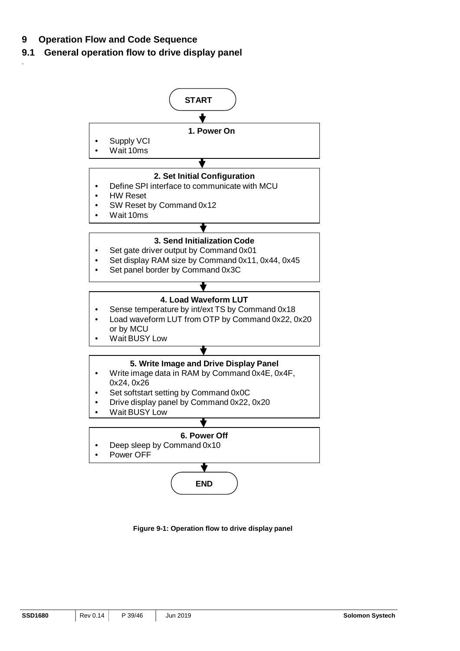## **9 Operation Flow and Code Sequence**

.

## **9.1 General operation flow to drive display panel**



**Figure 9-1: Operation flow to drive display panel**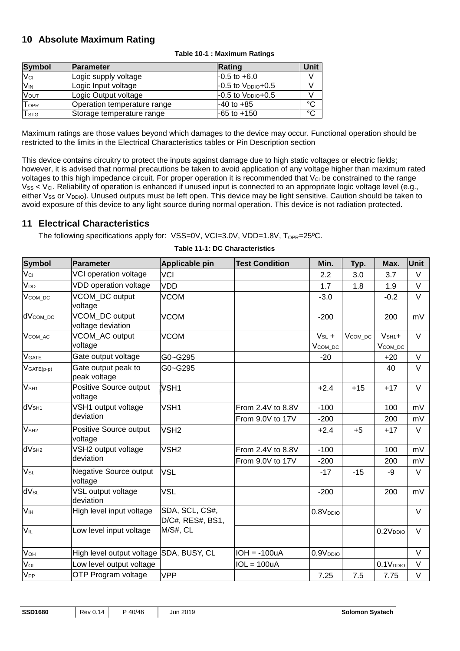## **10 Absolute Maximum Rating**

| <b>Symbol</b>           | <b>Parameter</b>            | Rating                   | Unit        |
|-------------------------|-----------------------------|--------------------------|-------------|
| $V_{\text{Cl}}$         | Logic supply voltage        | $-0.5$ to $+6.0$         |             |
| <b>V<sub>IN</sub></b>   | Logic Input voltage         | $-0.5$ to $V_{DDIO}+0.5$ |             |
| <b>Vout</b>             | Logic Output voltage        | $-0.5$ to $V_{DDIO}+0.5$ |             |
| TOPR                    | Operation temperature range | $-40$ to $+85$           | $^{\circ}C$ |
| <b>T</b> <sub>STG</sub> | Storage temperature range   | $-65$ to $+150$          | $^{\circ}C$ |

#### **Table 10-1 : Maximum Ratings**

Maximum ratings are those values beyond which damages to the device may occur. Functional operation should be restricted to the limits in the Electrical Characteristics tables or Pin Description section

This device contains circuitry to protect the inputs against damage due to high static voltages or electric fields; however, it is advised that normal precautions be taken to avoid application of any voltage higher than maximum rated voltages to this high impedance circuit. For proper operation it is recommended that  $V_{\text{Cl}}$  be constrained to the range  $V_{SS}$  <  $V_{CI}$ . Reliability of operation is enhanced if unused input is connected to an appropriate logic voltage level (e.g., either Vss or V<sub>DDIO</sub>). Unused outputs must be left open. This device may be light sensitive. Caution should be taken to avoid exposure of this device to any light source during normal operation. This device is not radiation protected.

#### **11 Electrical Characteristics**

The following specifications apply for: VSS=0V, VCI=3.0V, VDD=1.8V, T<sub>OPR</sub>=25°C.

| <b>Symbol</b>          | <b>Parameter</b>                         | Applicable pin                     | <b>Test Condition</b> | Min.                              | Typ.          | Max.                        | <b>Unit</b> |
|------------------------|------------------------------------------|------------------------------------|-----------------------|-----------------------------------|---------------|-----------------------------|-------------|
| Vci                    | VCI operation voltage                    | <b>VCI</b>                         |                       | 2.2                               | 3.0           | 3.7                         | $\vee$      |
| V <sub>DD</sub>        | VDD operation voltage                    | <b>VDD</b>                         |                       | 1.7                               | 1.8           | 1.9                         | V           |
| V <sub>COM</sub> DC    | VCOM_DC output<br>voltage                | <b>VCOM</b>                        |                       | $-3.0$                            |               | $-0.2$                      | $\vee$      |
| dVcom_pc               | VCOM_DC output<br>voltage deviation      | <b>VCOM</b>                        |                       | $-200$                            |               | 200                         | mV          |
| V <sub>COM</sub> AC    | VCOM AC output<br>voltage                | <b>VCOM</b>                        |                       | $V_{SL}$ +<br>V <sub>COM_DC</sub> | $V_{COM\_DC}$ | $V_{SH1}+$<br>$V_{COM\_DC}$ | $\vee$      |
| <b>V</b> GATE          | Gate output voltage                      | G0~G295                            |                       | $-20$                             |               | $+20$                       | $\vee$      |
| $V_{GATE(p-p)}$        | Gate output peak to<br>peak voltage      | G0~G295                            |                       |                                   |               | 40                          | V           |
| V <sub>SH1</sub>       | Positive Source output<br>voltage        | VSH <sub>1</sub>                   |                       | $+2.4$                            | $+15$         | $+17$                       | $\vee$      |
| dV <sub>SH1</sub>      | VSH1 output voltage                      | VSH <sub>1</sub>                   | From 2.4V to 8.8V     | $-100$                            |               | 100                         | mV          |
|                        | deviation                                |                                    | From 9.0V to 17V      | $-200$                            |               | 200                         | mV          |
| V <sub>SH2</sub>       | Positive Source output<br>voltage        | VSH <sub>2</sub>                   |                       | $+2.4$                            | $+5$          | $+17$                       | $\vee$      |
| dV <sub>SH2</sub>      | VSH2 output voltage                      | VSH <sub>2</sub>                   | From 2.4V to 8.8V     | $-100$                            |               | 100                         | mV          |
|                        | deviation                                |                                    | From 9.0V to 17V      | $-200$                            |               | 200                         | mV          |
| $V_{SL}$               | <b>Negative Source output</b><br>voltage | <b>VSL</b>                         |                       | $-17$                             | $-15$         | -9                          | V           |
| <b>dV<sub>SL</sub></b> | VSL output voltage<br>deviation          | <b>VSL</b>                         |                       | $-200$                            |               | 200                         | mV          |
| V <sub>IH</sub>        | High level input voltage                 | SDA, SCL, CS#,<br>D/C#, RES#, BS1, |                       | 0.8V <sub>DDIO</sub>              |               |                             | V           |
| $V_{IL}$               | Low level input voltage                  | M/S#, CL                           |                       |                                   |               | 0.2V <sub>DDIO</sub>        | V           |
| VOH                    | High level output voltage                | SDA, BUSY, CL                      | $IOH = -100uA$        | 0.9V <sub>DDIO</sub>              |               |                             | $\vee$      |
| V <sub>OL</sub>        | Low level output voltage                 |                                    | $IOL = 100uA$         |                                   |               | 0.1V <sub>DDIO</sub>        | V           |
| V <sub>PP</sub>        | OTP Program voltage                      | <b>VPP</b>                         |                       | 7.25                              | 7.5           | 7.75                        | $\vee$      |

#### **Table 11-1: DC Characteristics**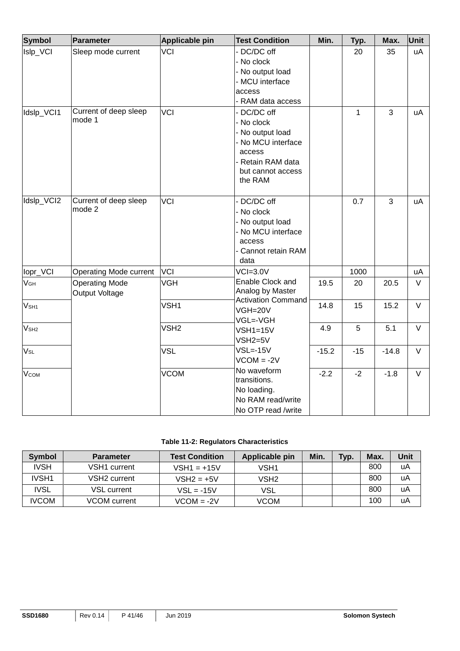| <b>Symbol</b>    | Parameter                               | <b>Applicable pin</b> | <b>Test Condition</b>                                                                                                          | Min.    | Typ.         | Max.    | Unit   |
|------------------|-----------------------------------------|-----------------------|--------------------------------------------------------------------------------------------------------------------------------|---------|--------------|---------|--------|
| Islp_VCI         | Sleep mode current                      | <b>VCI</b>            | DC/DC off<br>- No clock<br>- No output load<br>- MCU interface<br>access<br>- RAM data access                                  |         | 20           | 35      | uA     |
| Idslp_VCI1       | Current of deep sleep<br>mode 1         | <b>VCI</b>            | DC/DC off<br>- No clock<br>- No output load<br>No MCU interface<br>access<br>- Retain RAM data<br>but cannot access<br>the RAM |         | $\mathbf{1}$ | 3       | uA     |
| Idslp_VCI2       | Current of deep sleep<br>mode 2         | <b>VCI</b>            | DC/DC off<br>- No clock<br>- No output load<br>- No MCU interface<br>access<br>- Cannot retain RAM<br>data                     |         | 0.7          | 3       | uA     |
| lopr_VCI         | Operating Mode current                  | <b>VCI</b>            | $VCI=3.0V$                                                                                                                     |         | 1000         |         | uA     |
| $V_{GH}$         | <b>Operating Mode</b><br>Output Voltage | <b>VGH</b>            | Enable Clock and<br>Analog by Master                                                                                           | 19.5    | 20           | 20.5    | $\vee$ |
| V <sub>SH1</sub> |                                         | VSH <sub>1</sub>      | Activation Command<br>VGH=20V<br>VGL=-VGH                                                                                      | 14.8    | 15           | 15.2    | $\vee$ |
| V <sub>SH2</sub> |                                         | VSH <sub>2</sub>      | $VSH1=15V$<br>$VSH2=5V$                                                                                                        | 4.9     | 5            | 5.1     | $\vee$ |
| V <sub>SL</sub>  |                                         | <b>VSL</b>            | $VSL = -15V$<br>$VCOM = -2V$                                                                                                   | $-15.2$ | $-15$        | $-14.8$ | $\vee$ |
| <b>V</b> сом     |                                         | <b>VCOM</b>           | No waveform<br>transitions.<br>No loading.<br>No RAM read/write<br>No OTP read /write                                          | $-2.2$  | $-2$         | $-1.8$  | $\vee$ |

#### **Table 11-2: Regulators Characteristics**

| <b>Symbol</b> | <b>Parameter</b> | <b>Test Condition</b> | Applicable pin | Min. | Typ. | Max. | Unit |
|---------------|------------------|-----------------------|----------------|------|------|------|------|
| <b>IVSH</b>   | VSH1 current     | $VSH1 = +15V$         | VSH1           |      |      | 800  | uA   |
| IVSH1         | VSH2 current     | $VSH2 = +5V$          | VSH2           |      |      | 800  | uA   |
| <b>IVSL</b>   | VSL current      | $VSL = -15V$          | <b>VSL</b>     |      |      | 800  | uA   |
| <b>IVCOM</b>  | VCOM current     | $VCOM = -2V$          | <b>VCOM</b>    |      |      | 100  | uA   |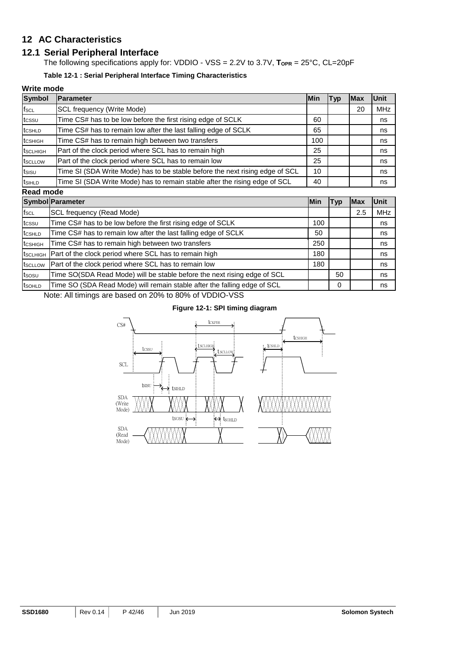## **12 AC Characteristics**

#### **12.1 Serial Peripheral Interface**

The following specifications apply for: VDDIO - VSS = 2.2V to 3.7V, T<sub>OPR</sub> = 25°C, CL=20pF

**Table 12-1 : Serial Peripheral Interface Timing Characteristics**

#### **Write mode**

| <b>Symbol</b>         | <b>Parameter</b>                                                             | <b>IMin</b> | <b>Typ</b> | lMax | <b>Unit</b> |
|-----------------------|------------------------------------------------------------------------------|-------------|------------|------|-------------|
| $f_{SCL}$             | SCL frequency (Write Mode)                                                   |             |            | 20   | <b>MHz</b>  |
| tcssu                 | Time CS# has to be low before the first rising edge of SCLK                  | 60          |            |      | ns          |
| tcsHLD                | Time CS# has to remain low after the last falling edge of SCLK               | 65          |            |      | ns          |
| tcshigh               | Time CS# has to remain high between two transfers                            | 100         |            |      | ns          |
| t <sub>sc</sub> LHIGH | Part of the clock period where SCL has to remain high                        | 25          |            |      | ns          |
| tscLLOW               | Part of the clock period where SCL has to remain low                         | 25          |            |      | ns          |
| tsisu                 | Time SI (SDA Write Mode) has to be stable before the next rising edge of SCL | 10          |            |      | ns          |
| t <sub>SIHLD</sub>    | Time SI (SDA Write Mode) has to remain stable after the rising edge of SCL   | 40          |            |      | ns          |
| Read mode             |                                                                              |             |            |      |             |

|                     | <b>Symbol Parameter</b>                                                  | lMin | Typ | lMax | <b>Unit</b> |  |
|---------------------|--------------------------------------------------------------------------|------|-----|------|-------------|--|
| $f_{\rm SCL}$       | SCL frequency (Read Mode)                                                |      |     | 2.5  | <b>MHz</b>  |  |
| tcssu               | Time CS# has to be low before the first rising edge of SCLK              | 100  |     |      | ns          |  |
| tcshld              | Time CS# has to remain low after the last falling edge of SCLK           | 50   |     |      | ns          |  |
| tcsніgн             | Time CS# has to remain high between two transfers                        | 250  |     |      | ns          |  |
| tsclhigh            | Part of the clock period where SCL has to remain high                    | 180  |     |      | ns          |  |
| tscLLOW             | Part of the clock period where SCL has to remain low                     | 180  |     |      | ns          |  |
| tsosu               | Time SO(SDA Read Mode) will be stable before the next rising edge of SCL |      | 50  |      | ns          |  |
| t <sub>sohl</sub> p | Time SO (SDA Read Mode) will remain stable after the falling edge of SCL |      | 0   |      | ns          |  |

Note: All timings are based on 20% to 80% of VDDIO-VSS

#### **Figure 12-1: SPI timing diagram**

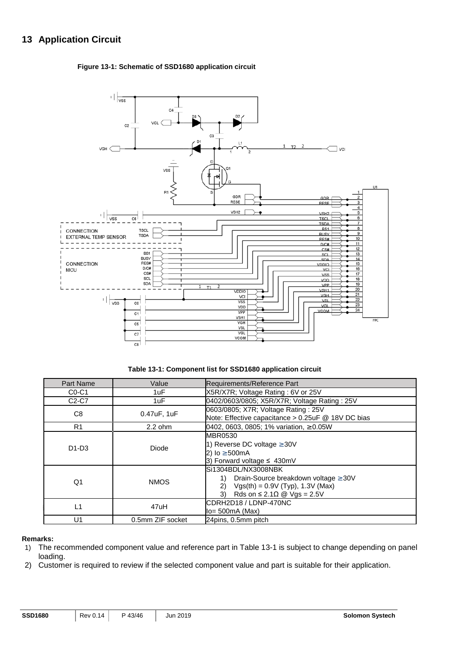## **13 Application Circuit**

#### **Figure 13-1: Schematic of SSD1680 application circuit**



**Table 13-1: Component list for SSD1680 application circuit** 

| Part Name                                                                                                                                                                                                  | Value                                                                                                                | Requirements/Reference Part                                                               |  |  |
|------------------------------------------------------------------------------------------------------------------------------------------------------------------------------------------------------------|----------------------------------------------------------------------------------------------------------------------|-------------------------------------------------------------------------------------------|--|--|
| $CO-C1$                                                                                                                                                                                                    | 1uF                                                                                                                  | X5R/X7R; Voltage Rating: 6V or 25V                                                        |  |  |
| $C2-C7$                                                                                                                                                                                                    | 1uF                                                                                                                  | 0402/0603/0805; X5R/X7R; Voltage Rating: 25V                                              |  |  |
| C <sub>8</sub>                                                                                                                                                                                             | 0.47uF, 1uF                                                                                                          | 0603/0805; X7R; Voltage Rating: 25V<br>Note: Effective capacitance > 0.25uF @ 18V DC bias |  |  |
| R <sub>1</sub>                                                                                                                                                                                             | $2.2$ ohm                                                                                                            | 0402, 0603, 0805; 1% variation, $\geq 0.05W$                                              |  |  |
| $D1-D3$                                                                                                                                                                                                    | <b>MBR0530</b><br>1) Reverse DC voltage $\geq 30V$<br>Diode<br>2) $lo \ge 500mA$<br>3) Forward voltage $\leq 430$ mV |                                                                                           |  |  |
| lSi1304BDL/NX3008NBK<br>Drain-Source breakdown voltage ≥ 30V<br>1)<br>Q1<br><b>NMOS</b><br>$Vgs(th) = 0.9V (Typ), 1.3V (Max)$<br>2)<br>3)<br>Rds on $\leq 2.1 \Omega \text{ } \textcircled{ } V$ gs = 2.5V |                                                                                                                      |                                                                                           |  |  |
| $\mathsf{L}$ 1                                                                                                                                                                                             | 47uH                                                                                                                 | CDRH2D18 / LDNP-470NC<br>$Io = 500mA$ (Max)                                               |  |  |
| U <sub>1</sub>                                                                                                                                                                                             | 0.5mm ZIF socket                                                                                                     | 24pins, 0.5mm pitch                                                                       |  |  |

#### **Remarks:**

- 1) The recommended component value and reference part in Table 13-1 is subject to change depending on panel loading.
- 2) Customer is required to review if the selected component value and part is suitable for their application.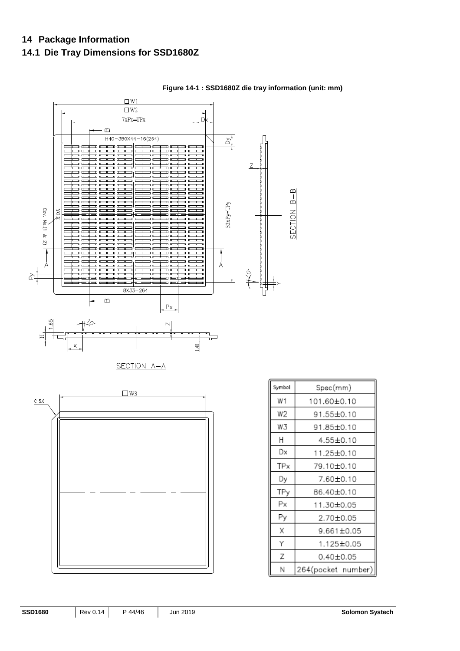## **14 Package Information**

## **14.1 Die Tray Dimensions for SSD1680Z**



#### **Figure 14-1 : SSD1680Z die tray information (unit: mm)**

| Symbol | Spec(mm)           |
|--------|--------------------|
| W1     | 101.60±0.10        |
| W2     | 91.55±0.10         |
| W3     | 91.85±0.10         |
| Н      | 4.55±0.10          |
| Dx     | 11.25±0.10         |
| TPx    | 79.10±0.10         |
| Dy     | 7.60±0.10          |
| TPy    | 86.40±0.10         |
| Рx     | 11.30±0.05         |
| Рy     | 2.70±0.05          |
| Χ      | 9.661±0.05         |
| Υ      | 1.125±0.05         |
| Z      | 0.40±0.05          |
| Ν      | 264(pocket number) |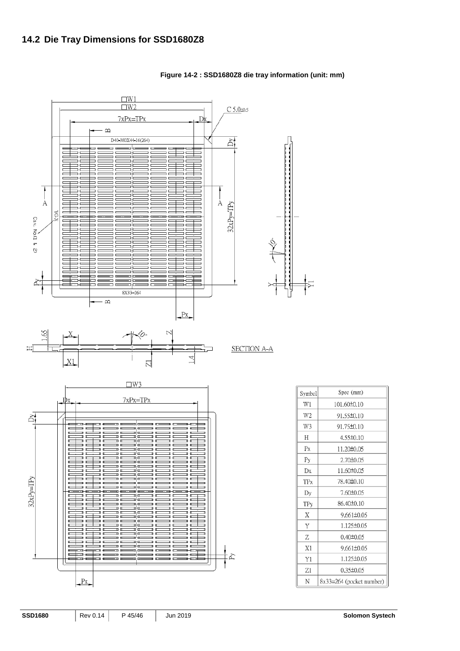

**Figure 14-2 : SSD1680Z8 die tray information (unit: mm)** 

| Symbol | Spec (mm)                |
|--------|--------------------------|
| W1     | 101.60±0.10              |
| W2     | 91.55±0.10               |
| W3     | 91.75±0.10               |
| Н      | $4.55\pm0.10$            |
| Px     | 11.20±0.05               |
| Рy     | 2.70±0.05                |
| Dx     | 11.60±0.05               |
| TPx    | 78.40±0.10               |
| Dy     | 7.60±0.05                |
| TPy    | 86.40±0.10               |
| X      | $9.661 \pm 0.05$         |
| Y      | 1.125±0.05               |
| Ζ      | $0.40 \pm 0.05$          |
| X1     | $9.661 \pm 0.05$         |
| Y1     | 1.125±0.05               |
| Z1     | $0.35 \pm 0.05$          |
| N      | 8x33=264 (pocket number) |